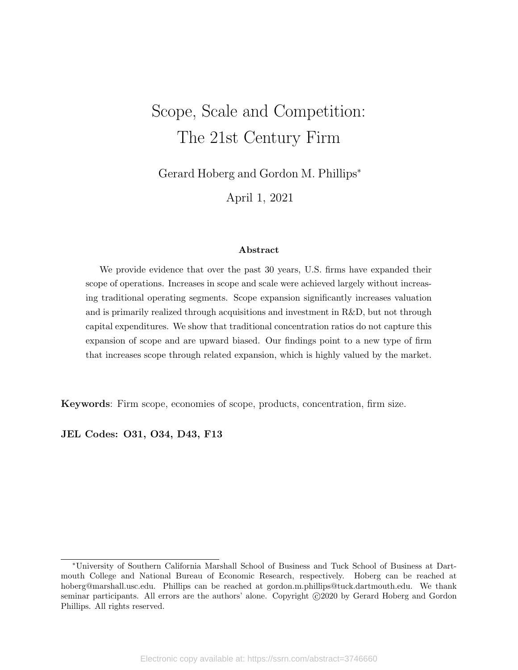# Scope, Scale and Competition: The 21st Century Firm

Gerard Hoberg and Gordon M. Phillips<sup>∗</sup>

April 1, 2021

#### Abstract

We provide evidence that over the past 30 years, U.S. firms have expanded their scope of operations. Increases in scope and scale were achieved largely without increasing traditional operating segments. Scope expansion significantly increases valuation and is primarily realized through acquisitions and investment in R&D, but not through capital expenditures. We show that traditional concentration ratios do not capture this expansion of scope and are upward biased. Our findings point to a new type of firm that increases scope through related expansion, which is highly valued by the market.

Keywords: Firm scope, economies of scope, products, concentration, firm size.

JEL Codes: O31, O34, D43, F13

<sup>∗</sup>University of Southern California Marshall School of Business and Tuck School of Business at Dartmouth College and National Bureau of Economic Research, respectively. Hoberg can be reached at hoberg@marshall.usc.edu. Phillips can be reached at gordon.m.phillips@tuck.dartmouth.edu. We thank seminar participants. All errors are the authors' alone. Copyright ©2020 by Gerard Hoberg and Gordon Phillips. All rights reserved.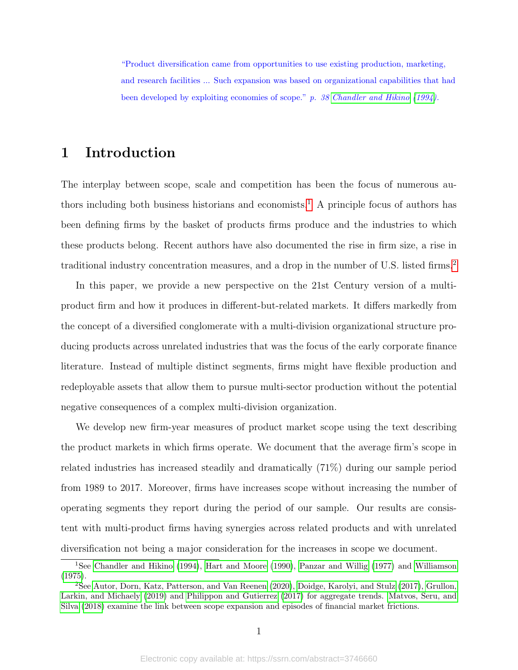"Product diversification came from opportunities to use existing production, marketing, and research facilities ... Such expansion was based on organizational capabilities that had been developed by exploiting economies of scope." p. 38 [Chandler and Hikino](#page-39-0) [\(1994\)](#page-39-0).

# 1 Introduction

The interplay between scope, scale and competition has been the focus of numerous au-thors including both business historians and economists.<sup>[1](#page-1-0)</sup> A principle focus of authors has been defining firms by the basket of products firms produce and the industries to which these products belong. Recent authors have also documented the rise in firm size, a rise in traditional industry concentration measures, and a drop in the number of U.S. listed firms.<sup>[2](#page-1-1)</sup>

In this paper, we provide a new perspective on the 21st Century version of a multiproduct firm and how it produces in different-but-related markets. It differs markedly from the concept of a diversified conglomerate with a multi-division organizational structure producing products across unrelated industries that was the focus of the early corporate finance literature. Instead of multiple distinct segments, firms might have flexible production and redeployable assets that allow them to pursue multi-sector production without the potential negative consequences of a complex multi-division organization.

We develop new firm-year measures of product market scope using the text describing the product markets in which firms operate. We document that the average firm's scope in related industries has increased steadily and dramatically (71%) during our sample period from 1989 to 2017. Moreover, firms have increases scope without increasing the number of operating segments they report during the period of our sample. Our results are consistent with multi-product firms having synergies across related products and with unrelated diversification not being a major consideration for the increases in scope we document.

<span id="page-1-0"></span><sup>1</sup>See [Chandler and Hikino](#page-39-0) [\(1994\)](#page-39-0), [Hart and Moore](#page-39-1) [\(1990\)](#page-39-1), [Panzar and Willig](#page-40-0) [\(1977\)](#page-40-0) and [Williamson](#page-40-1) [\(1975\)](#page-40-1).

<span id="page-1-1"></span><sup>2</sup>See [Autor, Dorn, Katz, Patterson, and Van Reenen](#page-39-2) [\(2020\)](#page-39-2), [Doidge, Karolyi, and Stulz](#page-39-3) [\(2017\)](#page-39-3), [Grullon,](#page-39-4) [Larkin, and Michaely](#page-39-4) [\(2019\)](#page-39-4) and [Philippon and Gutierrez](#page-40-2) [\(2017\)](#page-40-2) for aggregate trends. [Matvos, Seru, and](#page-40-3) [Silva](#page-40-3) [\(2018\)](#page-40-3) examine the link between scope expansion and episodes of financial market frictions.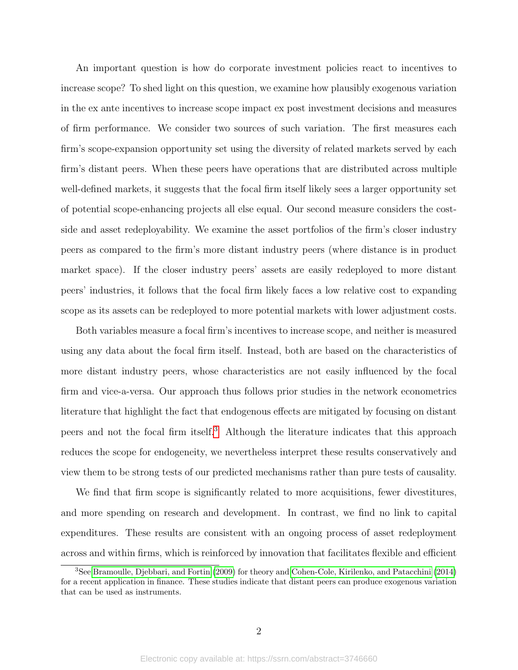An important question is how do corporate investment policies react to incentives to increase scope? To shed light on this question, we examine how plausibly exogenous variation in the ex ante incentives to increase scope impact ex post investment decisions and measures of firm performance. We consider two sources of such variation. The first measures each firm's scope-expansion opportunity set using the diversity of related markets served by each firm's distant peers. When these peers have operations that are distributed across multiple well-defined markets, it suggests that the focal firm itself likely sees a larger opportunity set of potential scope-enhancing projects all else equal. Our second measure considers the costside and asset redeployability. We examine the asset portfolios of the firm's closer industry peers as compared to the firm's more distant industry peers (where distance is in product market space). If the closer industry peers' assets are easily redeployed to more distant peers' industries, it follows that the focal firm likely faces a low relative cost to expanding scope as its assets can be redeployed to more potential markets with lower adjustment costs.

Both variables measure a focal firm's incentives to increase scope, and neither is measured using any data about the focal firm itself. Instead, both are based on the characteristics of more distant industry peers, whose characteristics are not easily influenced by the focal firm and vice-a-versa. Our approach thus follows prior studies in the network econometrics literature that highlight the fact that endogenous effects are mitigated by focusing on distant peers and not the focal firm itself.[3](#page-2-0) Although the literature indicates that this approach reduces the scope for endogeneity, we nevertheless interpret these results conservatively and view them to be strong tests of our predicted mechanisms rather than pure tests of causality.

We find that firm scope is significantly related to more acquisitions, fewer divestitures, and more spending on research and development. In contrast, we find no link to capital expenditures. These results are consistent with an ongoing process of asset redeployment across and within firms, which is reinforced by innovation that facilitates flexible and efficient

<span id="page-2-0"></span><sup>3</sup>See [Bramoulle, Djebbari, and Fortin](#page-39-5) [\(2009\)](#page-39-5) for theory and [Cohen-Cole, Kirilenko, and Patacchini](#page-39-6) [\(2014\)](#page-39-6) for a recent application in finance. These studies indicate that distant peers can produce exogenous variation that can be used as instruments.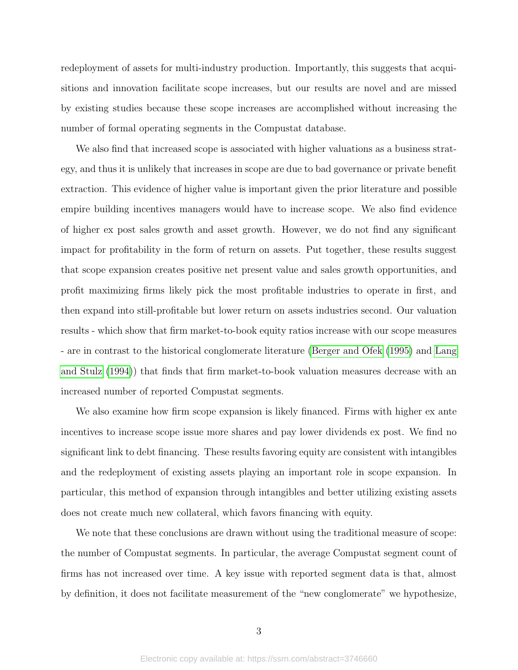redeployment of assets for multi-industry production. Importantly, this suggests that acquisitions and innovation facilitate scope increases, but our results are novel and are missed by existing studies because these scope increases are accomplished without increasing the number of formal operating segments in the Compustat database.

We also find that increased scope is associated with higher valuations as a business strategy, and thus it is unlikely that increases in scope are due to bad governance or private benefit extraction. This evidence of higher value is important given the prior literature and possible empire building incentives managers would have to increase scope. We also find evidence of higher ex post sales growth and asset growth. However, we do not find any significant impact for profitability in the form of return on assets. Put together, these results suggest that scope expansion creates positive net present value and sales growth opportunities, and profit maximizing firms likely pick the most profitable industries to operate in first, and then expand into still-profitable but lower return on assets industries second. Our valuation results - which show that firm market-to-book equity ratios increase with our scope measures - are in contrast to the historical conglomerate literature [\(Berger and Ofek](#page-39-7) [\(1995\)](#page-39-7) and [Lang](#page-40-4) [and Stulz](#page-40-4) [\(1994\)](#page-40-4)) that finds that firm market-to-book valuation measures decrease with an increased number of reported Compustat segments.

We also examine how firm scope expansion is likely financed. Firms with higher ex ante incentives to increase scope issue more shares and pay lower dividends ex post. We find no significant link to debt financing. These results favoring equity are consistent with intangibles and the redeployment of existing assets playing an important role in scope expansion. In particular, this method of expansion through intangibles and better utilizing existing assets does not create much new collateral, which favors financing with equity.

We note that these conclusions are drawn without using the traditional measure of scope: the number of Compustat segments. In particular, the average Compustat segment count of firms has not increased over time. A key issue with reported segment data is that, almost by definition, it does not facilitate measurement of the "new conglomerate" we hypothesize,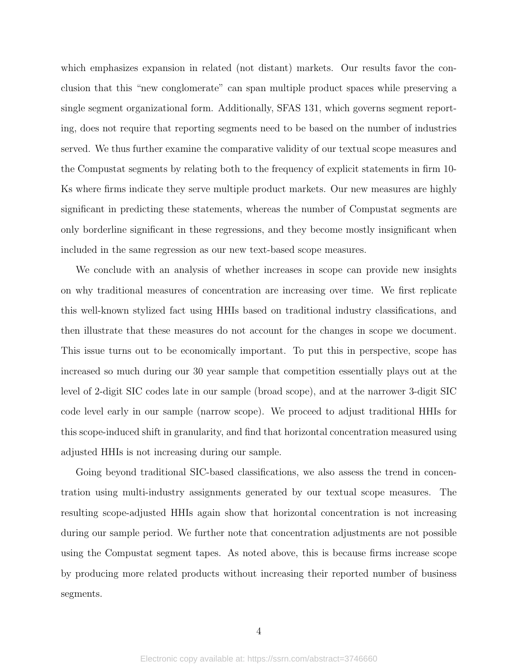which emphasizes expansion in related (not distant) markets. Our results favor the conclusion that this "new conglomerate" can span multiple product spaces while preserving a single segment organizational form. Additionally, SFAS 131, which governs segment reporting, does not require that reporting segments need to be based on the number of industries served. We thus further examine the comparative validity of our textual scope measures and the Compustat segments by relating both to the frequency of explicit statements in firm 10- Ks where firms indicate they serve multiple product markets. Our new measures are highly significant in predicting these statements, whereas the number of Compustat segments are only borderline significant in these regressions, and they become mostly insignificant when included in the same regression as our new text-based scope measures.

We conclude with an analysis of whether increases in scope can provide new insights on why traditional measures of concentration are increasing over time. We first replicate this well-known stylized fact using HHIs based on traditional industry classifications, and then illustrate that these measures do not account for the changes in scope we document. This issue turns out to be economically important. To put this in perspective, scope has increased so much during our 30 year sample that competition essentially plays out at the level of 2-digit SIC codes late in our sample (broad scope), and at the narrower 3-digit SIC code level early in our sample (narrow scope). We proceed to adjust traditional HHIs for this scope-induced shift in granularity, and find that horizontal concentration measured using adjusted HHIs is not increasing during our sample.

Going beyond traditional SIC-based classifications, we also assess the trend in concentration using multi-industry assignments generated by our textual scope measures. The resulting scope-adjusted HHIs again show that horizontal concentration is not increasing during our sample period. We further note that concentration adjustments are not possible using the Compustat segment tapes. As noted above, this is because firms increase scope by producing more related products without increasing their reported number of business segments.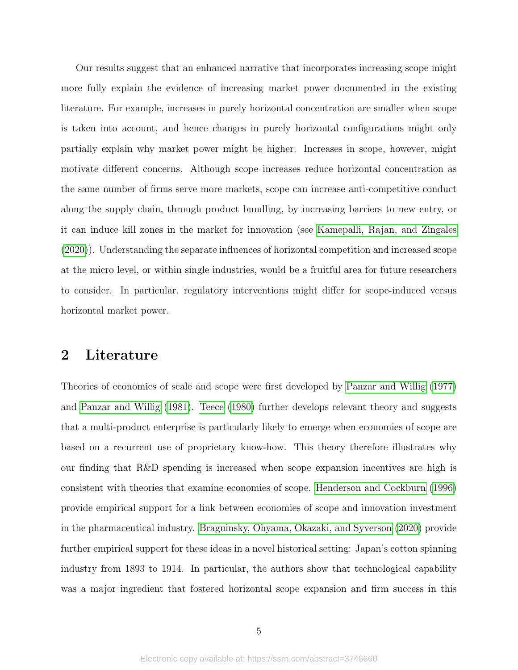Our results suggest that an enhanced narrative that incorporates increasing scope might more fully explain the evidence of increasing market power documented in the existing literature. For example, increases in purely horizontal concentration are smaller when scope is taken into account, and hence changes in purely horizontal configurations might only partially explain why market power might be higher. Increases in scope, however, might motivate different concerns. Although scope increases reduce horizontal concentration as the same number of firms serve more markets, scope can increase anti-competitive conduct along the supply chain, through product bundling, by increasing barriers to new entry, or it can induce kill zones in the market for innovation (see [Kamepalli, Rajan, and Zingales](#page-40-5) [\(2020\)](#page-40-5)). Understanding the separate influences of horizontal competition and increased scope at the micro level, or within single industries, would be a fruitful area for future researchers to consider. In particular, regulatory interventions might differ for scope-induced versus horizontal market power.

# 2 Literature

Theories of economies of scale and scope were first developed by [Panzar and Willig](#page-40-0) [\(1977\)](#page-40-0) and [Panzar and Willig](#page-40-6) [\(1981\)](#page-40-6). [Teece](#page-40-7) [\(1980\)](#page-40-7) further develops relevant theory and suggests that a multi-product enterprise is particularly likely to emerge when economies of scope are based on a recurrent use of proprietary know-how. This theory therefore illustrates why our finding that R&D spending is increased when scope expansion incentives are high is consistent with theories that examine economies of scope. [Henderson and Cockburn](#page-39-8) [\(1996\)](#page-39-8) provide empirical support for a link between economies of scope and innovation investment in the pharmaceutical industry. [Braguinsky, Ohyama, Okazaki, and Syverson](#page-39-9) [\(2020\)](#page-39-9) provide further empirical support for these ideas in a novel historical setting: Japan's cotton spinning industry from 1893 to 1914. In particular, the authors show that technological capability was a major ingredient that fostered horizontal scope expansion and firm success in this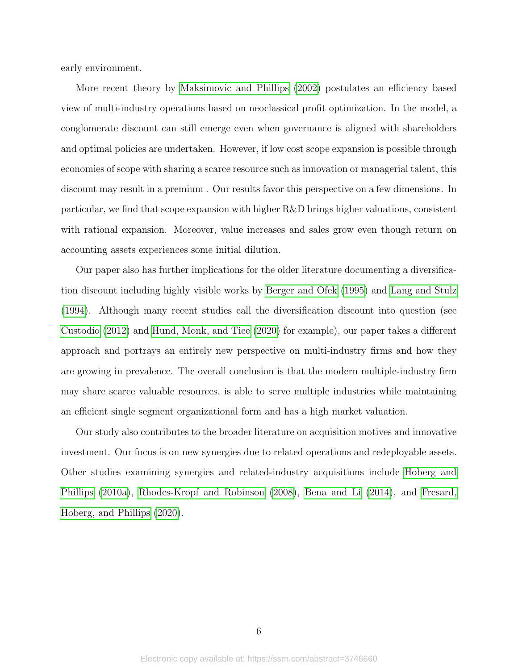early environment.

More recent theory by [Maksimovic and Phillips](#page-40-8) [\(2002\)](#page-40-8) postulates an efficiency based view of multi-industry operations based on neoclassical profit optimization. In the model, a conglomerate discount can still emerge even when governance is aligned with shareholders and optimal policies are undertaken. However, if low cost scope expansion is possible through economies of scope with sharing a scarce resource such as innovation or managerial talent, this discount may result in a premium . Our results favor this perspective on a few dimensions. In particular, we find that scope expansion with higher R&D brings higher valuations, consistent with rational expansion. Moreover, value increases and sales grow even though return on accounting assets experiences some initial dilution.

Our paper also has further implications for the older literature documenting a diversification discount including highly visible works by [Berger and Ofek](#page-39-7) [\(1995\)](#page-39-7) and [Lang and Stulz](#page-40-4) [\(1994\)](#page-40-4). Although many recent studies call the diversification discount into question (see [Custodio](#page-39-10) [\(2012\)](#page-39-10) and [Hund, Monk, and Tice](#page-40-9) [\(2020\)](#page-40-9) for example), our paper takes a different approach and portrays an entirely new perspective on multi-industry firms and how they are growing in prevalence. The overall conclusion is that the modern multiple-industry firm may share scarce valuable resources, is able to serve multiple industries while maintaining an efficient single segment organizational form and has a high market valuation.

Our study also contributes to the broader literature on acquisition motives and innovative investment. Our focus is on new synergies due to related operations and redeployable assets. Other studies examining synergies and related-industry acquisitions include [Hoberg and](#page-39-11) [Phillips](#page-39-11) [\(2010a\)](#page-39-11), [Rhodes-Kropf and Robinson](#page-40-10) [\(2008\)](#page-40-10), [Bena and Li](#page-39-12) [\(2014\)](#page-39-12), and [Fresard,](#page-39-13) [Hoberg, and Phillips](#page-39-13) [\(2020\)](#page-39-13).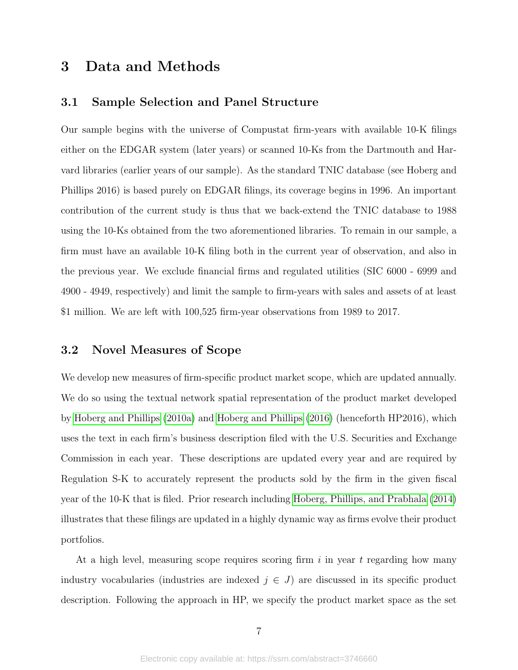# <span id="page-7-0"></span>3 Data and Methods

# 3.1 Sample Selection and Panel Structure

Our sample begins with the universe of Compustat firm-years with available 10-K filings either on the EDGAR system (later years) or scanned 10-Ks from the Dartmouth and Harvard libraries (earlier years of our sample). As the standard TNIC database (see Hoberg and Phillips 2016) is based purely on EDGAR filings, its coverage begins in 1996. An important contribution of the current study is thus that we back-extend the TNIC database to 1988 using the 10-Ks obtained from the two aforementioned libraries. To remain in our sample, a firm must have an available 10-K filing both in the current year of observation, and also in the previous year. We exclude financial firms and regulated utilities (SIC 6000 - 6999 and 4900 - 4949, respectively) and limit the sample to firm-years with sales and assets of at least \$1 million. We are left with 100,525 firm-year observations from 1989 to 2017.

### 3.2 Novel Measures of Scope

We develop new measures of firm-specific product market scope, which are updated annually. We do so using the textual network spatial representation of the product market developed by [Hoberg and Phillips](#page-39-11) [\(2010a\)](#page-39-11) and [Hoberg and Phillips](#page-40-11) [\(2016\)](#page-40-11) (henceforth HP2016), which uses the text in each firm's business description filed with the U.S. Securities and Exchange Commission in each year. These descriptions are updated every year and are required by Regulation S-K to accurately represent the products sold by the firm in the given fiscal year of the 10-K that is filed. Prior research including [Hoberg, Phillips, and Prabhala](#page-40-12) [\(2014\)](#page-40-12) illustrates that these filings are updated in a highly dynamic way as firms evolve their product portfolios.

At a high level, measuring scope requires scoring firm  $i$  in year  $t$  regarding how many industry vocabularies (industries are indexed  $j \in J$ ) are discussed in its specific product description. Following the approach in HP, we specify the product market space as the set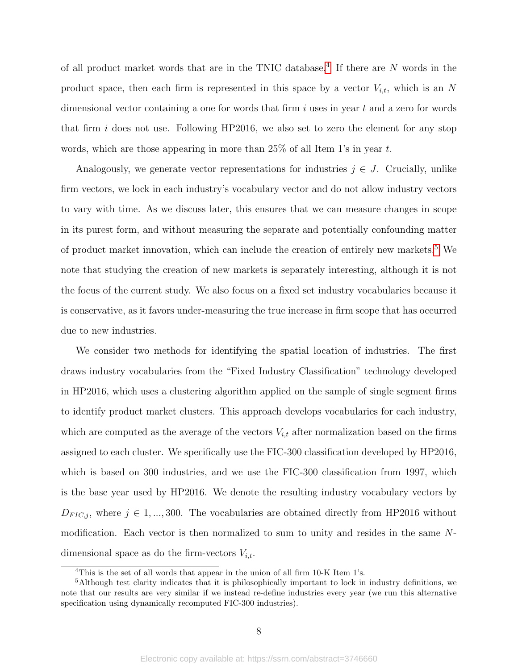of all product market words that are in the TNIC database.<sup>[4](#page-8-0)</sup> If there are N words in the product space, then each firm is represented in this space by a vector  $V_{i,t}$ , which is an N dimensional vector containing a one for words that firm  $i$  uses in year  $t$  and a zero for words that firm  $i$  does not use. Following HP2016, we also set to zero the element for any stop words, which are those appearing in more than 25% of all Item 1's in year t.

Analogously, we generate vector representations for industries  $j \in J$ . Crucially, unlike firm vectors, we lock in each industry's vocabulary vector and do not allow industry vectors to vary with time. As we discuss later, this ensures that we can measure changes in scope in its purest form, and without measuring the separate and potentially confounding matter of product market innovation, which can include the creation of entirely new markets.[5](#page-8-1) We note that studying the creation of new markets is separately interesting, although it is not the focus of the current study. We also focus on a fixed set industry vocabularies because it is conservative, as it favors under-measuring the true increase in firm scope that has occurred due to new industries.

We consider two methods for identifying the spatial location of industries. The first draws industry vocabularies from the "Fixed Industry Classification" technology developed in HP2016, which uses a clustering algorithm applied on the sample of single segment firms to identify product market clusters. This approach develops vocabularies for each industry, which are computed as the average of the vectors  $V_{i,t}$  after normalization based on the firms assigned to each cluster. We specifically use the FIC-300 classification developed by HP2016, which is based on 300 industries, and we use the FIC-300 classification from 1997, which is the base year used by HP2016. We denote the resulting industry vocabulary vectors by  $D_{FIC,j}$ , where  $j \in 1, ..., 300$ . The vocabularies are obtained directly from HP2016 without modification. Each vector is then normalized to sum to unity and resides in the same Ndimensional space as do the firm-vectors  $V_{i,t}$ .

<span id="page-8-1"></span><span id="page-8-0"></span><sup>&</sup>lt;sup>4</sup>This is the set of all words that appear in the union of all firm 10-K Item 1's.

<sup>5</sup>Although test clarity indicates that it is philosophically important to lock in industry definitions, we note that our results are very similar if we instead re-define industries every year (we run this alternative specification using dynamically recomputed FIC-300 industries).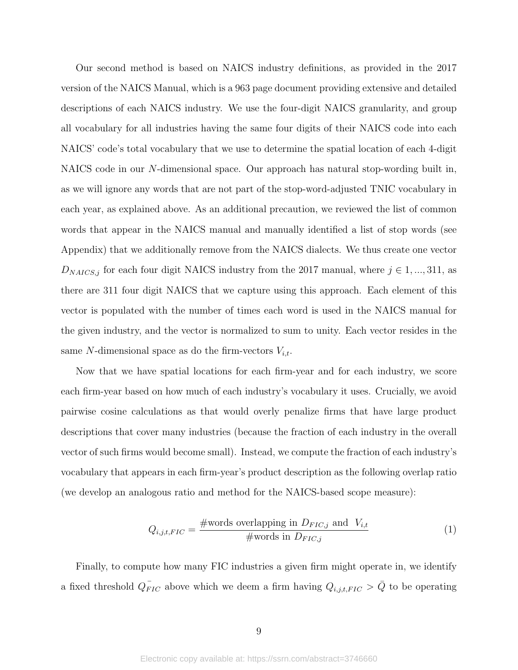Our second method is based on NAICS industry definitions, as provided in the 2017 version of the NAICS Manual, which is a 963 page document providing extensive and detailed descriptions of each NAICS industry. We use the four-digit NAICS granularity, and group all vocabulary for all industries having the same four digits of their NAICS code into each NAICS' code's total vocabulary that we use to determine the spatial location of each 4-digit NAICS code in our N-dimensional space. Our approach has natural stop-wording built in, as we will ignore any words that are not part of the stop-word-adjusted TNIC vocabulary in each year, as explained above. As an additional precaution, we reviewed the list of common words that appear in the NAICS manual and manually identified a list of stop words (see Appendix) that we additionally remove from the NAICS dialects. We thus create one vector  $D_{NAICS,j}$  for each four digit NAICS industry from the 2017 manual, where  $j \in 1, ..., 311$ , as there are 311 four digit NAICS that we capture using this approach. Each element of this vector is populated with the number of times each word is used in the NAICS manual for the given industry, and the vector is normalized to sum to unity. Each vector resides in the same N-dimensional space as do the firm-vectors  $V_{i,t}$ .

Now that we have spatial locations for each firm-year and for each industry, we score each firm-year based on how much of each industry's vocabulary it uses. Crucially, we avoid pairwise cosine calculations as that would overly penalize firms that have large product descriptions that cover many industries (because the fraction of each industry in the overall vector of such firms would become small). Instead, we compute the fraction of each industry's vocabulary that appears in each firm-year's product description as the following overlap ratio (we develop an analogous ratio and method for the NAICS-based scope measure):

$$
Q_{i,j,t,FIC} = \frac{\text{#words overlapping in } D_{FIC,j} \text{ and } V_{i,t}}{\text{#words in } D_{FIC,j}}
$$
(1)

Finally, to compute how many FIC industries a given firm might operate in, we identify a fixed threshold  $Q_{FIC}$  above which we deem a firm having  $Q_{i,j,t,FIC} > \bar{Q}$  to be operating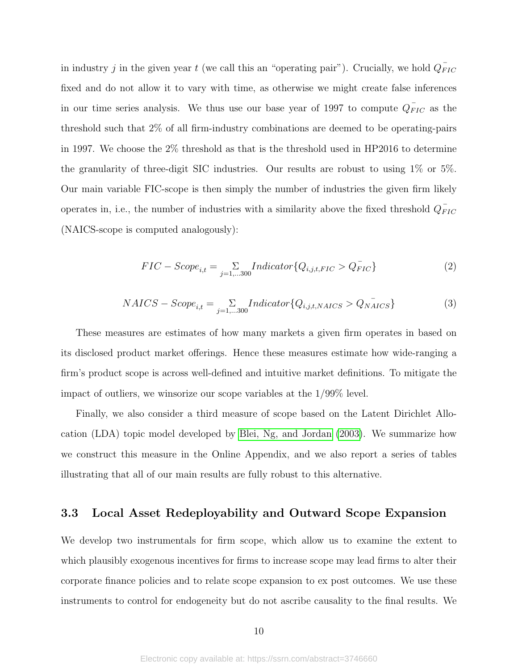in industry j in the given year t (we call this an "operating pair"). Crucially, we hold  $Q_{FIC}^{\dagger}$ fixed and do not allow it to vary with time, as otherwise we might create false inferences in our time series analysis. We thus use our base year of 1997 to compute  $Q_{FIC}$  as the threshold such that 2% of all firm-industry combinations are deemed to be operating-pairs in 1997. We choose the 2% threshold as that is the threshold used in HP2016 to determine the granularity of three-digit SIC industries. Our results are robust to using 1% or 5%. Our main variable FIC-scope is then simply the number of industries the given firm likely operates in, i.e., the number of industries with a similarity above the fixed threshold  $Q_{FIC}^-$ (NAICS-scope is computed analogously):

<span id="page-10-0"></span>
$$
FIC - Score_{i,t} = \sum_{j=1,...300} Indicator \{Q_{i,j,t,FIC} > Q_{FIC}^{-}\}
$$
 (2)

$$
NAICS - Score_{i,t} = \sum_{j=1,...300} Indicator \{Q_{i,j,t,NAICS} > Q_{NAICS}\}
$$
 (3)

These measures are estimates of how many markets a given firm operates in based on its disclosed product market offerings. Hence these measures estimate how wide-ranging a firm's product scope is across well-defined and intuitive market definitions. To mitigate the impact of outliers, we winsorize our scope variables at the 1/99% level.

Finally, we also consider a third measure of scope based on the Latent Dirichlet Allocation (LDA) topic model developed by [Blei, Ng, and Jordan](#page-39-14) [\(2003\)](#page-39-14). We summarize how we construct this measure in the Online Appendix, and we also report a series of tables illustrating that all of our main results are fully robust to this alternative.

# <span id="page-10-1"></span>3.3 Local Asset Redeployability and Outward Scope Expansion

We develop two instrumentals for firm scope, which allow us to examine the extent to which plausibly exogenous incentives for firms to increase scope may lead firms to alter their corporate finance policies and to relate scope expansion to ex post outcomes. We use these instruments to control for endogeneity but do not ascribe causality to the final results. We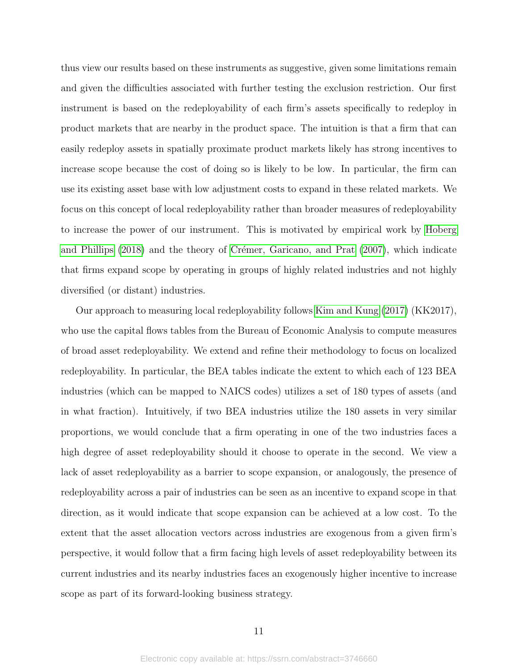thus view our results based on these instruments as suggestive, given some limitations remain and given the difficulties associated with further testing the exclusion restriction. Our first instrument is based on the redeployability of each firm's assets specifically to redeploy in product markets that are nearby in the product space. The intuition is that a firm that can easily redeploy assets in spatially proximate product markets likely has strong incentives to increase scope because the cost of doing so is likely to be low. In particular, the firm can use its existing asset base with low adjustment costs to expand in these related markets. We focus on this concept of local redeployability rather than broader measures of redeployability to increase the power of our instrument. This is motivated by empirical work by [Hoberg](#page-40-13) [and Phillips](#page-40-13)  $(2018)$  and the theory of Crémer, Garicano, and Prat  $(2007)$ , which indicate that firms expand scope by operating in groups of highly related industries and not highly diversified (or distant) industries.

Our approach to measuring local redeployability follows [Kim and Kung](#page-40-14) [\(2017\)](#page-40-14) (KK2017), who use the capital flows tables from the Bureau of Economic Analysis to compute measures of broad asset redeployability. We extend and refine their methodology to focus on localized redeployability. In particular, the BEA tables indicate the extent to which each of 123 BEA industries (which can be mapped to NAICS codes) utilizes a set of 180 types of assets (and in what fraction). Intuitively, if two BEA industries utilize the 180 assets in very similar proportions, we would conclude that a firm operating in one of the two industries faces a high degree of asset redeployability should it choose to operate in the second. We view a lack of asset redeployability as a barrier to scope expansion, or analogously, the presence of redeployability across a pair of industries can be seen as an incentive to expand scope in that direction, as it would indicate that scope expansion can be achieved at a low cost. To the extent that the asset allocation vectors across industries are exogenous from a given firm's perspective, it would follow that a firm facing high levels of asset redeployability between its current industries and its nearby industries faces an exogenously higher incentive to increase scope as part of its forward-looking business strategy.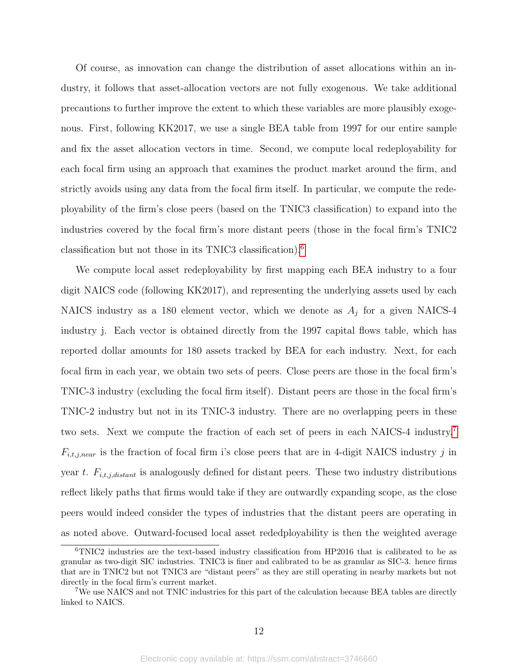Of course, as innovation can change the distribution of asset allocations within an industry, it follows that asset-allocation vectors are not fully exogenous. We take additional precautions to further improve the extent to which these variables are more plausibly exogenous. First, following KK2017, we use a single BEA table from 1997 for our entire sample and fix the asset allocation vectors in time. Second, we compute local redeployability for each focal firm using an approach that examines the product market around the firm, and strictly avoids using any data from the focal firm itself. In particular, we compute the redeployability of the firm's close peers (based on the TNIC3 classification) to expand into the industries covered by the focal firm's more distant peers (those in the focal firm's TNIC2 classification but not those in its TNIC3 classification).[6](#page-12-0)

We compute local asset redeployability by first mapping each BEA industry to a four digit NAICS code (following KK2017), and representing the underlying assets used by each NAICS industry as a 180 element vector, which we denote as  $A_j$  for a given NAICS-4 industry j. Each vector is obtained directly from the 1997 capital flows table, which has reported dollar amounts for 180 assets tracked by BEA for each industry. Next, for each focal firm in each year, we obtain two sets of peers. Close peers are those in the focal firm's TNIC-3 industry (excluding the focal firm itself). Distant peers are those in the focal firm's TNIC-2 industry but not in its TNIC-3 industry. There are no overlapping peers in these two sets. Next we compute the fraction of each set of peers in each NAICS-4 industry.[7](#page-12-1)  $F_{i,t,j,near}$  is the fraction of focal firm i's close peers that are in 4-digit NAICS industry j in year t.  $F_{i,t,j,distant}$  is analogously defined for distant peers. These two industry distributions reflect likely paths that firms would take if they are outwardly expanding scope, as the close peers would indeed consider the types of industries that the distant peers are operating in as noted above. Outward-focused local asset rededployability is then the weighted average

<span id="page-12-0"></span><sup>6</sup>TNIC2 industries are the text-based industry classification from HP2016 that is calibrated to be as granular as two-digit SIC industries. TNIC3 is finer and calibrated to be as granular as SIC-3. hence firms that are in TNIC2 but not TNIC3 are "distant peers" as they are still operating in nearby markets but not directly in the focal firm's current market.

<span id="page-12-1"></span><sup>7</sup>We use NAICS and not TNIC industries for this part of the calculation because BEA tables are directly linked to NAICS.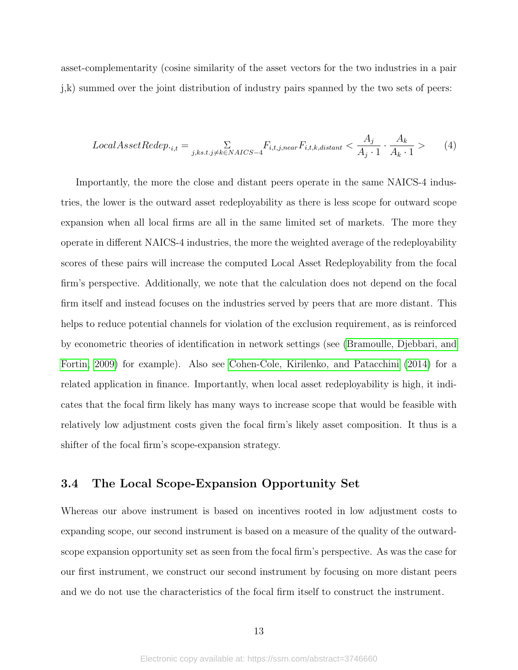asset-complementarity (cosine similarity of the asset vectors for the two industries in a pair j,k) summed over the joint distribution of industry pairs spanned by the two sets of peers:

$$
Local AssetRedep._{i,t} = \sum_{j,ks,t,j \neq k \in NACS - 4} F_{i,t,j,near} F_{i,t,k,distant} < \frac{A_j}{A_j \cdot 1} \cdot \frac{A_k}{A_k \cdot 1} > \tag{4}
$$

Importantly, the more the close and distant peers operate in the same NAICS-4 industries, the lower is the outward asset redeployability as there is less scope for outward scope expansion when all local firms are all in the same limited set of markets. The more they operate in different NAICS-4 industries, the more the weighted average of the redeployability scores of these pairs will increase the computed Local Asset Redeployability from the focal firm's perspective. Additionally, we note that the calculation does not depend on the focal firm itself and instead focuses on the industries served by peers that are more distant. This helps to reduce potential channels for violation of the exclusion requirement, as is reinforced by econometric theories of identification in network settings (see [\(Bramoulle, Djebbari, and](#page-39-5) [Fortin, 2009\)](#page-39-5) for example). Also see [Cohen-Cole, Kirilenko, and Patacchini](#page-39-6) [\(2014\)](#page-39-6) for a related application in finance. Importantly, when local asset redeployability is high, it indicates that the focal firm likely has many ways to increase scope that would be feasible with relatively low adjustment costs given the focal firm's likely asset composition. It thus is a shifter of the focal firm's scope-expansion strategy.

# 3.4 The Local Scope-Expansion Opportunity Set

Whereas our above instrument is based on incentives rooted in low adjustment costs to expanding scope, our second instrument is based on a measure of the quality of the outwardscope expansion opportunity set as seen from the focal firm's perspective. As was the case for our first instrument, we construct our second instrument by focusing on more distant peers and we do not use the characteristics of the focal firm itself to construct the instrument.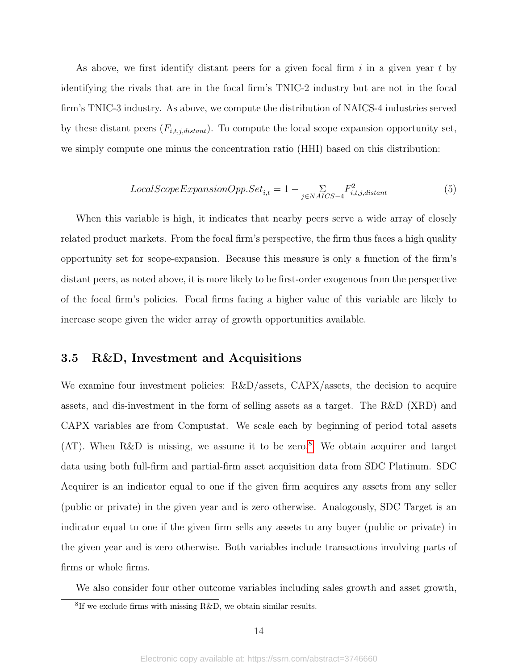As above, we first identify distant peers for a given focal firm i in a given year t by identifying the rivals that are in the focal firm's TNIC-2 industry but are not in the focal firm's TNIC-3 industry. As above, we compute the distribution of NAICS-4 industries served by these distant peers  $(F_{i,t,j,distant})$ . To compute the local scope expansion opportunity set, we simply compute one minus the concentration ratio (HHI) based on this distribution:

$$
LocalScopeExpansionOpp. Set_{i,t} = 1 - \sum_{j \in NACS-4} F_{i,t,j,distant}^2 \tag{5}
$$

When this variable is high, it indicates that nearby peers serve a wide array of closely related product markets. From the focal firm's perspective, the firm thus faces a high quality opportunity set for scope-expansion. Because this measure is only a function of the firm's distant peers, as noted above, it is more likely to be first-order exogenous from the perspective of the focal firm's policies. Focal firms facing a higher value of this variable are likely to increase scope given the wider array of growth opportunities available.

# 3.5 R&D, Investment and Acquisitions

We examine four investment policies: R&D/assets, CAPX/assets, the decision to acquire assets, and dis-investment in the form of selling assets as a target. The R&D (XRD) and CAPX variables are from Compustat. We scale each by beginning of period total assets (AT). When R&D is missing, we assume it to be zero.<sup>[8](#page-14-0)</sup> We obtain acquirer and target data using both full-firm and partial-firm asset acquisition data from SDC Platinum. SDC Acquirer is an indicator equal to one if the given firm acquires any assets from any seller (public or private) in the given year and is zero otherwise. Analogously, SDC Target is an indicator equal to one if the given firm sells any assets to any buyer (public or private) in the given year and is zero otherwise. Both variables include transactions involving parts of firms or whole firms.

We also consider four other outcome variables including sales growth and asset growth,

<span id="page-14-0"></span><sup>8</sup> If we exclude firms with missing R&D, we obtain similar results.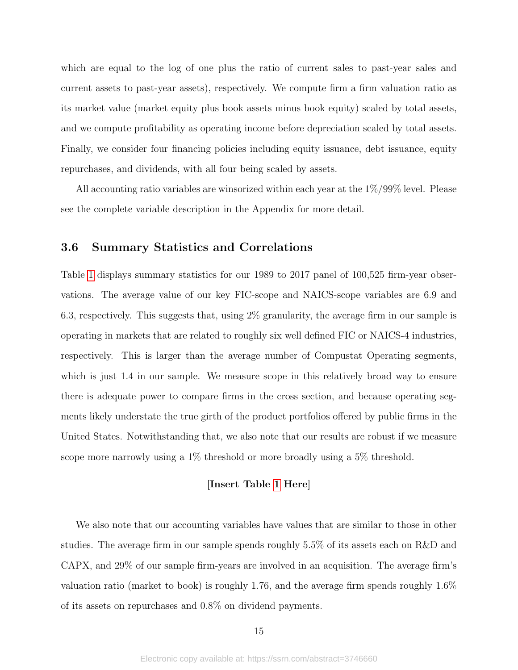which are equal to the log of one plus the ratio of current sales to past-year sales and current assets to past-year assets), respectively. We compute firm a firm valuation ratio as its market value (market equity plus book assets minus book equity) scaled by total assets, and we compute profitability as operating income before depreciation scaled by total assets. Finally, we consider four financing policies including equity issuance, debt issuance, equity repurchases, and dividends, with all four being scaled by assets.

All accounting ratio variables are winsorized within each year at the 1%/99% level. Please see the complete variable description in the Appendix for more detail.

# 3.6 Summary Statistics and Correlations

Table [1](#page-43-0) displays summary statistics for our 1989 to 2017 panel of 100,525 firm-year observations. The average value of our key FIC-scope and NAICS-scope variables are 6.9 and 6.3, respectively. This suggests that, using 2% granularity, the average firm in our sample is operating in markets that are related to roughly six well defined FIC or NAICS-4 industries, respectively. This is larger than the average number of Compustat Operating segments, which is just 1.4 in our sample. We measure scope in this relatively broad way to ensure there is adequate power to compare firms in the cross section, and because operating segments likely understate the true girth of the product portfolios offered by public firms in the United States. Notwithstanding that, we also note that our results are robust if we measure scope more narrowly using a 1% threshold or more broadly using a 5% threshold.

#### [Insert Table [1](#page-43-0) Here]

We also note that our accounting variables have values that are similar to those in other studies. The average firm in our sample spends roughly 5.5% of its assets each on R&D and CAPX, and 29% of our sample firm-years are involved in an acquisition. The average firm's valuation ratio (market to book) is roughly 1.76, and the average firm spends roughly 1.6% of its assets on repurchases and 0.8% on dividend payments.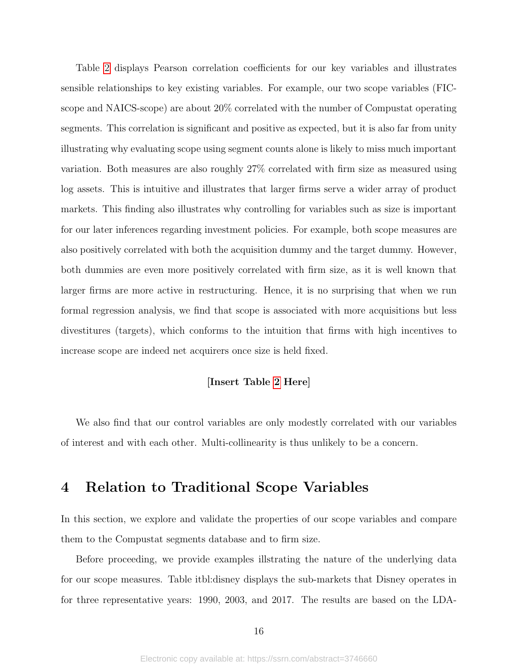Table [2](#page-44-0) displays Pearson correlation coefficients for our key variables and illustrates sensible relationships to key existing variables. For example, our two scope variables (FICscope and NAICS-scope) are about 20% correlated with the number of Compustat operating segments. This correlation is significant and positive as expected, but it is also far from unity illustrating why evaluating scope using segment counts alone is likely to miss much important variation. Both measures are also roughly 27% correlated with firm size as measured using log assets. This is intuitive and illustrates that larger firms serve a wider array of product markets. This finding also illustrates why controlling for variables such as size is important for our later inferences regarding investment policies. For example, both scope measures are also positively correlated with both the acquisition dummy and the target dummy. However, both dummies are even more positively correlated with firm size, as it is well known that larger firms are more active in restructuring. Hence, it is no surprising that when we run formal regression analysis, we find that scope is associated with more acquisitions but less divestitures (targets), which conforms to the intuition that firms with high incentives to increase scope are indeed net acquirers once size is held fixed.

# [Insert Table [2](#page-44-0) Here]

We also find that our control variables are only modestly correlated with our variables of interest and with each other. Multi-collinearity is thus unlikely to be a concern.

# 4 Relation to Traditional Scope Variables

In this section, we explore and validate the properties of our scope variables and compare them to the Compustat segments database and to firm size.

Before proceeding, we provide examples illstrating the nature of the underlying data for our scope measures. Table itbl:disney displays the sub-markets that Disney operates in for three representative years: 1990, 2003, and 2017. The results are based on the LDA-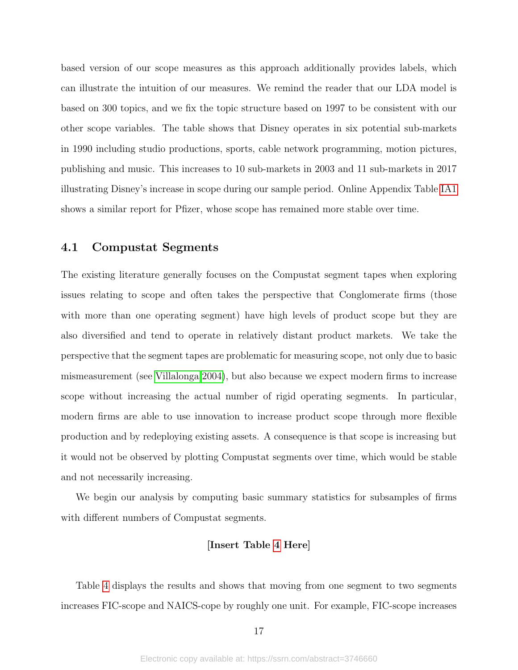based version of our scope measures as this approach additionally provides labels, which can illustrate the intuition of our measures. We remind the reader that our LDA model is based on 300 topics, and we fix the topic structure based on 1997 to be consistent with our other scope variables. The table shows that Disney operates in six potential sub-markets in 1990 including studio productions, sports, cable network programming, motion pictures, publishing and music. This increases to 10 sub-markets in 2003 and 11 sub-markets in 2017 illustrating Disney's increase in scope during our sample period. Online Appendix Table [IA1](#page-65-0) shows a similar report for Pfizer, whose scope has remained more stable over time.

### 4.1 Compustat Segments

The existing literature generally focuses on the Compustat segment tapes when exploring issues relating to scope and often takes the perspective that Conglomerate firms (those with more than one operating segment) have high levels of product scope but they are also diversified and tend to operate in relatively distant product markets. We take the perspective that the segment tapes are problematic for measuring scope, not only due to basic mismeasurement (see [Villalonga 2004\)](#page-40-15), but also because we expect modern firms to increase scope without increasing the actual number of rigid operating segments. In particular, modern firms are able to use innovation to increase product scope through more flexible production and by redeploying existing assets. A consequence is that scope is increasing but it would not be observed by plotting Compustat segments over time, which would be stable and not necessarily increasing.

We begin our analysis by computing basic summary statistics for subsamples of firms with different numbers of Compustat segments.

#### [Insert Table [4](#page-46-0) Here]

Table [4](#page-46-0) displays the results and shows that moving from one segment to two segments increases FIC-scope and NAICS-cope by roughly one unit. For example, FIC-scope increases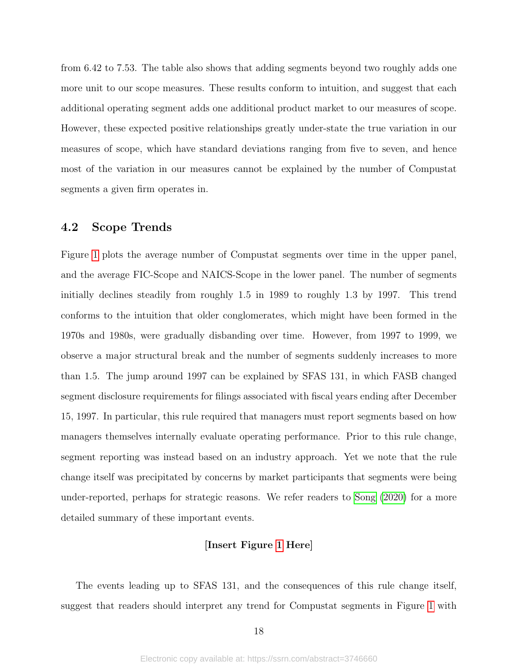from 6.42 to 7.53. The table also shows that adding segments beyond two roughly adds one more unit to our scope measures. These results conform to intuition, and suggest that each additional operating segment adds one additional product market to our measures of scope. However, these expected positive relationships greatly under-state the true variation in our measures of scope, which have standard deviations ranging from five to seven, and hence most of the variation in our measures cannot be explained by the number of Compustat segments a given firm operates in.

### 4.2 Scope Trends

Figure [1](#page-57-0) plots the average number of Compustat segments over time in the upper panel, and the average FIC-Scope and NAICS-Scope in the lower panel. The number of segments initially declines steadily from roughly 1.5 in 1989 to roughly 1.3 by 1997. This trend conforms to the intuition that older conglomerates, which might have been formed in the 1970s and 1980s, were gradually disbanding over time. However, from 1997 to 1999, we observe a major structural break and the number of segments suddenly increases to more than 1.5. The jump around 1997 can be explained by SFAS 131, in which FASB changed segment disclosure requirements for filings associated with fiscal years ending after December 15, 1997. In particular, this rule required that managers must report segments based on how managers themselves internally evaluate operating performance. Prior to this rule change, segment reporting was instead based on an industry approach. Yet we note that the rule change itself was precipitated by concerns by market participants that segments were being under-reported, perhaps for strategic reasons. We refer readers to [Song](#page-40-16) [\(2020\)](#page-40-16) for a more detailed summary of these important events.

#### [Insert Figure [1](#page-57-0) Here]

The events leading up to SFAS 131, and the consequences of this rule change itself, suggest that readers should interpret any trend for Compustat segments in Figure [1](#page-57-0) with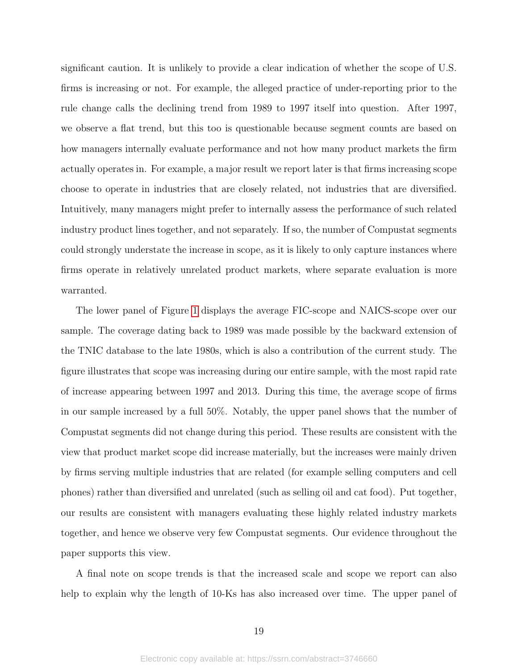significant caution. It is unlikely to provide a clear indication of whether the scope of U.S. firms is increasing or not. For example, the alleged practice of under-reporting prior to the rule change calls the declining trend from 1989 to 1997 itself into question. After 1997, we observe a flat trend, but this too is questionable because segment counts are based on how managers internally evaluate performance and not how many product markets the firm actually operates in. For example, a major result we report later is that firms increasing scope choose to operate in industries that are closely related, not industries that are diversified. Intuitively, many managers might prefer to internally assess the performance of such related industry product lines together, and not separately. If so, the number of Compustat segments could strongly understate the increase in scope, as it is likely to only capture instances where firms operate in relatively unrelated product markets, where separate evaluation is more warranted.

The lower panel of Figure [1](#page-57-0) displays the average FIC-scope and NAICS-scope over our sample. The coverage dating back to 1989 was made possible by the backward extension of the TNIC database to the late 1980s, which is also a contribution of the current study. The figure illustrates that scope was increasing during our entire sample, with the most rapid rate of increase appearing between 1997 and 2013. During this time, the average scope of firms in our sample increased by a full 50%. Notably, the upper panel shows that the number of Compustat segments did not change during this period. These results are consistent with the view that product market scope did increase materially, but the increases were mainly driven by firms serving multiple industries that are related (for example selling computers and cell phones) rather than diversified and unrelated (such as selling oil and cat food). Put together, our results are consistent with managers evaluating these highly related industry markets together, and hence we observe very few Compustat segments. Our evidence throughout the paper supports this view.

A final note on scope trends is that the increased scale and scope we report can also help to explain why the length of 10-Ks has also increased over time. The upper panel of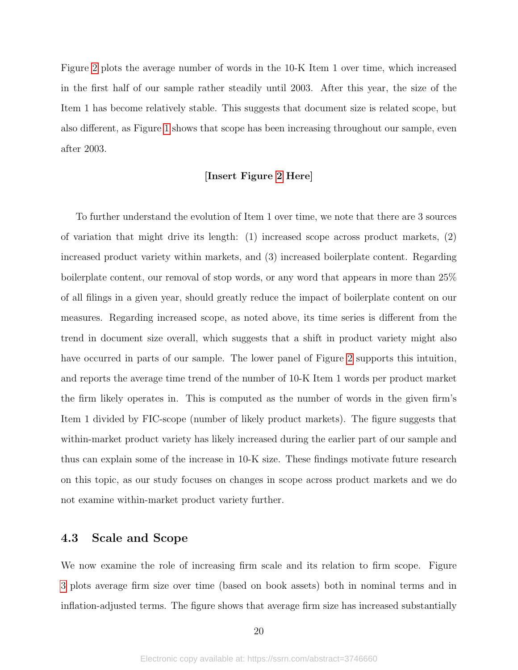Figure [2](#page-58-0) plots the average number of words in the 10-K Item 1 over time, which increased in the first half of our sample rather steadily until 2003. After this year, the size of the Item 1 has become relatively stable. This suggests that document size is related scope, but also different, as Figure [1](#page-57-0) shows that scope has been increasing throughout our sample, even after 2003.

#### [Insert Figure [2](#page-58-0) Here]

To further understand the evolution of Item 1 over time, we note that there are 3 sources of variation that might drive its length: (1) increased scope across product markets, (2) increased product variety within markets, and (3) increased boilerplate content. Regarding boilerplate content, our removal of stop words, or any word that appears in more than 25% of all filings in a given year, should greatly reduce the impact of boilerplate content on our measures. Regarding increased scope, as noted above, its time series is different from the trend in document size overall, which suggests that a shift in product variety might also have occurred in parts of our sample. The lower panel of Figure [2](#page-58-0) supports this intuition, and reports the average time trend of the number of 10-K Item 1 words per product market the firm likely operates in. This is computed as the number of words in the given firm's Item 1 divided by FIC-scope (number of likely product markets). The figure suggests that within-market product variety has likely increased during the earlier part of our sample and thus can explain some of the increase in 10-K size. These findings motivate future research on this topic, as our study focuses on changes in scope across product markets and we do not examine within-market product variety further.

# 4.3 Scale and Scope

We now examine the role of increasing firm scale and its relation to firm scope. Figure [3](#page-59-0) plots average firm size over time (based on book assets) both in nominal terms and in inflation-adjusted terms. The figure shows that average firm size has increased substantially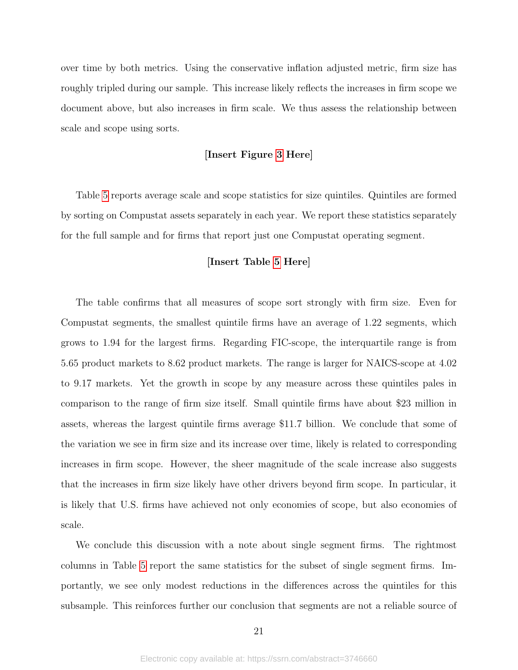over time by both metrics. Using the conservative inflation adjusted metric, firm size has roughly tripled during our sample. This increase likely reflects the increases in firm scope we document above, but also increases in firm scale. We thus assess the relationship between scale and scope using sorts.

#### [Insert Figure [3](#page-59-0) Here]

Table [5](#page-47-0) reports average scale and scope statistics for size quintiles. Quintiles are formed by sorting on Compustat assets separately in each year. We report these statistics separately for the full sample and for firms that report just one Compustat operating segment.

#### [Insert Table [5](#page-47-0) Here]

The table confirms that all measures of scope sort strongly with firm size. Even for Compustat segments, the smallest quintile firms have an average of 1.22 segments, which grows to 1.94 for the largest firms. Regarding FIC-scope, the interquartile range is from 5.65 product markets to 8.62 product markets. The range is larger for NAICS-scope at 4.02 to 9.17 markets. Yet the growth in scope by any measure across these quintiles pales in comparison to the range of firm size itself. Small quintile firms have about \$23 million in assets, whereas the largest quintile firms average \$11.7 billion. We conclude that some of the variation we see in firm size and its increase over time, likely is related to corresponding increases in firm scope. However, the sheer magnitude of the scale increase also suggests that the increases in firm size likely have other drivers beyond firm scope. In particular, it is likely that U.S. firms have achieved not only economies of scope, but also economies of scale.

We conclude this discussion with a note about single segment firms. The rightmost columns in Table [5](#page-47-0) report the same statistics for the subset of single segment firms. Importantly, we see only modest reductions in the differences across the quintiles for this subsample. This reinforces further our conclusion that segments are not a reliable source of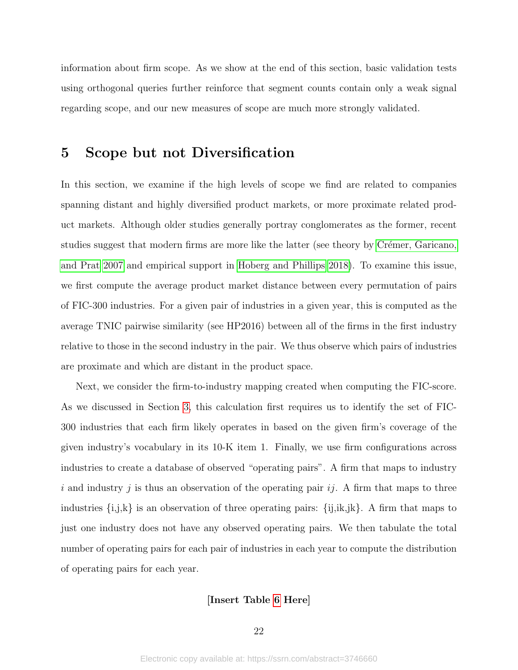information about firm scope. As we show at the end of this section, basic validation tests using orthogonal queries further reinforce that segment counts contain only a weak signal regarding scope, and our new measures of scope are much more strongly validated.

# 5 Scope but not Diversification

In this section, we examine if the high levels of scope we find are related to companies spanning distant and highly diversified product markets, or more proximate related product markets. Although older studies generally portray conglomerates as the former, recent studies suggest that modern firms are more like the latter (see theory by Crémer, Garicano, [and Prat 2007](#page-39-15) and empirical support in [Hoberg and Phillips 2018\)](#page-40-13). To examine this issue, we first compute the average product market distance between every permutation of pairs of FIC-300 industries. For a given pair of industries in a given year, this is computed as the average TNIC pairwise similarity (see HP2016) between all of the firms in the first industry relative to those in the second industry in the pair. We thus observe which pairs of industries are proximate and which are distant in the product space.

Next, we consider the firm-to-industry mapping created when computing the FIC-score. As we discussed in Section [3,](#page-7-0) this calculation first requires us to identify the set of FIC-300 industries that each firm likely operates in based on the given firm's coverage of the given industry's vocabulary in its 10-K item 1. Finally, we use firm configurations across industries to create a database of observed "operating pairs". A firm that maps to industry i and industry j is thus an observation of the operating pair  $ij$ . A firm that maps to three industries  $\{i,j,k\}$  is an observation of three operating pairs:  $\{i,j,k,k\}$ . A firm that maps to just one industry does not have any observed operating pairs. We then tabulate the total number of operating pairs for each pair of industries in each year to compute the distribution of operating pairs for each year.

#### [Insert Table [6](#page-48-0) Here]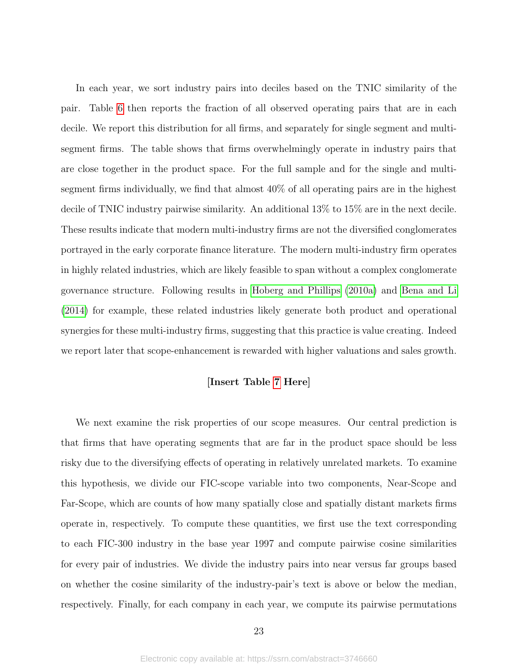In each year, we sort industry pairs into deciles based on the TNIC similarity of the pair. Table [6](#page-48-0) then reports the fraction of all observed operating pairs that are in each decile. We report this distribution for all firms, and separately for single segment and multisegment firms. The table shows that firms overwhelmingly operate in industry pairs that are close together in the product space. For the full sample and for the single and multisegment firms individually, we find that almost 40% of all operating pairs are in the highest decile of TNIC industry pairwise similarity. An additional 13% to 15% are in the next decile. These results indicate that modern multi-industry firms are not the diversified conglomerates portrayed in the early corporate finance literature. The modern multi-industry firm operates in highly related industries, which are likely feasible to span without a complex conglomerate governance structure. Following results in [Hoberg and Phillips](#page-39-11) [\(2010a\)](#page-39-11) and [Bena and Li](#page-39-12) [\(2014\)](#page-39-12) for example, these related industries likely generate both product and operational synergies for these multi-industry firms, suggesting that this practice is value creating. Indeed we report later that scope-enhancement is rewarded with higher valuations and sales growth.

### [Insert Table [7](#page-49-0) Here]

We next examine the risk properties of our scope measures. Our central prediction is that firms that have operating segments that are far in the product space should be less risky due to the diversifying effects of operating in relatively unrelated markets. To examine this hypothesis, we divide our FIC-scope variable into two components, Near-Scope and Far-Scope, which are counts of how many spatially close and spatially distant markets firms operate in, respectively. To compute these quantities, we first use the text corresponding to each FIC-300 industry in the base year 1997 and compute pairwise cosine similarities for every pair of industries. We divide the industry pairs into near versus far groups based on whether the cosine similarity of the industry-pair's text is above or below the median, respectively. Finally, for each company in each year, we compute its pairwise permutations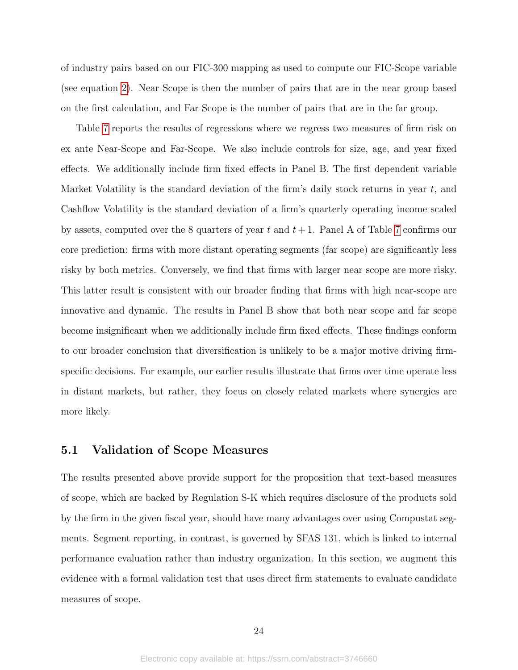of industry pairs based on our FIC-300 mapping as used to compute our FIC-Scope variable (see equation [2\)](#page-10-0). Near Scope is then the number of pairs that are in the near group based on the first calculation, and Far Scope is the number of pairs that are in the far group.

Table [7](#page-49-0) reports the results of regressions where we regress two measures of firm risk on ex ante Near-Scope and Far-Scope. We also include controls for size, age, and year fixed effects. We additionally include firm fixed effects in Panel B. The first dependent variable Market Volatility is the standard deviation of the firm's daily stock returns in year  $t$ , and Cashflow Volatility is the standard deviation of a firm's quarterly operating income scaled by assets, computed over the 8 quarters of year t and  $t + 1$ . Panel A of Table [7](#page-49-0) confirms our core prediction: firms with more distant operating segments (far scope) are significantly less risky by both metrics. Conversely, we find that firms with larger near scope are more risky. This latter result is consistent with our broader finding that firms with high near-scope are innovative and dynamic. The results in Panel B show that both near scope and far scope become insignificant when we additionally include firm fixed effects. These findings conform to our broader conclusion that diversification is unlikely to be a major motive driving firmspecific decisions. For example, our earlier results illustrate that firms over time operate less in distant markets, but rather, they focus on closely related markets where synergies are more likely.

### 5.1 Validation of Scope Measures

The results presented above provide support for the proposition that text-based measures of scope, which are backed by Regulation S-K which requires disclosure of the products sold by the firm in the given fiscal year, should have many advantages over using Compustat segments. Segment reporting, in contrast, is governed by SFAS 131, which is linked to internal performance evaluation rather than industry organization. In this section, we augment this evidence with a formal validation test that uses direct firm statements to evaluate candidate measures of scope.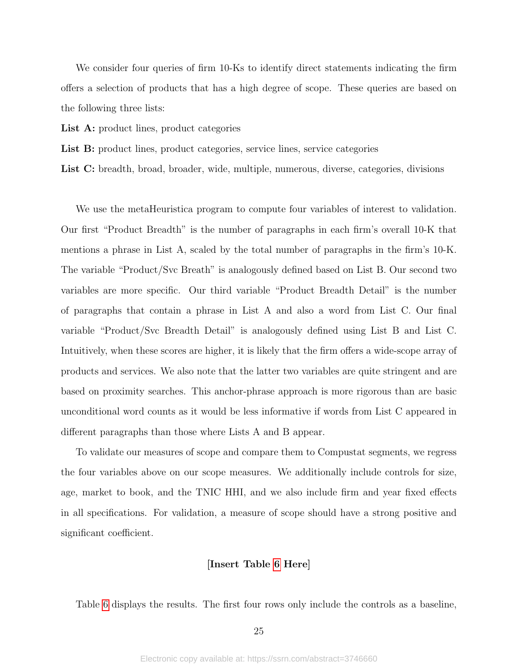We consider four queries of firm 10-Ks to identify direct statements indicating the firm offers a selection of products that has a high degree of scope. These queries are based on the following three lists:

List A: product lines, product categories

List B: product lines, product categories, service lines, service categories

List C: breadth, broad, broader, wide, multiple, numerous, diverse, categories, divisions

We use the metaHeuristica program to compute four variables of interest to validation. Our first "Product Breadth" is the number of paragraphs in each firm's overall 10-K that mentions a phrase in List A, scaled by the total number of paragraphs in the firm's 10-K. The variable "Product/Svc Breath" is analogously defined based on List B. Our second two variables are more specific. Our third variable "Product Breadth Detail" is the number of paragraphs that contain a phrase in List A and also a word from List C. Our final variable "Product/Svc Breadth Detail" is analogously defined using List B and List C. Intuitively, when these scores are higher, it is likely that the firm offers a wide-scope array of products and services. We also note that the latter two variables are quite stringent and are based on proximity searches. This anchor-phrase approach is more rigorous than are basic unconditional word counts as it would be less informative if words from List C appeared in different paragraphs than those where Lists A and B appear.

To validate our measures of scope and compare them to Compustat segments, we regress the four variables above on our scope measures. We additionally include controls for size, age, market to book, and the TNIC HHI, and we also include firm and year fixed effects in all specifications. For validation, a measure of scope should have a strong positive and significant coefficient.

#### [Insert Table [6](#page-48-0) Here]

Table [6](#page-48-0) displays the results. The first four rows only include the controls as a baseline,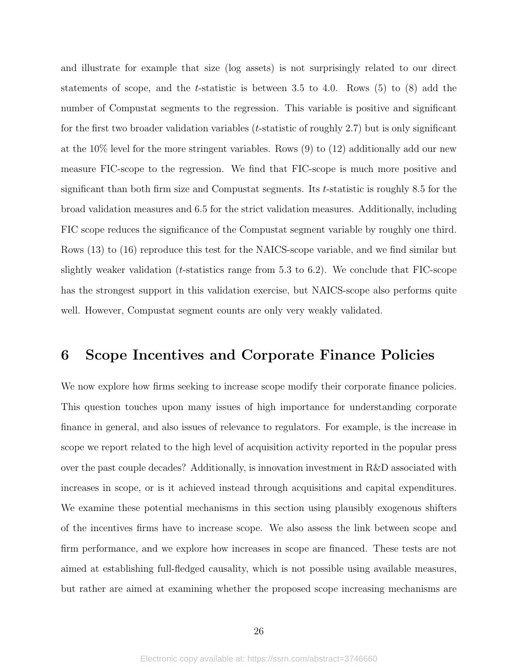and illustrate for example that size (log assets) is not surprisingly related to our direct statements of scope, and the t-statistic is between 3.5 to 4.0. Rows  $(5)$  to  $(8)$  add the number of Compustat segments to the regression. This variable is positive and significant for the first two broader validation variables  $(t\text{-statistic of roughly } 2.7)$  but is only significant at the 10% level for the more stringent variables. Rows (9) to (12) additionally add our new measure FIC-scope to the regression. We find that FIC-scope is much more positive and significant than both firm size and Compustat segments. Its t-statistic is roughly 8.5 for the broad validation measures and 6.5 for the strict validation measures. Additionally, including FIC scope reduces the significance of the Compustat segment variable by roughly one third. Rows (13) to (16) reproduce this test for the NAICS-scope variable, and we find similar but slightly weaker validation (*t*-statistics range from 5.3 to 6.2). We conclude that FIC-scope has the strongest support in this validation exercise, but NAICS-scope also performs quite well. However, Compustat segment counts are only very weakly validated.

# 6 Scope Incentives and Corporate Finance Policies

We now explore how firms seeking to increase scope modify their corporate finance policies. This question touches upon many issues of high importance for understanding corporate finance in general, and also issues of relevance to regulators. For example, is the increase in scope we report related to the high level of acquisition activity reported in the popular press over the past couple decades? Additionally, is innovation investment in R&D associated with increases in scope, or is it achieved instead through acquisitions and capital expenditures. We examine these potential mechanisms in this section using plausibly exogenous shifters of the incentives firms have to increase scope. We also assess the link between scope and firm performance, and we explore how increases in scope are financed. These tests are not aimed at establishing full-fledged causality, which is not possible using available measures, but rather are aimed at examining whether the proposed scope increasing mechanisms are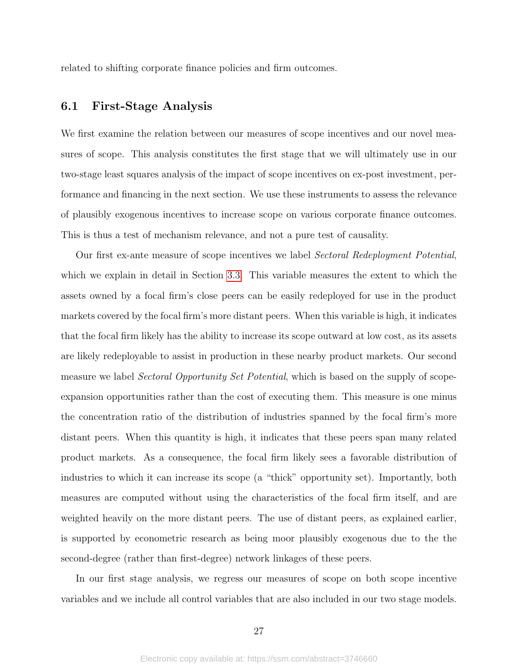related to shifting corporate finance policies and firm outcomes.

# 6.1 First-Stage Analysis

We first examine the relation between our measures of scope incentives and our novel measures of scope. This analysis constitutes the first stage that we will ultimately use in our two-stage least squares analysis of the impact of scope incentives on ex-post investment, performance and financing in the next section. We use these instruments to assess the relevance of plausibly exogenous incentives to increase scope on various corporate finance outcomes. This is thus a test of mechanism relevance, and not a pure test of causality.

Our first ex-ante measure of scope incentives we label Sectoral Redeployment Potential, which we explain in detail in Section [3.3.](#page-10-1) This variable measures the extent to which the assets owned by a focal firm's close peers can be easily redeployed for use in the product markets covered by the focal firm's more distant peers. When this variable is high, it indicates that the focal firm likely has the ability to increase its scope outward at low cost, as its assets are likely redeployable to assist in production in these nearby product markets. Our second measure we label *Sectoral Opportunity Set Potential*, which is based on the supply of scopeexpansion opportunities rather than the cost of executing them. This measure is one minus the concentration ratio of the distribution of industries spanned by the focal firm's more distant peers. When this quantity is high, it indicates that these peers span many related product markets. As a consequence, the focal firm likely sees a favorable distribution of industries to which it can increase its scope (a "thick" opportunity set). Importantly, both measures are computed without using the characteristics of the focal firm itself, and are weighted heavily on the more distant peers. The use of distant peers, as explained earlier, is supported by econometric research as being moor plausibly exogenous due to the the second-degree (rather than first-degree) network linkages of these peers.

In our first stage analysis, we regress our measures of scope on both scope incentive variables and we include all control variables that are also included in our two stage models.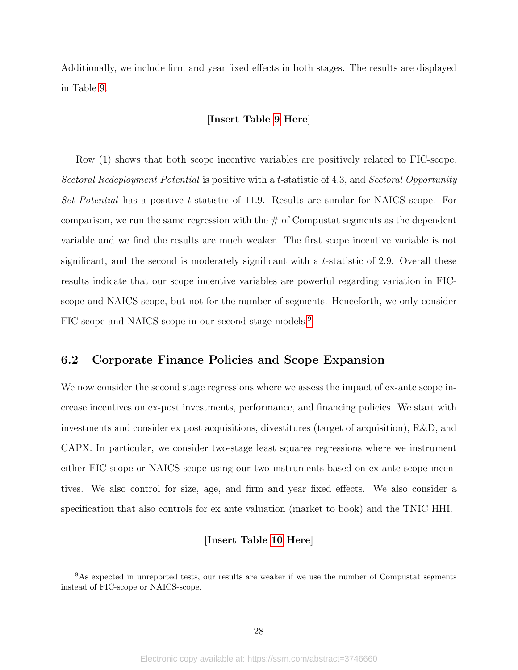Additionally, we include firm and year fixed effects in both stages. The results are displayed in Table [9.](#page-51-0)

#### [Insert Table [9](#page-51-0) Here]

Row (1) shows that both scope incentive variables are positively related to FIC-scope. Sectoral Redeployment Potential is positive with a t-statistic of 4.3, and Sectoral Opportunity Set Potential has a positive t-statistic of 11.9. Results are similar for NAICS scope. For comparison, we run the same regression with the  $\#$  of Compustat segments as the dependent variable and we find the results are much weaker. The first scope incentive variable is not significant, and the second is moderately significant with a t-statistic of 2.9. Overall these results indicate that our scope incentive variables are powerful regarding variation in FICscope and NAICS-scope, but not for the number of segments. Henceforth, we only consider FIC-scope and NAICS-scope in our second stage models.[9](#page-28-0)

# 6.2 Corporate Finance Policies and Scope Expansion

We now consider the second stage regressions where we assess the impact of ex-ante scope increase incentives on ex-post investments, performance, and financing policies. We start with investments and consider ex post acquisitions, divestitures (target of acquisition), R&D, and CAPX. In particular, we consider two-stage least squares regressions where we instrument either FIC-scope or NAICS-scope using our two instruments based on ex-ante scope incentives. We also control for size, age, and firm and year fixed effects. We also consider a specification that also controls for ex ante valuation (market to book) and the TNIC HHI.

#### [Insert Table [10](#page-52-0) Here]

<span id="page-28-0"></span><sup>&</sup>lt;sup>9</sup>As expected in unreported tests, our results are weaker if we use the number of Compustat segments instead of FIC-scope or NAICS-scope.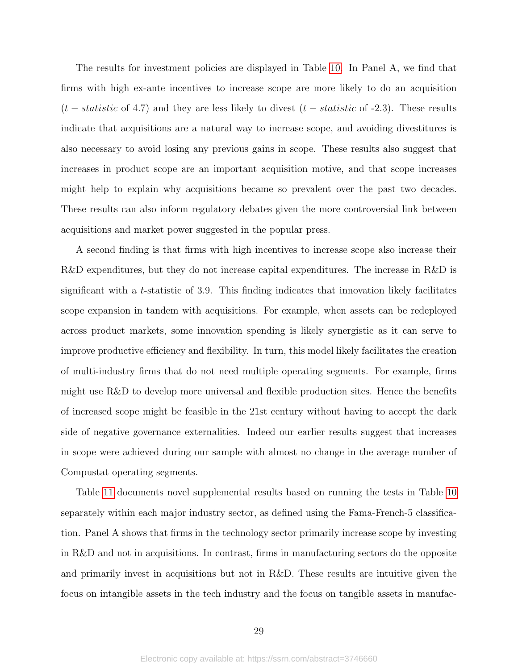The results for investment policies are displayed in Table [10.](#page-52-0) In Panel A, we find that firms with high ex-ante incentives to increase scope are more likely to do an acquisition  $(t - statistic$  of 4.7) and they are less likely to divest  $(t - statistic$  of -2.3). These results indicate that acquisitions are a natural way to increase scope, and avoiding divestitures is also necessary to avoid losing any previous gains in scope. These results also suggest that increases in product scope are an important acquisition motive, and that scope increases might help to explain why acquisitions became so prevalent over the past two decades. These results can also inform regulatory debates given the more controversial link between acquisitions and market power suggested in the popular press.

A second finding is that firms with high incentives to increase scope also increase their R&D expenditures, but they do not increase capital expenditures. The increase in R&D is significant with a t-statistic of 3.9. This finding indicates that innovation likely facilitates scope expansion in tandem with acquisitions. For example, when assets can be redeployed across product markets, some innovation spending is likely synergistic as it can serve to improve productive efficiency and flexibility. In turn, this model likely facilitates the creation of multi-industry firms that do not need multiple operating segments. For example, firms might use R&D to develop more universal and flexible production sites. Hence the benefits of increased scope might be feasible in the 21st century without having to accept the dark side of negative governance externalities. Indeed our earlier results suggest that increases in scope were achieved during our sample with almost no change in the average number of Compustat operating segments.

Table [11](#page-53-0) documents novel supplemental results based on running the tests in Table [10](#page-52-0) separately within each major industry sector, as defined using the Fama-French-5 classification. Panel A shows that firms in the technology sector primarily increase scope by investing in R&D and not in acquisitions. In contrast, firms in manufacturing sectors do the opposite and primarily invest in acquisitions but not in R&D. These results are intuitive given the focus on intangible assets in the tech industry and the focus on tangible assets in manufac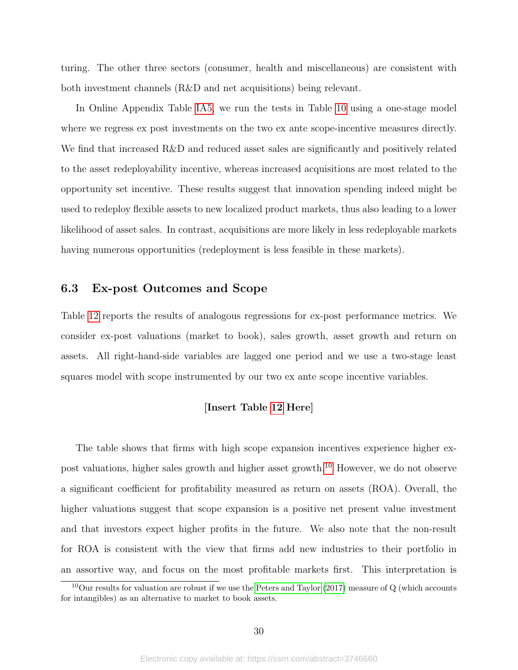turing. The other three sectors (consumer, health and miscellaneous) are consistent with both investment channels (R&D and net acquisitions) being relevant.

In Online Appendix Table [IA5,](#page-69-0) we run the tests in Table [10](#page-52-0) using a one-stage model where we regress ex post investments on the two ex ante scope-incentive measures directly. We find that increased R&D and reduced asset sales are significantly and positively related to the asset redeployability incentive, whereas increased acquisitions are most related to the opportunity set incentive. These results suggest that innovation spending indeed might be used to redeploy flexible assets to new localized product markets, thus also leading to a lower likelihood of asset sales. In contrast, acquisitions are more likely in less redeployable markets having numerous opportunities (redeployment is less feasible in these markets).

# 6.3 Ex-post Outcomes and Scope

Table [12](#page-54-0) reports the results of analogous regressions for ex-post performance metrics. We consider ex-post valuations (market to book), sales growth, asset growth and return on assets. All right-hand-side variables are lagged one period and we use a two-stage least squares model with scope instrumented by our two ex ante scope incentive variables.

#### [Insert Table [12](#page-54-0) Here]

The table shows that firms with high scope expansion incentives experience higher expost valuations, higher sales growth and higher asset growth.[10](#page-30-0) However, we do not observe a significant coefficient for profitability measured as return on assets (ROA). Overall, the higher valuations suggest that scope expansion is a positive net present value investment and that investors expect higher profits in the future. We also note that the non-result for ROA is consistent with the view that firms add new industries to their portfolio in an assortive way, and focus on the most profitable markets first. This interpretation is

<span id="page-30-0"></span><sup>&</sup>lt;sup>10</sup>Our results for valuation are robust if we use the [Peters and Taylor](#page-40-17) [\(2017\)](#page-40-17) measure of  $Q$  (which accounts for intangibles) as an alternative to market to book assets.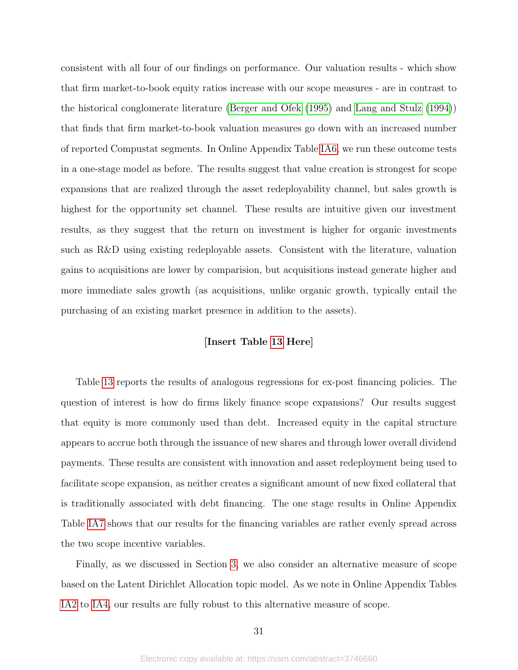consistent with all four of our findings on performance. Our valuation results - which show that firm market-to-book equity ratios increase with our scope measures - are in contrast to the historical conglomerate literature [\(Berger and Ofek](#page-39-7) [\(1995\)](#page-39-7) and [Lang and Stulz](#page-40-4) [\(1994\)](#page-40-4)) that finds that firm market-to-book valuation measures go down with an increased number of reported Compustat segments. In Online Appendix Table [IA6,](#page-70-0) we run these outcome tests in a one-stage model as before. The results suggest that value creation is strongest for scope expansions that are realized through the asset redeployability channel, but sales growth is highest for the opportunity set channel. These results are intuitive given our investment results, as they suggest that the return on investment is higher for organic investments such as R&D using existing redeployable assets. Consistent with the literature, valuation gains to acquisitions are lower by comparision, but acquisitions instead generate higher and more immediate sales growth (as acquisitions, unlike organic growth, typically entail the purchasing of an existing market presence in addition to the assets).

#### [Insert Table [13](#page-55-0) Here]

Table [13](#page-55-0) reports the results of analogous regressions for ex-post financing policies. The question of interest is how do firms likely finance scope expansions? Our results suggest that equity is more commonly used than debt. Increased equity in the capital structure appears to accrue both through the issuance of new shares and through lower overall dividend payments. These results are consistent with innovation and asset redeployment being used to facilitate scope expansion, as neither creates a significant amount of new fixed collateral that is traditionally associated with debt financing. The one stage results in Online Appendix Table [IA7](#page-71-0) shows that our results for the financing variables are rather evenly spread across the two scope incentive variables.

Finally, as we discussed in Section [3,](#page-7-0) we also consider an alternative measure of scope based on the Latent Dirichlet Allocation topic model. As we note in Online Appendix Tables [IA2](#page-66-0) to [IA4,](#page-68-0) our results are fully robust to this alternative measure of scope.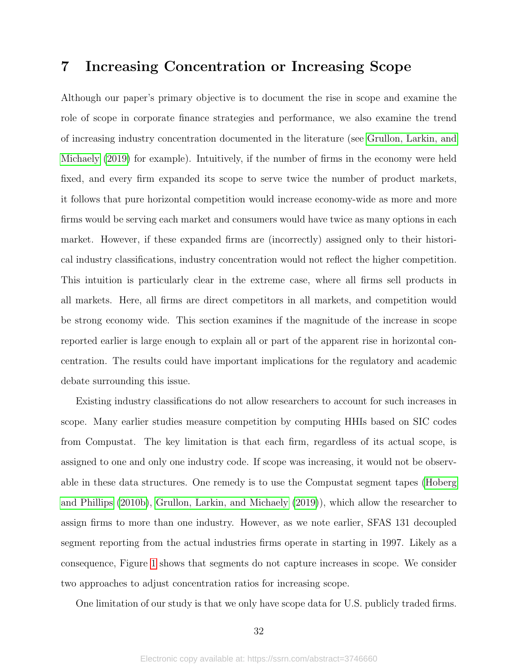# 7 Increasing Concentration or Increasing Scope

Although our paper's primary objective is to document the rise in scope and examine the role of scope in corporate finance strategies and performance, we also examine the trend of increasing industry concentration documented in the literature (see [Grullon, Larkin, and](#page-39-4) [Michaely](#page-39-4) [\(2019\)](#page-39-4) for example). Intuitively, if the number of firms in the economy were held fixed, and every firm expanded its scope to serve twice the number of product markets, it follows that pure horizontal competition would increase economy-wide as more and more firms would be serving each market and consumers would have twice as many options in each market. However, if these expanded firms are (incorrectly) assigned only to their historical industry classifications, industry concentration would not reflect the higher competition. This intuition is particularly clear in the extreme case, where all firms sell products in all markets. Here, all firms are direct competitors in all markets, and competition would be strong economy wide. This section examines if the magnitude of the increase in scope reported earlier is large enough to explain all or part of the apparent rise in horizontal concentration. The results could have important implications for the regulatory and academic debate surrounding this issue.

Existing industry classifications do not allow researchers to account for such increases in scope. Many earlier studies measure competition by computing HHIs based on SIC codes from Compustat. The key limitation is that each firm, regardless of its actual scope, is assigned to one and only one industry code. If scope was increasing, it would not be observable in these data structures. One remedy is to use the Compustat segment tapes [\(Hoberg](#page-40-18) [and Phillips](#page-40-18) [\(2010b\)](#page-40-18), [Grullon, Larkin, and Michaely](#page-39-4) [\(2019\)](#page-39-4)), which allow the researcher to assign firms to more than one industry. However, as we note earlier, SFAS 131 decoupled segment reporting from the actual industries firms operate in starting in 1997. Likely as a consequence, Figure [1](#page-57-0) shows that segments do not capture increases in scope. We consider two approaches to adjust concentration ratios for increasing scope.

One limitation of our study is that we only have scope data for U.S. publicly traded firms.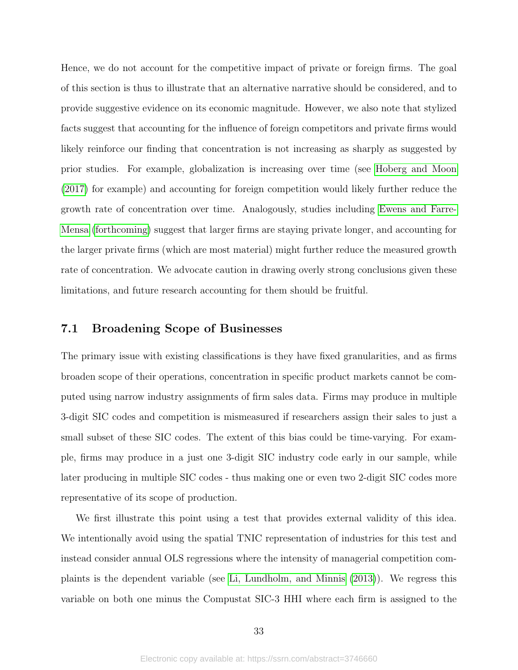Hence, we do not account for the competitive impact of private or foreign firms. The goal of this section is thus to illustrate that an alternative narrative should be considered, and to provide suggestive evidence on its economic magnitude. However, we also note that stylized facts suggest that accounting for the influence of foreign competitors and private firms would likely reinforce our finding that concentration is not increasing as sharply as suggested by prior studies. For example, globalization is increasing over time (see [Hoberg and Moon](#page-39-16) [\(2017\)](#page-39-16) for example) and accounting for foreign competition would likely further reduce the growth rate of concentration over time. Analogously, studies including [Ewens and Farre-](#page-39-17)[Mensa](#page-39-17) [\(forthcoming\)](#page-39-17) suggest that larger firms are staying private longer, and accounting for the larger private firms (which are most material) might further reduce the measured growth rate of concentration. We advocate caution in drawing overly strong conclusions given these limitations, and future research accounting for them should be fruitful.

# 7.1 Broadening Scope of Businesses

The primary issue with existing classifications is they have fixed granularities, and as firms broaden scope of their operations, concentration in specific product markets cannot be computed using narrow industry assignments of firm sales data. Firms may produce in multiple 3-digit SIC codes and competition is mismeasured if researchers assign their sales to just a small subset of these SIC codes. The extent of this bias could be time-varying. For example, firms may produce in a just one 3-digit SIC industry code early in our sample, while later producing in multiple SIC codes - thus making one or even two 2-digit SIC codes more representative of its scope of production.

We first illustrate this point using a test that provides external validity of this idea. We intentionally avoid using the spatial TNIC representation of industries for this test and instead consider annual OLS regressions where the intensity of managerial competition complaints is the dependent variable (see [Li, Lundholm, and Minnis](#page-40-19) [\(2013\)](#page-40-19)). We regress this variable on both one minus the Compustat SIC-3 HHI where each firm is assigned to the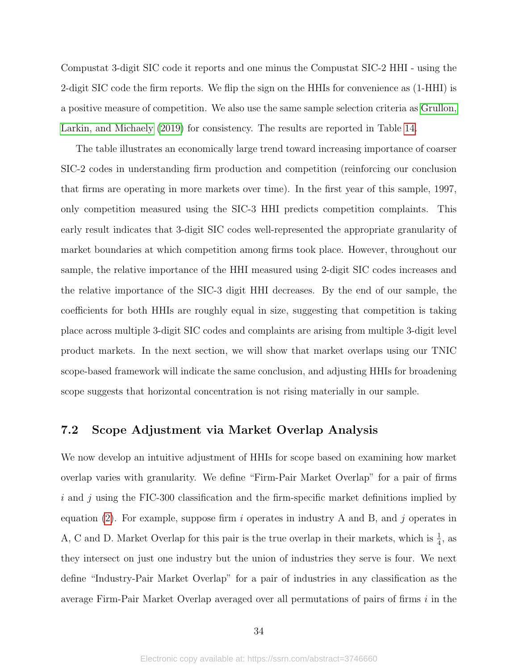Compustat 3-digit SIC code it reports and one minus the Compustat SIC-2 HHI - using the 2-digit SIC code the firm reports. We flip the sign on the HHIs for convenience as (1-HHI) is a positive measure of competition. We also use the same sample selection criteria as [Grullon,](#page-39-4) [Larkin, and Michaely](#page-39-4) [\(2019\)](#page-39-4) for consistency. The results are reported in Table [14.](#page-56-0)

The table illustrates an economically large trend toward increasing importance of coarser SIC-2 codes in understanding firm production and competition (reinforcing our conclusion that firms are operating in more markets over time). In the first year of this sample, 1997, only competition measured using the SIC-3 HHI predicts competition complaints. This early result indicates that 3-digit SIC codes well-represented the appropriate granularity of market boundaries at which competition among firms took place. However, throughout our sample, the relative importance of the HHI measured using 2-digit SIC codes increases and the relative importance of the SIC-3 digit HHI decreases. By the end of our sample, the coefficients for both HHIs are roughly equal in size, suggesting that competition is taking place across multiple 3-digit SIC codes and complaints are arising from multiple 3-digit level product markets. In the next section, we will show that market overlaps using our TNIC scope-based framework will indicate the same conclusion, and adjusting HHIs for broadening scope suggests that horizontal concentration is not rising materially in our sample.

# 7.2 Scope Adjustment via Market Overlap Analysis

We now develop an intuitive adjustment of HHIs for scope based on examining how market overlap varies with granularity. We define "Firm-Pair Market Overlap" for a pair of firms i and j using the FIC-300 classification and the firm-specific market definitions implied by equation [\(2\)](#page-10-0). For example, suppose firm i operates in industry A and B, and j operates in A, C and D. Market Overlap for this pair is the true overlap in their markets, which is  $\frac{1}{4}$ , as they intersect on just one industry but the union of industries they serve is four. We next define "Industry-Pair Market Overlap" for a pair of industries in any classification as the average Firm-Pair Market Overlap averaged over all permutations of pairs of firms i in the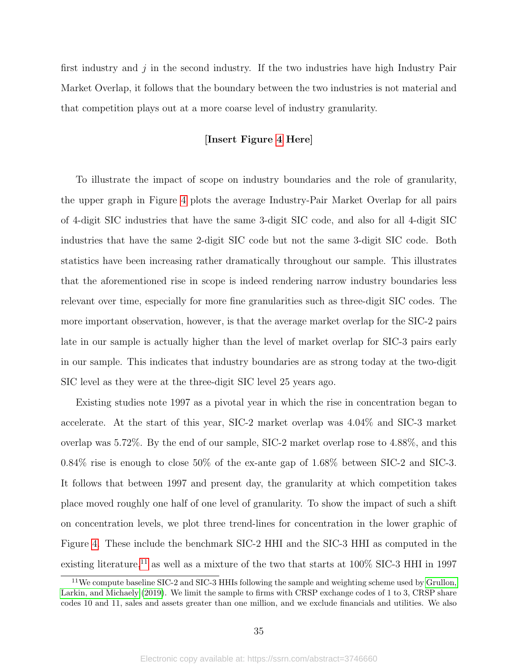first industry and  $j$  in the second industry. If the two industries have high Industry Pair Market Overlap, it follows that the boundary between the two industries is not material and that competition plays out at a more coarse level of industry granularity.

### [Insert Figure [4](#page-60-0) Here]

To illustrate the impact of scope on industry boundaries and the role of granularity, the upper graph in Figure [4](#page-60-0) plots the average Industry-Pair Market Overlap for all pairs of 4-digit SIC industries that have the same 3-digit SIC code, and also for all 4-digit SIC industries that have the same 2-digit SIC code but not the same 3-digit SIC code. Both statistics have been increasing rather dramatically throughout our sample. This illustrates that the aforementioned rise in scope is indeed rendering narrow industry boundaries less relevant over time, especially for more fine granularities such as three-digit SIC codes. The more important observation, however, is that the average market overlap for the SIC-2 pairs late in our sample is actually higher than the level of market overlap for SIC-3 pairs early in our sample. This indicates that industry boundaries are as strong today at the two-digit SIC level as they were at the three-digit SIC level 25 years ago.

Existing studies note 1997 as a pivotal year in which the rise in concentration began to accelerate. At the start of this year, SIC-2 market overlap was 4.04% and SIC-3 market overlap was 5.72%. By the end of our sample, SIC-2 market overlap rose to 4.88%, and this 0.84% rise is enough to close 50% of the ex-ante gap of 1.68% between SIC-2 and SIC-3. It follows that between 1997 and present day, the granularity at which competition takes place moved roughly one half of one level of granularity. To show the impact of such a shift on concentration levels, we plot three trend-lines for concentration in the lower graphic of Figure [4.](#page-60-0) These include the benchmark SIC-2 HHI and the SIC-3 HHI as computed in the existing literature,<sup>[11](#page-35-0)</sup> as well as a mixture of the two that starts at  $100\%$  SIC-3 HHI in 1997

<span id="page-35-0"></span> $11$ We compute baseline SIC-2 and SIC-3 HHIs following the sample and weighting scheme used by [Grullon,](#page-39-4) [Larkin, and Michaely](#page-39-4) [\(2019\)](#page-39-4). We limit the sample to firms with CRSP exchange codes of 1 to 3, CRSP share codes 10 and 11, sales and assets greater than one million, and we exclude financials and utilities. We also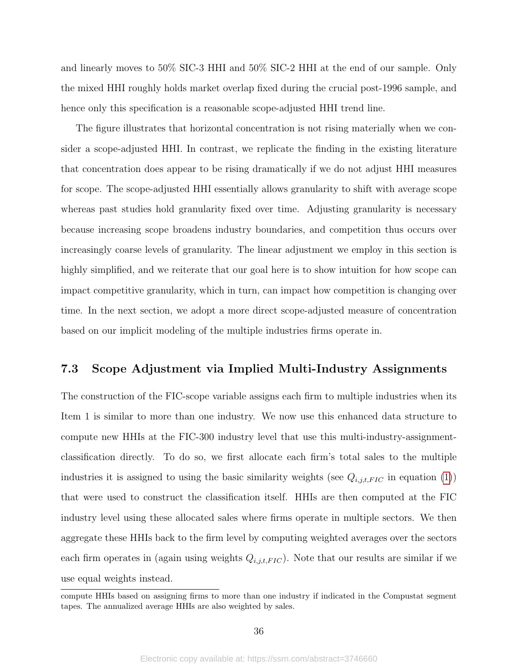and linearly moves to 50% SIC-3 HHI and 50% SIC-2 HHI at the end of our sample. Only the mixed HHI roughly holds market overlap fixed during the crucial post-1996 sample, and hence only this specification is a reasonable scope-adjusted HHI trend line.

The figure illustrates that horizontal concentration is not rising materially when we consider a scope-adjusted HHI. In contrast, we replicate the finding in the existing literature that concentration does appear to be rising dramatically if we do not adjust HHI measures for scope. The scope-adjusted HHI essentially allows granularity to shift with average scope whereas past studies hold granularity fixed over time. Adjusting granularity is necessary because increasing scope broadens industry boundaries, and competition thus occurs over increasingly coarse levels of granularity. The linear adjustment we employ in this section is highly simplified, and we reiterate that our goal here is to show intuition for how scope can impact competitive granularity, which in turn, can impact how competition is changing over time. In the next section, we adopt a more direct scope-adjusted measure of concentration based on our implicit modeling of the multiple industries firms operate in.

### 7.3 Scope Adjustment via Implied Multi-Industry Assignments

The construction of the FIC-scope variable assigns each firm to multiple industries when its Item 1 is similar to more than one industry. We now use this enhanced data structure to compute new HHIs at the FIC-300 industry level that use this multi-industry-assignmentclassification directly. To do so, we first allocate each firm's total sales to the multiple industries it is assigned to using the basic similarity weights (see  $Q_{i,j,t,FIC}$  in equation [\(1\)](#page-9-0)) that were used to construct the classification itself. HHIs are then computed at the FIC industry level using these allocated sales where firms operate in multiple sectors. We then aggregate these HHIs back to the firm level by computing weighted averages over the sectors each firm operates in (again using weights  $Q_{i,j,t,FIC}$ ). Note that our results are similar if we use equal weights instead.

compute HHIs based on assigning firms to more than one industry if indicated in the Compustat segment tapes. The annualized average HHIs are also weighted by sales.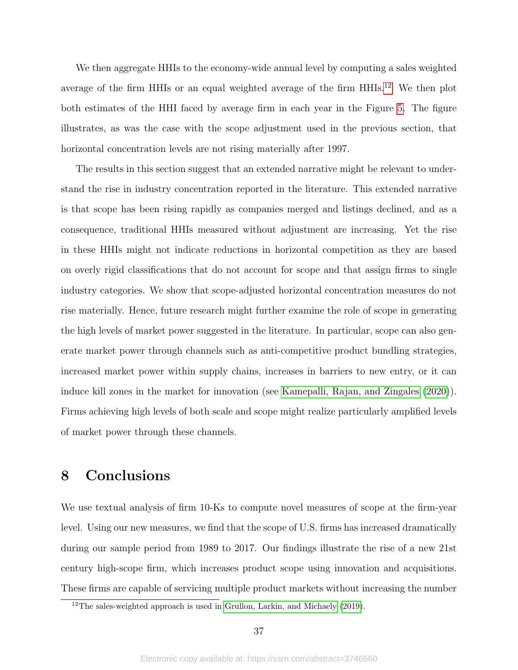We then aggregate HHIs to the economy-wide annual level by computing a sales weighted average of the firm HHIs or an equal weighted average of the firm HHIs.<sup>[12](#page-37-0)</sup> We then plot both estimates of the HHI faced by average firm in each year in the Figure [5.](#page-61-0) The figure illustrates, as was the case with the scope adjustment used in the previous section, that horizontal concentration levels are not rising materially after 1997.

The results in this section suggest that an extended narrative might be relevant to understand the rise in industry concentration reported in the literature. This extended narrative is that scope has been rising rapidly as companies merged and listings declined, and as a consequence, traditional HHIs measured without adjustment are increasing. Yet the rise in these HHIs might not indicate reductions in horizontal competition as they are based on overly rigid classifications that do not account for scope and that assign firms to single industry categories. We show that scope-adjusted horizontal concentration measures do not rise materially. Hence, future research might further examine the role of scope in generating the high levels of market power suggested in the literature. In particular, scope can also generate market power through channels such as anti-competitive product bundling strategies, increased market power within supply chains, increases in barriers to new entry, or it can induce kill zones in the market for innovation (see [Kamepalli, Rajan, and Zingales](#page-40-0) [\(2020\)](#page-40-0)). Firms achieving high levels of both scale and scope might realize particularly amplified levels of market power through these channels.

## 8 Conclusions

We use textual analysis of firm 10-Ks to compute novel measures of scope at the firm-year level. Using our new measures, we find that the scope of U.S. firms has increased dramatically during our sample period from 1989 to 2017. Our findings illustrate the rise of a new 21st century high-scope firm, which increases product scope using innovation and acquisitions. These firms are capable of servicing multiple product markets without increasing the number

<span id="page-37-0"></span> $12$ The sales-weighted approach is used in [Grullon, Larkin, and Michaely](#page-39-0) [\(2019\)](#page-39-0).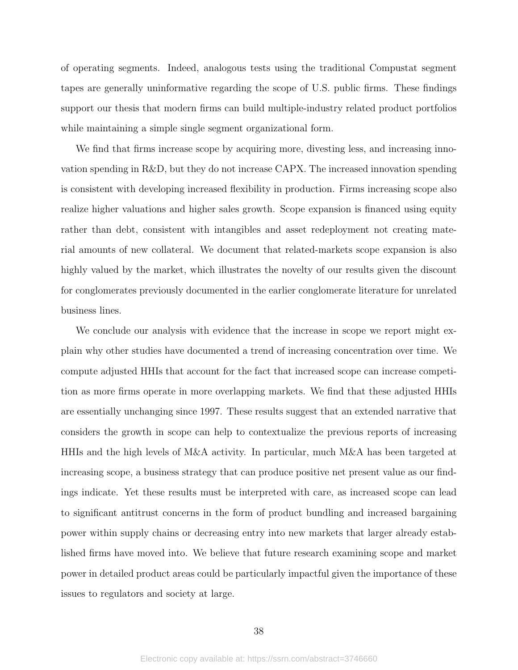of operating segments. Indeed, analogous tests using the traditional Compustat segment tapes are generally uninformative regarding the scope of U.S. public firms. These findings support our thesis that modern firms can build multiple-industry related product portfolios while maintaining a simple single segment organizational form.

We find that firms increase scope by acquiring more, divesting less, and increasing innovation spending in R&D, but they do not increase CAPX. The increased innovation spending is consistent with developing increased flexibility in production. Firms increasing scope also realize higher valuations and higher sales growth. Scope expansion is financed using equity rather than debt, consistent with intangibles and asset redeployment not creating material amounts of new collateral. We document that related-markets scope expansion is also highly valued by the market, which illustrates the novelty of our results given the discount for conglomerates previously documented in the earlier conglomerate literature for unrelated business lines.

We conclude our analysis with evidence that the increase in scope we report might explain why other studies have documented a trend of increasing concentration over time. We compute adjusted HHIs that account for the fact that increased scope can increase competition as more firms operate in more overlapping markets. We find that these adjusted HHIs are essentially unchanging since 1997. These results suggest that an extended narrative that considers the growth in scope can help to contextualize the previous reports of increasing HHIs and the high levels of M&A activity. In particular, much M&A has been targeted at increasing scope, a business strategy that can produce positive net present value as our findings indicate. Yet these results must be interpreted with care, as increased scope can lead to significant antitrust concerns in the form of product bundling and increased bargaining power within supply chains or decreasing entry into new markets that larger already established firms have moved into. We believe that future research examining scope and market power in detailed product areas could be particularly impactful given the importance of these issues to regulators and society at large.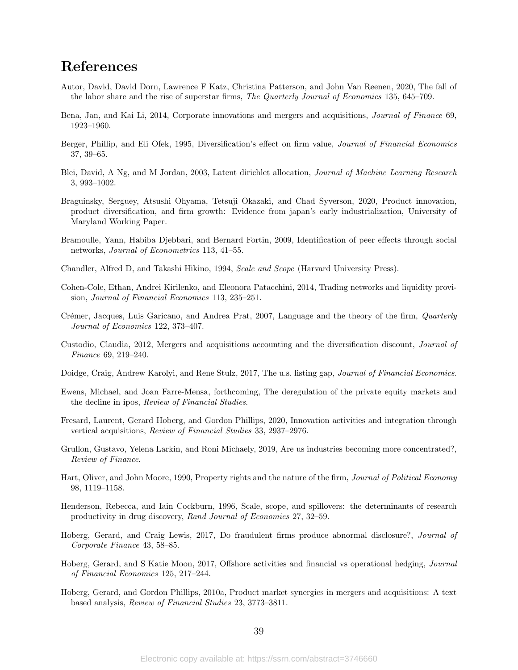### References

- Autor, David, David Dorn, Lawrence F Katz, Christina Patterson, and John Van Reenen, 2020, The fall of the labor share and the rise of superstar firms, The Quarterly Journal of Economics 135, 645–709.
- Bena, Jan, and Kai Li, 2014, Corporate innovations and mergers and acquisitions, Journal of Finance 69, 1923–1960.
- Berger, Phillip, and Eli Ofek, 1995, Diversification's effect on firm value, Journal of Financial Economics 37, 39–65.
- <span id="page-39-1"></span>Blei, David, A Ng, and M Jordan, 2003, Latent dirichlet allocation, Journal of Machine Learning Research 3, 993–1002.
- Braguinsky, Serguey, Atsushi Ohyama, Tetsuji Okazaki, and Chad Syverson, 2020, Product innovation, product diversification, and firm growth: Evidence from japan's early industrialization, University of Maryland Working Paper.
- Bramoulle, Yann, Habiba Djebbari, and Bernard Fortin, 2009, Identification of peer effects through social networks, Journal of Econometrics 113, 41–55.
- Chandler, Alfred D, and Takashi Hikino, 1994, Scale and Scope (Harvard University Press).
- Cohen-Cole, Ethan, Andrei Kirilenko, and Eleonora Patacchini, 2014, Trading networks and liquidity provision, Journal of Financial Economics 113, 235–251.
- Crémer, Jacques, Luis Garicano, and Andrea Prat, 2007, Language and the theory of the firm, *Quarterly* Journal of Economics 122, 373–407.
- Custodio, Claudia, 2012, Mergers and acquisitions accounting and the diversification discount, Journal of Finance 69, 219–240.
- Doidge, Craig, Andrew Karolyi, and Rene Stulz, 2017, The u.s. listing gap, Journal of Financial Economics.
- Ewens, Michael, and Joan Farre-Mensa, forthcoming, The deregulation of the private equity markets and the decline in ipos, Review of Financial Studies.
- Fresard, Laurent, Gerard Hoberg, and Gordon Phillips, 2020, Innovation activities and integration through vertical acquisitions, Review of Financial Studies 33, 2937–2976.
- <span id="page-39-0"></span>Grullon, Gustavo, Yelena Larkin, and Roni Michaely, 2019, Are us industries becoming more concentrated?, Review of Finance.
- Hart, Oliver, and John Moore, 1990, Property rights and the nature of the firm, Journal of Political Economy 98, 1119–1158.
- Henderson, Rebecca, and Iain Cockburn, 1996, Scale, scope, and spillovers: the determinants of research productivity in drug discovery, Rand Journal of Economies 27, 32–59.
- <span id="page-39-2"></span>Hoberg, Gerard, and Craig Lewis, 2017, Do fraudulent firms produce abnormal disclosure?, Journal of Corporate Finance 43, 58–85.
- Hoberg, Gerard, and S Katie Moon, 2017, Offshore activities and financial vs operational hedging, Journal of Financial Economics 125, 217–244.
- Hoberg, Gerard, and Gordon Phillips, 2010a, Product market synergies in mergers and acquisitions: A text based analysis, Review of Financial Studies 23, 3773–3811.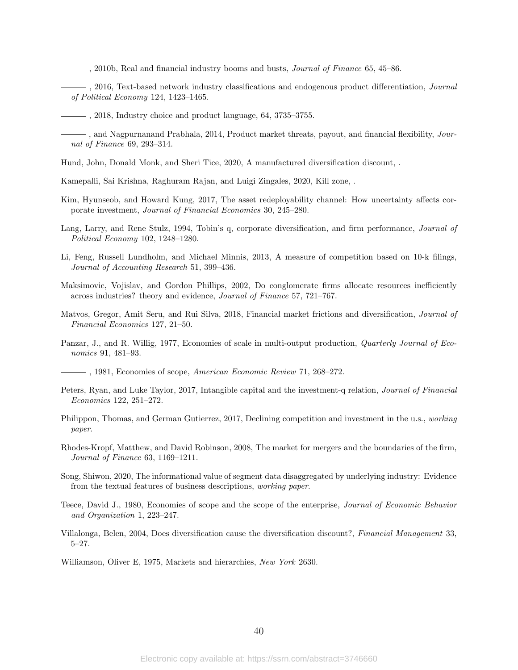- $\frac{1}{2000}$ , Real and financial industry booms and busts, *Journal of Finance* 65, 45–86.
- <span id="page-40-1"></span> $\sim$ , 2016, Text-based network industry classifications and endogenous product differentiation, *Journal* of Political Economy 124, 1423–1465.

- , and Nagpurnanand Prabhala, 2014, Product market threats, payout, and financial flexibility, Journal of Finance 69, 293–314.
- Hund, John, Donald Monk, and Sheri Tice, 2020, A manufactured diversification discount, .
- <span id="page-40-0"></span>Kamepalli, Sai Krishna, Raghuram Rajan, and Luigi Zingales, 2020, Kill zone, .
- Kim, Hyunseob, and Howard Kung, 2017, The asset redeployability channel: How uncertainty affects corporate investment, Journal of Financial Economics 30, 245–280.
- Lang, Larry, and Rene Stulz, 1994, Tobin's q, corporate diversification, and firm performance, Journal of Political Economy 102, 1248–1280.
- Li, Feng, Russell Lundholm, and Michael Minnis, 2013, A measure of competition based on 10-k filings, Journal of Accounting Research 51, 399–436.
- Maksimovic, Vojislav, and Gordon Phillips, 2002, Do conglomerate firms allocate resources inefficiently across industries? theory and evidence, Journal of Finance 57, 721–767.
- Matvos, Gregor, Amit Seru, and Rui Silva, 2018, Financial market frictions and diversification, Journal of Financial Economics 127, 21–50.
- Panzar, J., and R. Willig, 1977, Economies of scale in multi-output production, *Quarterly Journal of Eco*nomics 91, 481–93.
	- $-$ , 1981, Economies of scope, American Economic Review 71, 268–272.
- Peters, Ryan, and Luke Taylor, 2017, Intangible capital and the investment-q relation, Journal of Financial Economics 122, 251–272.
- Philippon, Thomas, and German Gutierrez, 2017, Declining competition and investment in the u.s., working paper.
- Rhodes-Kropf, Matthew, and David Robinson, 2008, The market for mergers and the boundaries of the firm, Journal of Finance 63, 1169–1211.
- Song, Shiwon, 2020, The informational value of segment data disaggregated by underlying industry: Evidence from the textual features of business descriptions, working paper.
- Teece, David J., 1980, Economies of scope and the scope of the enterprise, Journal of Economic Behavior and Organization 1, 223–247.
- Villalonga, Belen, 2004, Does diversification cause the diversification discount?, Financial Management 33, 5–27.
- Williamson, Oliver E, 1975, Markets and hierarchies, New York 2630.

<sup>, 2018,</sup> Industry choice and product language, 64, 3735–3755.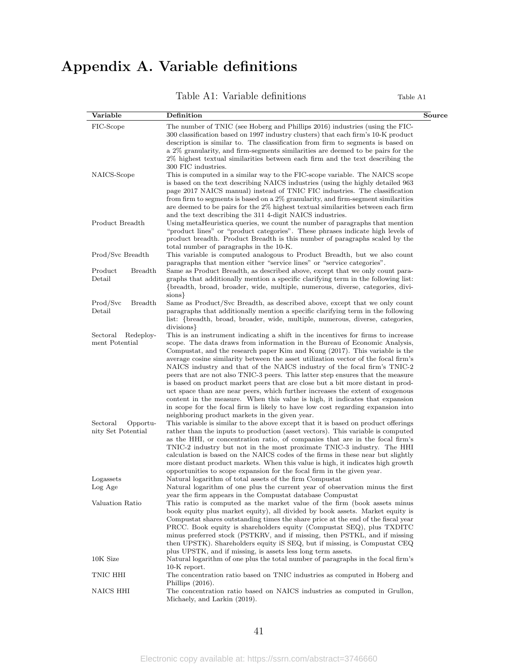# Appendix A. Variable definitions

Table A1: Variable definitions Table A1

| Variable                   | Definition                                                                                                                                                                                                                         | Source |
|----------------------------|------------------------------------------------------------------------------------------------------------------------------------------------------------------------------------------------------------------------------------|--------|
| FIC-Scope                  | The number of TNIC (see Hoberg and Phillips 2016) industries (using the FIC-<br>300 classification based on 1997 industry clusters) that each firm's 10-K product                                                                  |        |
|                            | description is similar to. The classification from firm to segments is based on                                                                                                                                                    |        |
|                            | a 2% granularity, and firm-segments similarities are deemed to be pairs for the                                                                                                                                                    |        |
|                            | 2% highest textual similarities between each firm and the text describing the<br>300 FIC industries.                                                                                                                               |        |
| NAICS-Scope                | This is computed in a similar way to the FIC-scope variable. The NAICS scope                                                                                                                                                       |        |
|                            | is based on the text describing NAICS industries (using the highly detailed 963                                                                                                                                                    |        |
|                            | page 2017 NAICS manual) instead of TNIC FIC industries. The classification                                                                                                                                                         |        |
|                            | from firm to segments is based on a 2% granularity, and firm-segment similarities<br>are deemed to be pairs for the 2% highest textual similarities between each firm<br>and the text describing the 311 4-digit NAICS industries. |        |
| Product Breadth            | Using metaHeuristica queries, we count the number of paragraphs that mention                                                                                                                                                       |        |
|                            | "product lines" or "product categories". These phrases indicate high levels of                                                                                                                                                     |        |
|                            | product breadth. Product Breadth is this number of paragraphs scaled by the                                                                                                                                                        |        |
|                            | total number of paragraphs in the 10-K.                                                                                                                                                                                            |        |
| Prod/Svc Breadth           | This variable is computed analogous to Product Breadth, but we also count                                                                                                                                                          |        |
|                            | paragraphs that mention either "service lines" or "service categories".                                                                                                                                                            |        |
| Product<br><b>Breadth</b>  | Same as Product Breadth, as described above, except that we only count para-                                                                                                                                                       |        |
| Detail                     | graphs that additionally mention a specific clarifying term in the following list:<br>{breadth, broad, broader, wide, multiple, numerous, diverse, categories, divi-                                                               |        |
|                            | sions }                                                                                                                                                                                                                            |        |
| Prod/Svc<br><b>Breadth</b> | Same as Product/Svc Breadth, as described above, except that we only count                                                                                                                                                         |        |
| Detail                     | paragraphs that additionally mention a specific clarifying term in the following                                                                                                                                                   |        |
|                            | list: {breadth, broad, broader, wide, multiple, numerous, diverse, categories,                                                                                                                                                     |        |
|                            | divisions }                                                                                                                                                                                                                        |        |
| Sectoral<br>Redeploy-      | This is an instrument indicating a shift in the incentives for firms to increase                                                                                                                                                   |        |
| ment Potential             | scope. The data draws from information in the Bureau of Economic Analysis,                                                                                                                                                         |        |
|                            | Compustat, and the research paper Kim and Kung (2017). This variable is the<br>average cosine similarity between the asset utilization vector of the focal firm's                                                                  |        |
|                            | NAICS industry and that of the NAICS industry of the focal firm's TNIC-2                                                                                                                                                           |        |
|                            | peers that are not also TNIC-3 peers. This latter step ensures that the measure                                                                                                                                                    |        |
|                            | is based on product market peers that are close but a bit more distant in prod-                                                                                                                                                    |        |
|                            | uct space than are near peers, which further increases the extent of exogenous                                                                                                                                                     |        |
|                            | content in the measure. When this value is high, it indicates that expansion                                                                                                                                                       |        |
|                            | in scope for the focal firm is likely to have low cost regarding expansion into                                                                                                                                                    |        |
| Sectoral<br>Opportu-       | neighboring product markets in the given year.<br>This variable is similar to the above except that it is based on product offerings                                                                                               |        |
| nity Set Potential         | rather than the inputs to production (asset vectors). This variable is computed                                                                                                                                                    |        |
|                            | as the HHI, or concentration ratio, of companies that are in the focal firm's                                                                                                                                                      |        |
|                            | TNIC-2 industry but not in the most proximate TNIC-3 industry. The HHI                                                                                                                                                             |        |
|                            | calculation is based on the NAICS codes of the firms in these near but slightly                                                                                                                                                    |        |
|                            | more distant product markets. When this value is high, it indicates high growth                                                                                                                                                    |        |
| Logassets                  | opportunities to scope expansion for the focal firm in the given year.                                                                                                                                                             |        |
| Log Age                    | Natural logarithm of total assets of the firm Compustat<br>Natural logarithm of one plus the current year of observation minus the first                                                                                           |        |
|                            | year the firm appears in the Compustat database Compustat                                                                                                                                                                          |        |
| Valuation Ratio            | This ratio is computed as the market value of the firm (book assets minus                                                                                                                                                          |        |
|                            | book equity plus market equity), all divided by book assets. Market equity is                                                                                                                                                      |        |
|                            | Compustat shares outstanding times the share price at the end of the fiscal year                                                                                                                                                   |        |
|                            | PRCC. Book equity is shareholders equity (Compustat SEQ), plus TXDITC                                                                                                                                                              |        |
|                            | minus preferred stock (PSTKRV, and if missing, then PSTKL, and if missing                                                                                                                                                          |        |
|                            | then UPSTK). Shareholders equity iS SEQ, but if missing, is Compustat CEQ<br>plus UPSTK, and if missing, is assets less long term assets.                                                                                          |        |
| 10K Size                   | Natural logarithm of one plus the total number of paragraphs in the focal firm's                                                                                                                                                   |        |
|                            | 10-K report.                                                                                                                                                                                                                       |        |
| TNIC HHI                   | The concentration ratio based on TNIC industries as computed in Hoberg and                                                                                                                                                         |        |
|                            | Phillips $(2016)$ .                                                                                                                                                                                                                |        |
| NAICS HHI                  | The concentration ratio based on NAICS industries as computed in Grullon,                                                                                                                                                          |        |
|                            | Michaely, and Larkin (2019).                                                                                                                                                                                                       |        |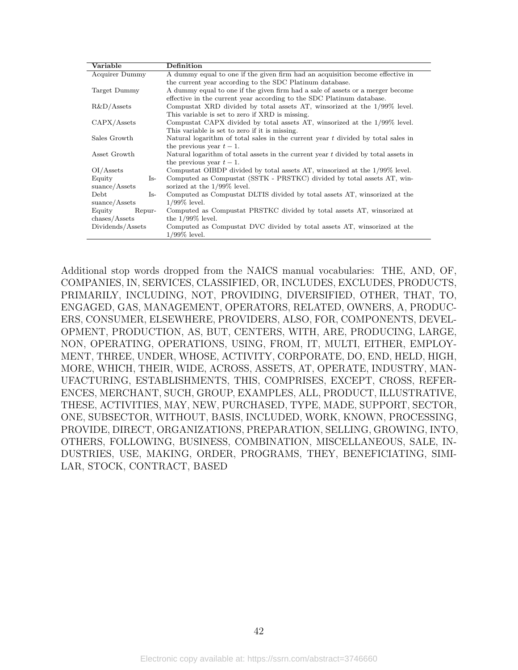| Variable                          | Definition                                                                           |  |  |  |  |  |
|-----------------------------------|--------------------------------------------------------------------------------------|--|--|--|--|--|
| Acquirer Dummy                    | A dummy equal to one if the given firm had an acquisition become effective in        |  |  |  |  |  |
|                                   | the current year according to the SDC Platinum database.                             |  |  |  |  |  |
| Target Dummy                      | A dummy equal to one if the given firm had a sale of assets or a merger become       |  |  |  |  |  |
|                                   | effective in the current year according to the SDC Platinum database.                |  |  |  |  |  |
| $R&D/A$ ssets                     | Compustat XRD divided by total assets AT, winsorized at the $1/99\%$ level.          |  |  |  |  |  |
|                                   | This variable is set to zero if XRD is missing.                                      |  |  |  |  |  |
| CAPX/Assets                       | Compustat CAPX divided by total assets AT, winsorized at the 1/99% level.            |  |  |  |  |  |
|                                   | This variable is set to zero if it is missing.                                       |  |  |  |  |  |
| Sales Growth                      | Natural logarithm of total sales in the current year $t$ divided by total sales in   |  |  |  |  |  |
|                                   | the previous year $t-1$ .                                                            |  |  |  |  |  |
| Asset Growth                      | Natural logarithm of total assets in the current year $t$ divided by total assets in |  |  |  |  |  |
|                                   | the previous year $t-1$ .                                                            |  |  |  |  |  |
| OI/Assets                         | Compustat OIBDP divided by total assets AT, winsorized at the 1/99% level.           |  |  |  |  |  |
| Equity<br>$Is-$                   | Computed as Compustat (SSTK - PRSTKC) divided by total assets AT, win-               |  |  |  |  |  |
| sunce/Assets                      | sorized at the $1/99\%$ level.                                                       |  |  |  |  |  |
| Debt<br>Is-                       | Computed as Compustat DLTIS divided by total assets AT, winsorized at the            |  |  |  |  |  |
| suance/Assets                     | $1/99\%$ level.                                                                      |  |  |  |  |  |
| Equity<br>Repur-                  | Computed as Compustat PRSTKC divided by total assets AT, winsorized at               |  |  |  |  |  |
| $\mathrm{chases}/\mathrm{Assets}$ | the $1/99\%$ level.                                                                  |  |  |  |  |  |
| Dividends/Assets                  | Computed as Compustat DVC divided by total assets AT, winsorized at the              |  |  |  |  |  |
|                                   | $1/99\%$ level.                                                                      |  |  |  |  |  |

Additional stop words dropped from the NAICS manual vocabularies: THE, AND, OF, COMPANIES, IN, SERVICES, CLASSIFIED, OR, INCLUDES, EXCLUDES, PRODUCTS, PRIMARILY, INCLUDING, NOT, PROVIDING, DIVERSIFIED, OTHER, THAT, TO, ENGAGED, GAS, MANAGEMENT, OPERATORS, RELATED, OWNERS, A, PRODUC-ERS, CONSUMER, ELSEWHERE, PROVIDERS, ALSO, FOR, COMPONENTS, DEVEL-OPMENT, PRODUCTION, AS, BUT, CENTERS, WITH, ARE, PRODUCING, LARGE, NON, OPERATING, OPERATIONS, USING, FROM, IT, MULTI, EITHER, EMPLOY-MENT, THREE, UNDER, WHOSE, ACTIVITY, CORPORATE, DO, END, HELD, HIGH, MORE, WHICH, THEIR, WIDE, ACROSS, ASSETS, AT, OPERATE, INDUSTRY, MAN-UFACTURING, ESTABLISHMENTS, THIS, COMPRISES, EXCEPT, CROSS, REFER-ENCES, MERCHANT, SUCH, GROUP, EXAMPLES, ALL, PRODUCT, ILLUSTRATIVE, THESE, ACTIVITIES, MAY, NEW, PURCHASED, TYPE, MADE, SUPPORT, SECTOR, ONE, SUBSECTOR, WITHOUT, BASIS, INCLUDED, WORK, KNOWN, PROCESSING, PROVIDE, DIRECT, ORGANIZATIONS, PREPARATION, SELLING, GROWING, INTO, OTHERS, FOLLOWING, BUSINESS, COMBINATION, MISCELLANEOUS, SALE, IN-DUSTRIES, USE, MAKING, ORDER, PROGRAMS, THEY, BENEFICIATING, SIMI-LAR, STOCK, CONTRACT, BASED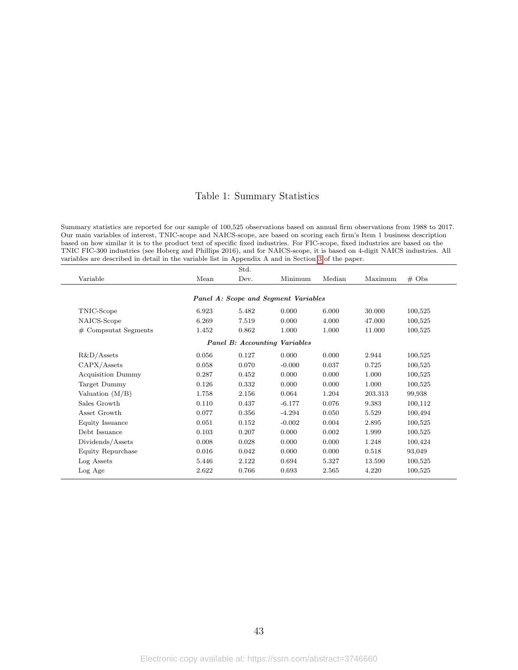### Table 1: Summary Statistics

Summary statistics are reported for our sample of 100,525 observations based on annual firm observations from 1988 to 2017. Our main variables of interest, TNIC-scope and NAICS-scope, are based on scoring each firm's Item 1 business description based on how similar it is to the product text of specific fixed industries. For FIC-scope, fixed industries are based on the TNIC FIC-300 industries (see Hoberg and Phillips 2016), and for NAICS-scope, it is based on 4-digit NAICS industries. All variables are described in detail in the variable list in Appendix A and in Section [3](#page-7-0) of the paper.

|                          |       | Std.  |                                      |        |         |                   |
|--------------------------|-------|-------|--------------------------------------|--------|---------|-------------------|
| Variable                 | Mean  | Dev.  | Minimum                              | Median | Maximum | $# \; \text{Obs}$ |
|                          |       |       | Panel A: Scope and Segment Variables |        |         |                   |
|                          |       |       |                                      |        |         |                   |
| TNIC-Scope               | 6.923 | 5.482 | 0.000                                | 6.000  | 30.000  | 100,525           |
| NAICS-Scope              | 6.269 | 7.519 | 0.000                                | 4.000  | 47.000  | 100,525           |
| $#$ Compsutat Segments   | 1.452 | 0.862 | 1.000                                | 1.000  | 11.000  | 100,525           |
|                          |       |       | <b>Panel B:</b> Accounting Variables |        |         |                   |
| $R&D/A$ ssets            | 0.056 | 0.127 | 0.000                                | 0.000  | 2.944   | 100,525           |
| CAPX/Assets              | 0.058 | 0.070 | $-0.000$                             | 0.037  | 0.725   | 100,525           |
| <b>Acquisition Dummy</b> | 0.287 | 0.452 | 0.000                                | 0.000  | 1.000   | 100,525           |
| Target Dummy             | 0.126 | 0.332 | 0.000                                | 0.000  | 1.000   | 100,525           |
| Valuation $(M/B)$        | 1.758 | 2.156 | 0.064                                | 1.204  | 203.313 | 99,938            |
| Sales Growth             | 0.110 | 0.437 | $-6.177$                             | 0.076  | 9.383   | 100,112           |
| Asset Growth             | 0.077 | 0.356 | $-4.294$                             | 0.050  | 5.529   | 100,494           |
| Equity Issuance          | 0.051 | 0.152 | $-0.002$                             | 0.004  | 2.895   | 100,525           |
| Debt Issuance            | 0.103 | 0.207 | 0.000                                | 0.002  | 1.999   | 100,525           |
| Dividends/Assets         | 0.008 | 0.028 | 0.000                                | 0.000  | 1.248   | 100,424           |
| Equity Repurchase        | 0.016 | 0.042 | 0.000                                | 0.000  | 0.518   | 93,049            |
| Log Assets               | 5.446 | 2.122 | 0.694                                | 5.327  | 13.590  | 100,525           |
| Log Age                  | 2.622 | 0.766 | 0.693                                | 2.565  | 4.220   | 100,525           |
|                          |       |       |                                      |        |         |                   |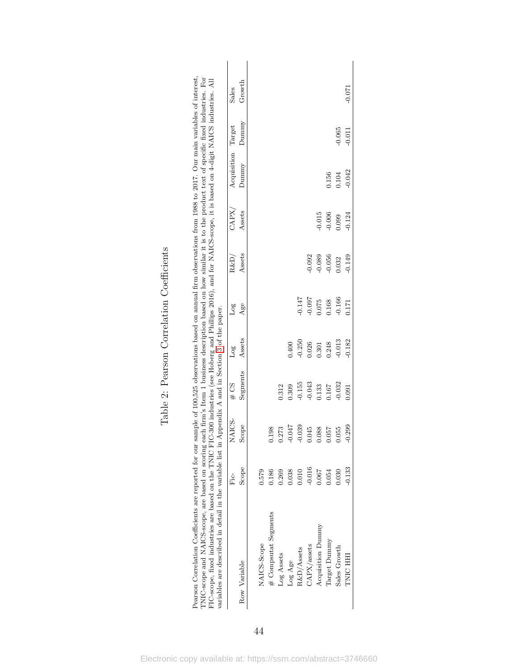|                      | Е.<br>Fic | NAICS-   | 20#      | Log      | Log      | R&D,     | $\rm{CAPX}$ | Acquisition Target |          | Sales  |
|----------------------|-----------|----------|----------|----------|----------|----------|-------------|--------------------|----------|--------|
| Row Variable         | Scope     | Scope    | Segments | Assets   | Age      | Assets   | Assets      | Dunnny             | Dunnny   | Growth |
| NAICS-Scope          | 0.579     |          |          |          |          |          |             |                    |          |        |
| # Compsutat Segments | 0.186     | 0.198    |          |          |          |          |             |                    |          |        |
| Log Assets           | 0.269     | 0.273    | 0.312    |          |          |          |             |                    |          |        |
| Log Age              | 0.38      | $-0.047$ | 0.309    | 0.400    |          |          |             |                    |          |        |
| R&D/Assets           | 0.010     | $-0.039$ | $-0.155$ | $-0.250$ | $-0.147$ |          |             |                    |          |        |
| CAPX/assets          | $-0.016$  | 0.045    | $-0.043$ | 0.026    | $-0.097$ | $-0.092$ |             |                    |          |        |
| Acquisition Dummy    | 0.067     | 0.088    | 0.133    | 0.301    | 1.075    | $-0.089$ | $-0.015$    |                    |          |        |
| Target Dummy         | 0.54      | 0.057    | 0.167    | 0.248    | 0.168    | $-0.056$ | 0.006       | 0.156              |          |        |
| Sales Growth         | 0.030     | 0.055    | $-0.032$ | $-0.013$ | $-0.166$ | 0.032    | 0.099       | 0.104              | $-0.065$ |        |
| TNIC HH              | $-0.133$  | 299      | 0.091    | $-0.182$ | 1171     | $-0.149$ | 0.124       | $-0.042$           | $-0.011$ | -0.071 |

Table 2: Pearson Correlation Coefficients Table 2: Pearson Correlation Coefficients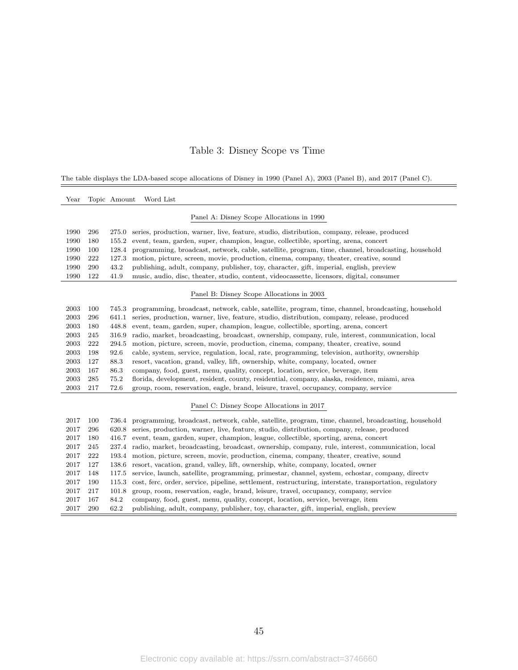### Table 3: Disney Scope vs Time

The table displays the LDA-based scope allocations of Disney in 1990 (Panel A), 2003 (Panel B), and 2017 (Panel C).

| Year |     | Topic Amount | Word List                                                                                                |
|------|-----|--------------|----------------------------------------------------------------------------------------------------------|
|      |     |              | Panel A: Disney Scope Allocations in 1990                                                                |
| 1990 | 296 | 275.0        | series, production, warner, live, feature, studio, distribution, company, release, produced              |
| 1990 | 180 | 155.2        | event, team, garden, super, champion, league, collectible, sporting, arena, concert                      |
| 1990 | 100 | 128.4        | programming, broadcast, network, cable, satellite, program, time, channel, broadcasting, household       |
| 1990 | 222 | 127.3        | motion, picture, screen, movie, production, cinema, company, theater, creative, sound                    |
| 1990 | 290 | 43.2         | publishing, adult, company, publisher, toy, character, gift, imperial, english, preview                  |
| 1990 | 122 | 41.9         | music, audio, disc, theater, studio, content, videocassette, licensors, digital, consumer                |
|      |     |              | Panel B: Disney Scope Allocations in 2003                                                                |
| 2003 | 100 | 745.3        | programming, broadcast, network, cable, satellite, program, time, channel, broadcasting, household       |
| 2003 | 296 | 641.1        | series, production, warner, live, feature, studio, distribution, company, release, produced              |
| 2003 | 180 | 448.8        | event, team, garden, super, champion, league, collectible, sporting, arena, concert                      |
| 2003 | 245 | 316.9        | radio, market, broadcasting, broadcast, ownership, company, rule, interest, communication, local         |
| 2003 | 222 | 294.5        | motion, picture, screen, movie, production, cinema, company, theater, creative, sound                    |
| 2003 | 198 | 92.6         | cable, system, service, regulation, local, rate, programming, television, authority, ownership           |
| 2003 | 127 | 88.3         | resort, vacation, grand, valley, lift, ownership, white, company, located, owner                         |
| 2003 | 167 | 86.3         | company, food, guest, menu, quality, concept, location, service, beverage, item                          |
| 2003 | 285 | 75.2         | florida, development, resident, county, residential, company, alaska, residence, miami, area             |
| 2003 | 217 | 72.6         | group, room, reservation, eagle, brand, leisure, travel, occupancy, company, service                     |
|      |     |              | Panel C: Disney Scope Allocations in 2017                                                                |
| 2017 | 100 |              | 736.4 programming, broadcast, network, cable, satellite, program, time, channel, broadcasting, household |
| 2017 | 296 |              | 620.8 series, production, warner, live, feature, studio, distribution, company, release, produced        |
| 2017 | 180 |              | 416.7 event, team, garden, super, champion, league, collectible, sporting, arena, concert                |
| 2017 | 245 |              | 237.4 radio, market, broadcasting, broadcast, ownership, company, rule, interest, communication, local   |
| 2017 | 222 | 193.4        | motion, picture, screen, movie, production, cinema, company, theater, creative, sound                    |
| 2017 | 127 | 138.6        | resort, vacation, grand, valley, lift, ownership, white, company, located, owner                         |
| 2017 | 148 | 117.5        | service, launch, satellite, programming, primestar, channel, system, echostar, company, directy          |
| 2017 | 190 | 115.3        | cost, ferc, order, service, pipeline, settlement, restructuring, interstate, transportation, regulatory  |
| 2017 | 217 | 101.8        | group, room, reservation, eagle, brand, leisure, travel, occupancy, company, service                     |
| 2017 | 167 | 84.2         | company, food, guest, menu, quality, concept, location, service, beverage, item                          |
| 2017 | 290 | 62.2         | publishing, adult, company, publisher, toy, character, gift, imperial, english, preview                  |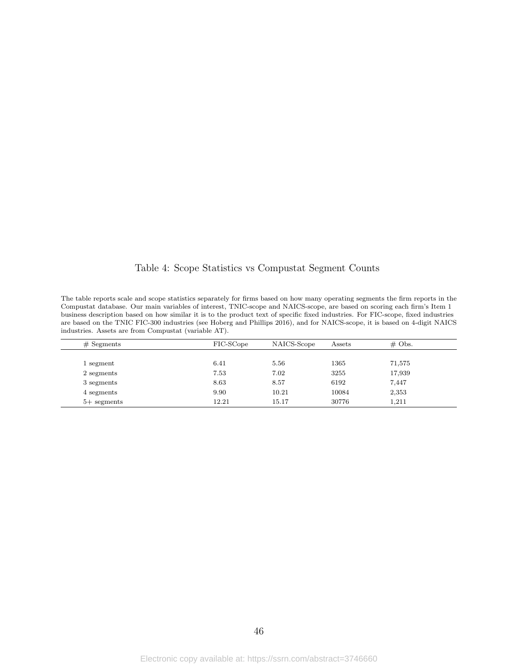Table 4: Scope Statistics vs Compustat Segment Counts

The table reports scale and scope statistics separately for firms based on how many operating segments the firm reports in the Compustat database. Our main variables of interest, TNIC-scope and NAICS-scope, are based on scoring each firm's Item 1 business description based on how similar it is to the product text of specific fixed industries. For FIC-scope, fixed industries are based on the TNIC FIC-300 industries (see Hoberg and Phillips 2016), and for NAICS-scope, it is based on 4-digit NAICS industries. Assets are from Compustat (variable AT).

| $#$ Segments  | FIC-SCope | NAICS-Scope | Assets | $\#$ Obs. |  |
|---------------|-----------|-------------|--------|-----------|--|
|               |           |             |        |           |  |
| 1 segment     | 6.41      | 5.56        | 1365   | 71,575    |  |
| 2 segments    | 7.53      | 7.02        | 3255   | 17,939    |  |
| 3 segments    | 8.63      | 8.57        | 6192   | 7.447     |  |
| 4 segments    | 9.90      | 10.21       | 10084  | 2,353     |  |
| $5+$ segments | 12.21     | 15.17       | 30776  | 1,211     |  |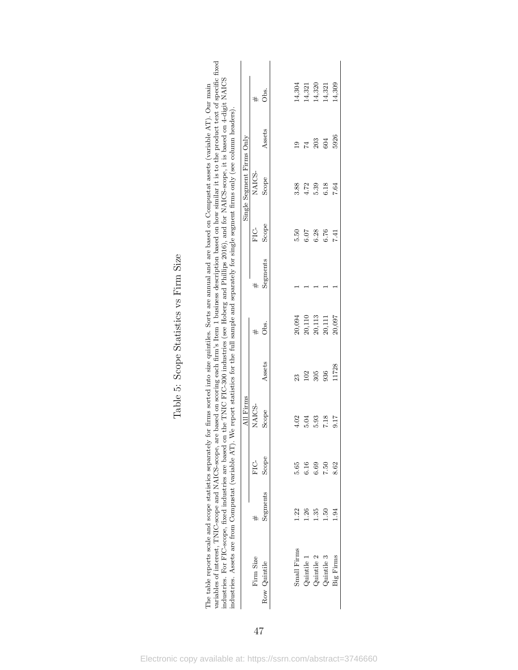|                                                                                                                                                                                                                                                                                                                                                                                                                                                                                                                                                                                                                                                          |                           | $^{\#}$   | Эbs.         | 14,304                  | 14,321     | 14,320     | 14,321     | 14,309         |
|----------------------------------------------------------------------------------------------------------------------------------------------------------------------------------------------------------------------------------------------------------------------------------------------------------------------------------------------------------------------------------------------------------------------------------------------------------------------------------------------------------------------------------------------------------------------------------------------------------------------------------------------------------|---------------------------|-----------|--------------|-------------------------|------------|------------|------------|----------------|
|                                                                                                                                                                                                                                                                                                                                                                                                                                                                                                                                                                                                                                                          |                           |           | Assets       | $\overline{\mathbf{C}}$ | 74         | 203        | 604        | 5926           |
|                                                                                                                                                                                                                                                                                                                                                                                                                                                                                                                                                                                                                                                          | Single Segment Firms Only | NAICS-    | Scope        | 3.88                    | 4.72       | 5.39       | 6.18       | 7.64           |
|                                                                                                                                                                                                                                                                                                                                                                                                                                                                                                                                                                                                                                                          |                           | ป<br>ผิ   | Scope        | 5.50                    | 6.07       | 6.28       | 6.76       | 7.41           |
|                                                                                                                                                                                                                                                                                                                                                                                                                                                                                                                                                                                                                                                          |                           | #         | Segments     |                         |            |            |            |                |
| variables of interest, TNIC-scope and NAICS-scope, are based on scoring each firm's Item 1 business description based on how similar it is to the product text of specific fixed<br>industries. For FIC-scope, fixed industries are based on the TNIC FIC-300 industries (see Hoberg and Phillips 2016), and for NAICS-scope, it is based on 4-digit NAICS<br>The table reports scale and scope statistics separately for firms sorted into size quintiles. Sorts are annual and are based on Compustat assets (variable $AT$ ). Our main<br>We report statistics for the full sample and separately for single segment firms only (see column headers). |                           | #         | .<br>Obs.    | 20,094                  | 20,110     | 20,113     | 20,111     | 20,097         |
|                                                                                                                                                                                                                                                                                                                                                                                                                                                                                                                                                                                                                                                          |                           |           | Assets       | $^{23}$                 | 102        | 305        | 936        | 11728          |
|                                                                                                                                                                                                                                                                                                                                                                                                                                                                                                                                                                                                                                                          | All Firms                 | NAICS-    | Scope        | 4.02                    | 5.04       | 5.93       | 7.18       | 9.17           |
|                                                                                                                                                                                                                                                                                                                                                                                                                                                                                                                                                                                                                                                          |                           | ե<br>հ    | Scope        | 5.65                    | 6.16       | 6.69       | 7.50       | 8.62           |
|                                                                                                                                                                                                                                                                                                                                                                                                                                                                                                                                                                                                                                                          |                           |           | Segments     | 1.22                    | 26         | 135        | <b>B</b>   | $\frac{34}{5}$ |
| industries. Assets are from Compustat (variable AT).                                                                                                                                                                                                                                                                                                                                                                                                                                                                                                                                                                                                     |                           | Firm Size | Row Quintile | Small Firms             | Quintile 1 | Quintile 2 | Quintile 3 | Big Firms      |

Table 5: Scope Statistics vs Firm Size Table 5: Scope Statistics vs Firm Size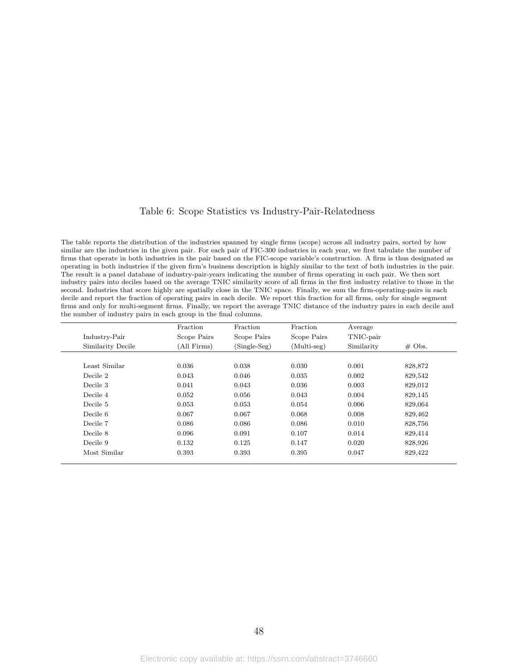#### Table 6: Scope Statistics vs Industry-Pair-Relatedness

The table reports the distribution of the industries spanned by single firms (scope) across all industry pairs, sorted by how similar are the industries in the given pair. For each pair of FIC-300 industries in each year, we first tabulate the number of firms that operate in both industries in the pair based on the FIC-scope variable's construction. A firm is thus designated as operating in both industries if the given firm's business description is highly similar to the text of both industries in the pair. The result is a panel database of industry-pair-years indicating the number of firms operating in each pair. We then sort industry pairs into deciles based on the average TNIC similarity score of all firms in the first industry relative to those in the second. Industries that score highly are spatially close in the TNIC space. Finally, we sum the firm-operating-pairs in each decile and report the fraction of operating pairs in each decile. We report this fraction for all firms, only for single segment firms and only for multi-segment firms. Finally, we report the average TNIC distance of the industry pairs in each decile and the number of industry pairs in each group in the final columns.

|                   | Fraction    | Fraction       | Fraction      | Average    |           |
|-------------------|-------------|----------------|---------------|------------|-----------|
| Industry-Pair     | Scope Pairs | Scope Pairs    | Scope Pairs   | TNIC-pair  |           |
| Similarity Decile | (All Firms) | $(Single-Seg)$ | $(Multi-seg)$ | Similarity | $\#$ Obs. |
|                   |             |                |               |            |           |
| Least Similar     | 0.036       | 0.038          | 0.030         | 0.001      | 828,872   |
| Decile 2          | 0.043       | 0.046          | 0.035         | 0.002      | 829,542   |
| Decile 3          | 0.041       | 0.043          | 0.036         | 0.003      | 829,012   |
| Decile 4          | 0.052       | 0.056          | 0.043         | 0.004      | 829,145   |
| Decile 5          | 0.053       | 0.053          | 0.054         | 0.006      | 829,064   |
| Decile 6          | 0.067       | 0.067          | 0.068         | 0.008      | 829,462   |
| Decile 7          | 0.086       | 0.086          | 0.086         | 0.010      | 828,756   |
| Decile 8          | 0.096       | 0.091          | 0.107         | 0.014      | 829,414   |
| Decile 9          | 0.132       | 0.125          | 0.147         | 0.020      | 828,926   |
| Most Similar      | 0.393       | 0.393          | 0.395         | 0.047      | 829,422   |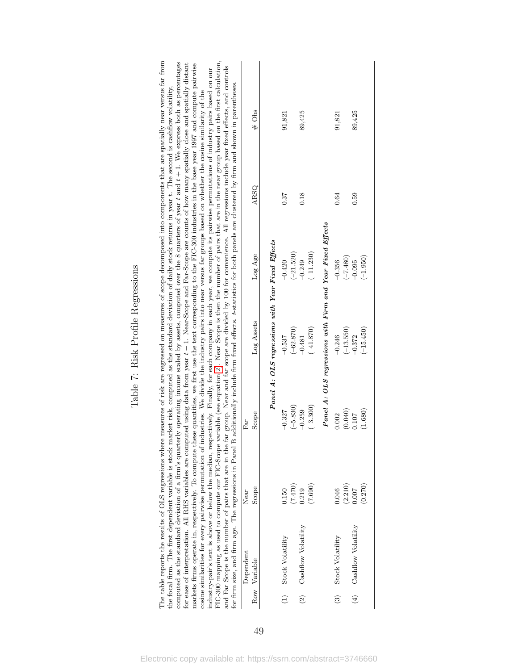|                | The table reports the results of OLS regressions where<br>for firm size, and firm age. The regressions in Panel B |                             |                                      |                                                           |                                        | FIC-300 mapping as used to compute our FIC-Scope variable (see equation 2). Near Scope is then the number of pairs that are in the near group based on the first calculation,<br>measures of risk are regressed on measures of scope decomposed into components that are spatially near versus far from<br>computed as the standard deviation of a firm's quarterly operating income scaled by assets, computed over the 8 quarters of year t and $t+1$ . We express both as percentages<br>for ease of interpretation. All RHS variables are computed using data from year $t-1$ . Near-Scope and Far-Scope are counts of how many spatially close and spatially distant<br>markets firms operate in, respectively. To compute these quantities, we first use the text corresponding to the FIC-300 industries in the base year 1997 and compute pairwise<br>and Far Scope is the number of pairs that are in the far group. Near and far scope are divided by 100 for convenience. All regressions include year fixed effects, and controls<br>industry-pair's text is above or below the median, respectively. Finally, for each company in each year, we compute its pairwise permutations of industry pairs based on our<br>additionally include firm fixed effects. t-statistics for both panels are clustered by firm and shown in parentheses.<br>the focal firm. The first dependent variable is stock market risk, computed as the standard deviation of daily stock returns in year t. The second is cashflow volatility,<br>cosine similarities for every pairwise permutation of industries. We divide the industry pairs into near versus far groups based on whether the cosine similarity of the |          |
|----------------|-------------------------------------------------------------------------------------------------------------------|-----------------------------|--------------------------------------|-----------------------------------------------------------|----------------------------------------|------------------------------------------------------------------------------------------------------------------------------------------------------------------------------------------------------------------------------------------------------------------------------------------------------------------------------------------------------------------------------------------------------------------------------------------------------------------------------------------------------------------------------------------------------------------------------------------------------------------------------------------------------------------------------------------------------------------------------------------------------------------------------------------------------------------------------------------------------------------------------------------------------------------------------------------------------------------------------------------------------------------------------------------------------------------------------------------------------------------------------------------------------------------------------------------------------------------------------------------------------------------------------------------------------------------------------------------------------------------------------------------------------------------------------------------------------------------------------------------------------------------------------------------------------------------------------------------------------------------------------------------------------------------------------------------------------------------|----------|
| Row            | Dependent<br>Variable                                                                                             | Scope<br>Near               | Scope<br>EЯ                          | Log Assets                                                | Log Age                                | ARSQ                                                                                                                                                                                                                                                                                                                                                                                                                                                                                                                                                                                                                                                                                                                                                                                                                                                                                                                                                                                                                                                                                                                                                                                                                                                                                                                                                                                                                                                                                                                                                                                                                                                                                                             | $\#$ Obs |
|                |                                                                                                                   |                             |                                      | Panel A: OLS regressions with Year Fixed Effects          |                                        |                                                                                                                                                                                                                                                                                                                                                                                                                                                                                                                                                                                                                                                                                                                                                                                                                                                                                                                                                                                                                                                                                                                                                                                                                                                                                                                                                                                                                                                                                                                                                                                                                                                                                                                  |          |
| $\ominus$      | Stock Volatility                                                                                                  | 0.150                       | $-0.327$                             | $-0.537$                                                  | $-0.420$                               | 0.37                                                                                                                                                                                                                                                                                                                                                                                                                                                                                                                                                                                                                                                                                                                                                                                                                                                                                                                                                                                                                                                                                                                                                                                                                                                                                                                                                                                                                                                                                                                                                                                                                                                                                                             | 91,821   |
| $\odot$        | Cashflow Volatility                                                                                               | (7.470)<br>(7.690)<br>0.219 | $(-3.300)$<br>$(-5.830)$<br>$-0.259$ | $(-62.870)$<br>$(-41.870)$<br>$-0.481$                    | $(-21.520)$<br>$(-11.230)$<br>$-0.249$ | 0.18                                                                                                                                                                                                                                                                                                                                                                                                                                                                                                                                                                                                                                                                                                                                                                                                                                                                                                                                                                                                                                                                                                                                                                                                                                                                                                                                                                                                                                                                                                                                                                                                                                                                                                             | 89,425   |
|                |                                                                                                                   |                             |                                      | Panel A: OLS regressions with Firm and Year Fixed Effects |                                        |                                                                                                                                                                                                                                                                                                                                                                                                                                                                                                                                                                                                                                                                                                                                                                                                                                                                                                                                                                                                                                                                                                                                                                                                                                                                                                                                                                                                                                                                                                                                                                                                                                                                                                                  |          |
| $\binom{3}{2}$ | Stock Volatility                                                                                                  | (2.210)<br>0.046            | (0.040)<br>0.002                     | $(-13.550)$<br>$-0.246$                                   | $(-7.480)$<br>$-0.356$                 | 0.64                                                                                                                                                                                                                                                                                                                                                                                                                                                                                                                                                                                                                                                                                                                                                                                                                                                                                                                                                                                                                                                                                                                                                                                                                                                                                                                                                                                                                                                                                                                                                                                                                                                                                                             | 91,821   |
| $\tag{4}$      | Cashflow Volatility                                                                                               | (0.270)<br>0.007            | (1.680)<br>0.107                     | $(-15.450)$<br>$-0.372$                                   | $(-1.950)$<br>$-0.095$                 | 0.59                                                                                                                                                                                                                                                                                                                                                                                                                                                                                                                                                                                                                                                                                                                                                                                                                                                                                                                                                                                                                                                                                                                                                                                                                                                                                                                                                                                                                                                                                                                                                                                                                                                                                                             | 89,425   |

# Table 7: Risk Profile Regressions Table 7: Risk Profile Regressions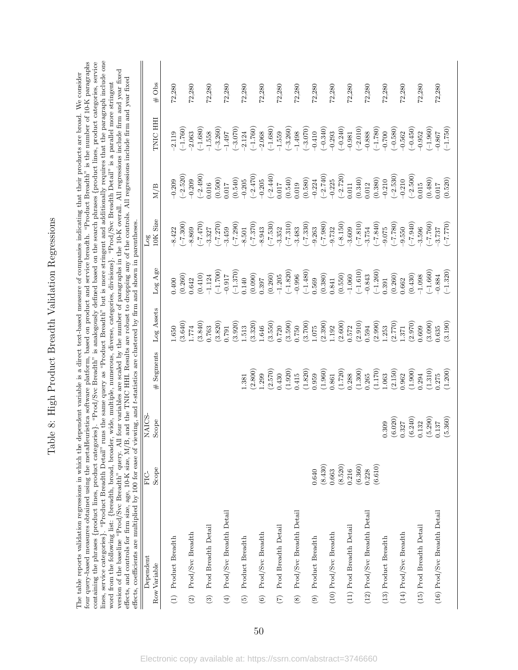Table 8: High Product Breadth Validation Regressions Table 8: High Product Breadth Validation Regressions

<span id="page-50-0"></span>lines, service categories}. "Product Breadth Detail" runs the same query as "Product Breadth" but is more stringent and additionally requires that the paragraph include one four query-based measures obtained using the metaHeuristica software platform, based on product and service breadth. "Product Breadth" is the number of 10-K paragraphs containing the phrases {product lines, product categories}. "Prod/Svc Breadth" is analogously defined based on the search phrases {product lines, product categories, service lines, service categories}. "Product Breadth Detail" runs the same query as "Product Breadth" but is more stringent and additionally requires that the paragraph include one four query-based measures obtained using the metaHeuristica software platform, based on product and service breadth. "Product Breadth" is the number of 10-K paragraphs containing the phrases {product lines, product categories}. "Prod/Svc Breadth" is analogously defined based on the search phrases {product lines, product categories, service version of the baseline "Prod/Svc Breadth" query. All four variables are scaled by the number of paragraphs in the 10-K overall. All regressions include firm and year fixed effects, and controls for firm size, age, 10-K s The table reports validation regressions in which the dependent variable is a direct text-based measure of companies indicating that their products are broad. We consider version of the baseline "Prod/Svc Breadth" query. All four variables are scaled by the number of paragraphs in the 10-K overall. All regressions include firm and year fixed The table reports validation regressions in which the dependent variable is a direct text-based measure of companies indicating that their products are broad. We consider effects, and controls for firm size, age, 10-K size, M/B, and the TNIC HHI. Results are robust to dropping any of the controls. All regressions include firm and year fixed word from the following list: {breadth, broad, broader, wide, multiple, numerous, diverse, categories, divisions}. "Prod/Svc Breadth Detail" is a parallel more stringent word from the following list: {breadth, broad, broader, wide, multiple, numerous, diverse, categories, divisions}. "Prod/Svc Breadth Detail" is a parallel more stringent

| effects, coefficients are multiplied by 100 for ease of viewing, and t-statistics are clustered by firm and shown in parentheses |         |         |                                                                                                                                                      |                                                                                                                                                                                                                  |                                                                                                                                                                                                                                                                                                                          |                                  |                                                                                                                                                                                                                                                                                                                            |                                                                                                                                                                                                                                                                                                                                 |          |
|----------------------------------------------------------------------------------------------------------------------------------|---------|---------|------------------------------------------------------------------------------------------------------------------------------------------------------|------------------------------------------------------------------------------------------------------------------------------------------------------------------------------------------------------------------|--------------------------------------------------------------------------------------------------------------------------------------------------------------------------------------------------------------------------------------------------------------------------------------------------------------------------|----------------------------------|----------------------------------------------------------------------------------------------------------------------------------------------------------------------------------------------------------------------------------------------------------------------------------------------------------------------------|---------------------------------------------------------------------------------------------------------------------------------------------------------------------------------------------------------------------------------------------------------------------------------------------------------------------------------|----------|
| Dependent                                                                                                                        | FIC-    | NAICS.  |                                                                                                                                                      |                                                                                                                                                                                                                  |                                                                                                                                                                                                                                                                                                                          | $_{\rm Log}$                     |                                                                                                                                                                                                                                                                                                                            |                                                                                                                                                                                                                                                                                                                                 |          |
| Row Variable                                                                                                                     | Scope   | Scope   | Segments<br>#                                                                                                                                        | Log Assets                                                                                                                                                                                                       | Log Age                                                                                                                                                                                                                                                                                                                  | <b>IOK</b> Size                  | M/B                                                                                                                                                                                                                                                                                                                        | TNIC HH                                                                                                                                                                                                                                                                                                                         | $\#$ Obs |
| $(1)$ Product Breadth                                                                                                            |         |         |                                                                                                                                                      | 0.650                                                                                                                                                                                                            | 0.400                                                                                                                                                                                                                                                                                                                    |                                  | $-0.209$                                                                                                                                                                                                                                                                                                                   | 2.119                                                                                                                                                                                                                                                                                                                           | 72,280   |
|                                                                                                                                  |         |         |                                                                                                                                                      | (3.640)                                                                                                                                                                                                          | (0.260)                                                                                                                                                                                                                                                                                                                  |                                  | $\begin{array}{c} (-2.520) \\ -0.209 \\ (-2.490) \\ 0.016 \end{array}$                                                                                                                                                                                                                                                     | $(-1.760)$                                                                                                                                                                                                                                                                                                                      |          |
| $(2)$ Prod/Svc Breadth                                                                                                           |         |         |                                                                                                                                                      | 1774                                                                                                                                                                                                             | 0.642                                                                                                                                                                                                                                                                                                                    |                                  |                                                                                                                                                                                                                                                                                                                            | $-2.063$                                                                                                                                                                                                                                                                                                                        | 72,280   |
|                                                                                                                                  |         |         |                                                                                                                                                      | (3.840)                                                                                                                                                                                                          |                                                                                                                                                                                                                                                                                                                          |                                  |                                                                                                                                                                                                                                                                                                                            |                                                                                                                                                                                                                                                                                                                                 |          |
| (3) Prod Breadth Detail                                                                                                          |         |         |                                                                                                                                                      | 1.763                                                                                                                                                                                                            |                                                                                                                                                                                                                                                                                                                          |                                  |                                                                                                                                                                                                                                                                                                                            |                                                                                                                                                                                                                                                                                                                                 | 72,280   |
|                                                                                                                                  |         |         |                                                                                                                                                      | $\begin{array}{c} (3.820) \\ 0.791 \end{array}$                                                                                                                                                                  | $\begin{array}{l} (0.410) \\ -1.124 \\ (-1.700) \\ -0.917 \\ (-1.370) \\ 0.140 \\ (0.990) \\ (0.997) \\ (0.260) \\ -1.205 \\ (-1.820) \\ (-1.480) \\ (-1.480) \\ 0.569 \\ (0.569) \\ 0.569 \\ (0.569) \\ 0.569 \\ (0.569) \\ 0.569 \\ (0.569) \\ 0.569 \\ (0.569) \\ 0.569 \\ (0.569) \\ 0.569 \\ (0.569) \\ 0.569 \\ ($ |                                  | $\left( 0.500\right)$ $\left( 0.017\right)$                                                                                                                                                                                                                                                                                | $\begin{array}{l} (1.680)\\ (-1.558)\\ (-1.558)\\ (-1.590)\\ (-1.72)\\ (-1.72)\\ (-1.72)\\ (-1.72)\\ (-1.72)\\ (-1.72)\\ (-1.72)\\ (-1.72)\\ (-1.72)\\ (-1.72)\\ (-1.72)\\ (-1.72)\\ (-1.72)\\ (-1.72)\\ (-1.72)\\ (-1.72)\\ (-1.72)\\ (-1.72)\\ (-1.72)\\ (-1.72)\\ (-1.72)\\ (-1.72)\\ (-1.72)\\ (-1.72)\\ (-1.72)\\ (-1.72)$ |          |
| $(4)$ Prod/Svc Breadth Detail                                                                                                    |         |         |                                                                                                                                                      |                                                                                                                                                                                                                  |                                                                                                                                                                                                                                                                                                                          |                                  |                                                                                                                                                                                                                                                                                                                            |                                                                                                                                                                                                                                                                                                                                 | 72,280   |
|                                                                                                                                  |         |         |                                                                                                                                                      | $\begin{array}{c} (3.920) \\ 1.513 \\ (3.320) \\ 1.646 \end{array}$                                                                                                                                              |                                                                                                                                                                                                                                                                                                                          |                                  | $\begin{array}{l} (0.540) \\ (-2.470) \\ (-2.470) \\ (0.540) \\ (0.540) \\ (0.540) \\ (0.540) \\ (0.540) \\ (0.540) \\ (0.540) \\ (-2.740) \\ (0.540) \\ (-2.720) \\ (0.340) \\ (0.340) \\ (0.340) \\ (0.340) \\ (0.340) \\ (0.340) \\ (0.340) \\ (0.460) \\ (0.460) \\ (0.460) \\ (0.460) \\ (0.460) \\ (0.460) \\ (0.46$ |                                                                                                                                                                                                                                                                                                                                 |          |
| (5) Product Breadth                                                                                                              |         |         | .381                                                                                                                                                 |                                                                                                                                                                                                                  |                                                                                                                                                                                                                                                                                                                          |                                  |                                                                                                                                                                                                                                                                                                                            |                                                                                                                                                                                                                                                                                                                                 | 72,280   |
|                                                                                                                                  |         |         | (2.800)                                                                                                                                              |                                                                                                                                                                                                                  |                                                                                                                                                                                                                                                                                                                          |                                  |                                                                                                                                                                                                                                                                                                                            |                                                                                                                                                                                                                                                                                                                                 |          |
| $(6)$ Prod/Svc Breadth                                                                                                           |         |         | 1.299                                                                                                                                                |                                                                                                                                                                                                                  |                                                                                                                                                                                                                                                                                                                          |                                  |                                                                                                                                                                                                                                                                                                                            |                                                                                                                                                                                                                                                                                                                                 | 72,280   |
|                                                                                                                                  |         |         | (2.570)                                                                                                                                              | $\begin{array}{c} (3.550) \\ 0.720 \\ (3.590) \\ 0.750 \end{array}$                                                                                                                                              |                                                                                                                                                                                                                                                                                                                          |                                  |                                                                                                                                                                                                                                                                                                                            |                                                                                                                                                                                                                                                                                                                                 |          |
| (7) Prod Breadth Detail                                                                                                          |         |         | 0.430                                                                                                                                                |                                                                                                                                                                                                                  |                                                                                                                                                                                                                                                                                                                          |                                  |                                                                                                                                                                                                                                                                                                                            |                                                                                                                                                                                                                                                                                                                                 | 72,280   |
|                                                                                                                                  |         |         | $\begin{array}{c} (1.920) \\ 0.415 \\ (1.820) \\ 0.959 \end{array}$                                                                                  |                                                                                                                                                                                                                  |                                                                                                                                                                                                                                                                                                                          |                                  |                                                                                                                                                                                                                                                                                                                            |                                                                                                                                                                                                                                                                                                                                 |          |
| (8) Prod/Svc Breadth Detail                                                                                                      |         |         |                                                                                                                                                      |                                                                                                                                                                                                                  |                                                                                                                                                                                                                                                                                                                          |                                  |                                                                                                                                                                                                                                                                                                                            |                                                                                                                                                                                                                                                                                                                                 | 72,280   |
|                                                                                                                                  |         |         |                                                                                                                                                      |                                                                                                                                                                                                                  |                                                                                                                                                                                                                                                                                                                          |                                  |                                                                                                                                                                                                                                                                                                                            |                                                                                                                                                                                                                                                                                                                                 |          |
| (9) Product Breadth                                                                                                              | 0.640   |         |                                                                                                                                                      |                                                                                                                                                                                                                  |                                                                                                                                                                                                                                                                                                                          |                                  |                                                                                                                                                                                                                                                                                                                            |                                                                                                                                                                                                                                                                                                                                 | 72,280   |
|                                                                                                                                  | (8.430) |         |                                                                                                                                                      |                                                                                                                                                                                                                  |                                                                                                                                                                                                                                                                                                                          |                                  |                                                                                                                                                                                                                                                                                                                            |                                                                                                                                                                                                                                                                                                                                 |          |
| $(10)$ Prod/Svc Breadth                                                                                                          | 0.663   |         |                                                                                                                                                      |                                                                                                                                                                                                                  |                                                                                                                                                                                                                                                                                                                          |                                  |                                                                                                                                                                                                                                                                                                                            |                                                                                                                                                                                                                                                                                                                                 | 72,280   |
|                                                                                                                                  | (8.520) |         |                                                                                                                                                      |                                                                                                                                                                                                                  |                                                                                                                                                                                                                                                                                                                          |                                  |                                                                                                                                                                                                                                                                                                                            |                                                                                                                                                                                                                                                                                                                                 |          |
| (11) Prod Breadth Detail                                                                                                         | 0.216   |         |                                                                                                                                                      |                                                                                                                                                                                                                  |                                                                                                                                                                                                                                                                                                                          |                                  |                                                                                                                                                                                                                                                                                                                            |                                                                                                                                                                                                                                                                                                                                 | 72,280   |
|                                                                                                                                  | (6.360) |         | $\begin{array}{l} (1.960) \\ 0.861 \\ 0.720) \\ 0.288 \\ (1.300) \\ 0.265 \\ (1.170) \\ 0.265 \\ (1.170) \\ (2.150) \\ (2.150) \\ 0.962 \end{array}$ | $\begin{array}{l} (3.700) \\ 1.075 \\ (2.390) \\ (1.92) \\ (2.600) \\ (3.612) \\ (2.910) \\ (3.910) \\ (2.911) \\ (2.911) \\ (2.970) \\ (2.970) \\ (2.970) \\ (2.970) \\ (2.970) \\ (2.90) \\ 0.609 \end{array}$ | $\begin{array}{l} (0.380) \\ 0.841 \\ (0.550) \\ (0.550) \\ -1.060 \\ (-1.610) \\ -0.843 \\ (-1.260) \\ (-1.260) \\ \end{array}$                                                                                                                                                                                         |                                  |                                                                                                                                                                                                                                                                                                                            |                                                                                                                                                                                                                                                                                                                                 |          |
| $(12)$ Prod/Svc Breadth Detail                                                                                                   | 0.228   |         |                                                                                                                                                      |                                                                                                                                                                                                                  |                                                                                                                                                                                                                                                                                                                          |                                  |                                                                                                                                                                                                                                                                                                                            |                                                                                                                                                                                                                                                                                                                                 | 72,280   |
|                                                                                                                                  | (6.610) |         |                                                                                                                                                      |                                                                                                                                                                                                                  |                                                                                                                                                                                                                                                                                                                          |                                  |                                                                                                                                                                                                                                                                                                                            |                                                                                                                                                                                                                                                                                                                                 |          |
| (13) Product Breadth                                                                                                             |         | 0.309   |                                                                                                                                                      |                                                                                                                                                                                                                  |                                                                                                                                                                                                                                                                                                                          |                                  |                                                                                                                                                                                                                                                                                                                            |                                                                                                                                                                                                                                                                                                                                 | 72,280   |
|                                                                                                                                  |         | (6.020) |                                                                                                                                                      |                                                                                                                                                                                                                  | $\left( 0.260\right)$ $\qquad0.662$                                                                                                                                                                                                                                                                                      |                                  |                                                                                                                                                                                                                                                                                                                            |                                                                                                                                                                                                                                                                                                                                 |          |
| $(14)$ Prod/Svc Breadth                                                                                                          |         | 0.327   |                                                                                                                                                      |                                                                                                                                                                                                                  |                                                                                                                                                                                                                                                                                                                          |                                  |                                                                                                                                                                                                                                                                                                                            |                                                                                                                                                                                                                                                                                                                                 | 72,280   |
|                                                                                                                                  |         | (6.240) |                                                                                                                                                      |                                                                                                                                                                                                                  | (0.430)                                                                                                                                                                                                                                                                                                                  |                                  |                                                                                                                                                                                                                                                                                                                            |                                                                                                                                                                                                                                                                                                                                 |          |
| (15) Prod Breadth Detail                                                                                                         |         | 0.132   |                                                                                                                                                      |                                                                                                                                                                                                                  | $-1.098$                                                                                                                                                                                                                                                                                                                 |                                  |                                                                                                                                                                                                                                                                                                                            |                                                                                                                                                                                                                                                                                                                                 | 72,280   |
|                                                                                                                                  |         | (5.290) | $\begin{array}{c} (1.900) \\ 0.294 \\ (1.310) \\ 0.275 \end{array}$                                                                                  | $(3.090)$<br>$0.635$                                                                                                                                                                                             | $(-1.660)$<br>-0.884<br>(-1.320)                                                                                                                                                                                                                                                                                         | $(-7.760)$<br>-3.737<br>(-7.770) |                                                                                                                                                                                                                                                                                                                            |                                                                                                                                                                                                                                                                                                                                 |          |
| (16) Prod/Svc Breadth Detail                                                                                                     |         | 0.137   |                                                                                                                                                      |                                                                                                                                                                                                                  |                                                                                                                                                                                                                                                                                                                          |                                  |                                                                                                                                                                                                                                                                                                                            | $-0.867$<br>$(-1.750)$                                                                                                                                                                                                                                                                                                          | 72,280   |
|                                                                                                                                  |         | (5.360) | (1.200)                                                                                                                                              | (3.190)                                                                                                                                                                                                          |                                                                                                                                                                                                                                                                                                                          |                                  |                                                                                                                                                                                                                                                                                                                            |                                                                                                                                                                                                                                                                                                                                 |          |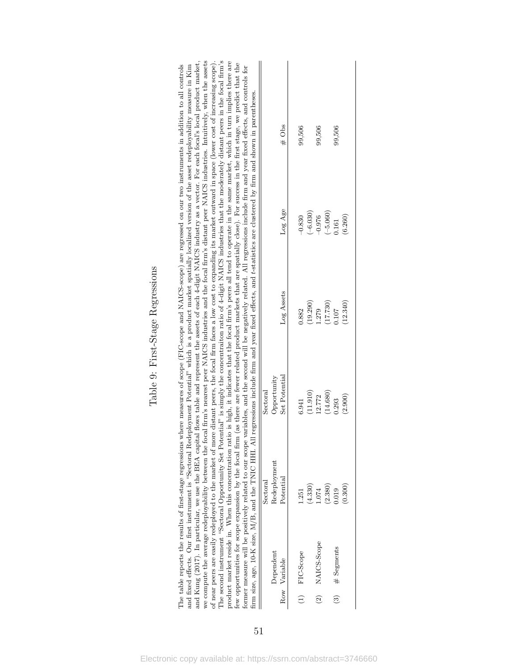<span id="page-51-0"></span>

|                                                                                                                                                                                                                                                                                                                                                                                                                                                                                                                                                                                                                                                                                                                                                                                                                                                                                                                                                                                                                                                                                                                                                                                                                                                                                                                                                                                                                                                                                         |                          | $\#$ Obs      | 99,506    |            | 99,506                       | 99,506            |
|-----------------------------------------------------------------------------------------------------------------------------------------------------------------------------------------------------------------------------------------------------------------------------------------------------------------------------------------------------------------------------------------------------------------------------------------------------------------------------------------------------------------------------------------------------------------------------------------------------------------------------------------------------------------------------------------------------------------------------------------------------------------------------------------------------------------------------------------------------------------------------------------------------------------------------------------------------------------------------------------------------------------------------------------------------------------------------------------------------------------------------------------------------------------------------------------------------------------------------------------------------------------------------------------------------------------------------------------------------------------------------------------------------------------------------------------------------------------------------------------|--------------------------|---------------|-----------|------------|------------------------------|-------------------|
| variables, and the second will be negatively related. All regressions include firm and year fixed effects, and controls for<br>regressions include firm and year fixed effects, and t-statistics are clustered by firm and shown in parentheses.                                                                                                                                                                                                                                                                                                                                                                                                                                                                                                                                                                                                                                                                                                                                                                                                                                                                                                                                                                                                                                                                                                                                                                                                                                        |                          | Log Age       | $-0.830$  | $(-6.030)$ | $(-5.060)$<br>$-0.976$       | (6.260)<br>0.161  |
|                                                                                                                                                                                                                                                                                                                                                                                                                                                                                                                                                                                                                                                                                                                                                                                                                                                                                                                                                                                                                                                                                                                                                                                                                                                                                                                                                                                                                                                                                         |                          | Log Assets    | 0.882     | (19.290)   | (17.730)<br>1.279            | (12.340)<br>0.107 |
| of near peers are easily redeployed to the market of more distant peers, the focal firm faces a low cost to expanding its market outward in space (lower cost of increasing scope).<br>The second instrument "Sectoral Opportunity Set Potential" is simply the concentraiton ratio of 4-digit NAICS industries that the moderately distant peers in the focal firm's<br>and Kung (2017). In particular, we use the BEA capital flows table and represent the assets of each 4-digit NAICS industry as a vector. For each focal's local product market,<br>we compute the average redeployability between the focal firm's nearest peer NAICS industries and the focal firm's distant peer NAICS industries. Intuitively, when the assets<br>product market reside in. When this concentration ratio is high, it indicates that the focal firm's peers all tend to operate in the same market, which in turn implies there are<br>few opportunities for scope expansion by the focal firm (as there are fewer related product markets that are spatially close). For success in the first stage, we predict that the<br>The table reports the results of first-stage regressions where measures of scope (FIC-scope and NAICS-scope) are regressed on our two instruments in addition to all controls<br>and fixed effects. Our first instrument is "Sectoral Redeployment Potential" which is a product market spatially localized version of the asset redeployability measure in Kim | Opportunity<br>Sectoral  | Set Potential | 6.941     | (11.910)   | (14.680)<br>12.772           | (2.900)<br>0.293  |
| firm size, age, 10-K size, M/B, and the TNIC HHI. All<br>former measure will be positively related to our scope                                                                                                                                                                                                                                                                                                                                                                                                                                                                                                                                                                                                                                                                                                                                                                                                                                                                                                                                                                                                                                                                                                                                                                                                                                                                                                                                                                         | Redeployment<br>Sectoral | Potential     | 1.251     | (4.330)    | (2.380)<br>1.074             | (0.300)<br>0.019  |
|                                                                                                                                                                                                                                                                                                                                                                                                                                                                                                                                                                                                                                                                                                                                                                                                                                                                                                                                                                                                                                                                                                                                                                                                                                                                                                                                                                                                                                                                                         | Dependent                | Variable      | FIC-Scope |            | NAICS-Scope                  | # Segments        |
|                                                                                                                                                                                                                                                                                                                                                                                                                                                                                                                                                                                                                                                                                                                                                                                                                                                                                                                                                                                                                                                                                                                                                                                                                                                                                                                                                                                                                                                                                         |                          | Row           | $\hat{z}$ |            | $\left( \frac{2}{2} \right)$ | $\binom{3}{2}$    |

Table 9: First-Stage Regressions Table 9: First-Stage Regressions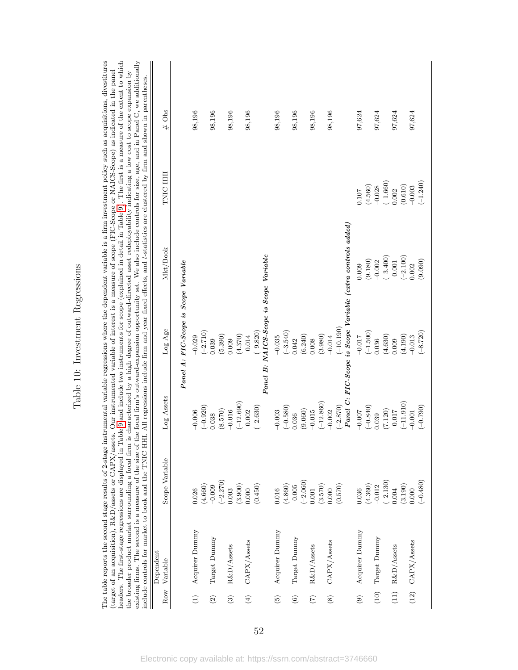<span id="page-52-0"></span>

Table 10: Investment Regressions Table 10: Investment Regressions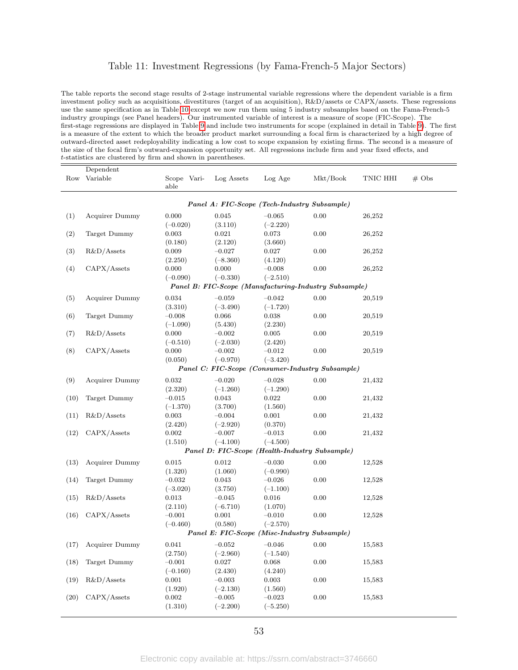### Table 11: Investment Regressions (by Fama-French-5 Major Sectors)

The table reports the second stage results of 2-stage instrumental variable regressions where the dependent variable is a firm investment policy such as acquisitions, divestitures (target of an acquisition), R&D/assets or CAPX/assets. These regressions use the same specification as in Table [10](#page-52-0) except we now run them using 5 industry subsamples based on the Fama-French-5 industry groupings (see Panel headers). Our instrumented variable of interest is a measure of scope (FIC-Scope). The first-stage regressions are displayed in Table [9](#page-51-0) and include two instruments for scope (explained in detail in Table [9\)](#page-51-0). The first is a measure of the extent to which the broader product market surrounding a focal firm is characterized by a high degree of outward-directed asset redeployability indicating a low cost to scope expansion by existing firms. The second is a measure of the size of the focal firm's outward-expansion opportunity set. All regressions include firm and year fixed effects, and t-statistics are clustered by firm and shown in parentheses.

|      | Dependent             |                     |            |            |                                                       |          |                   |
|------|-----------------------|---------------------|------------|------------|-------------------------------------------------------|----------|-------------------|
| Row  | Variable              | Scope Vari-<br>able | Log Assets | Log Age    | Mkt/Book                                              | TNIC HHI | $# \; \text{Obs}$ |
|      |                       |                     |            |            | Panel A: FIC-Scope (Tech-Industry Subsample)          |          |                   |
| (1)  | Acquirer Dummy        | 0.000               | 0.045      | $-0.065$   | 0.00                                                  | 26,252   |                   |
|      |                       | $(-0.020)$          | (3.110)    | $(-2.220)$ |                                                       |          |                   |
| (2)  | Target Dummy          | 0.003               | 0.021      | 0.073      | 0.00                                                  | 26,252   |                   |
|      |                       | (0.180)             | (2.120)    | (3.660)    |                                                       |          |                   |
| (3)  | $R&D/A$ ssets         | 0.009               | $-0.027$   | 0.027      | 0.00                                                  | 26,252   |                   |
|      |                       | (2.250)             | $(-8.360)$ | (4.120)    |                                                       |          |                   |
| (4)  | CAPX/Assets           | 0.000               | 0.000      | $-0.008$   | 0.00                                                  | 26,252   |                   |
|      |                       | $(-0.090)$          | $(-0.330)$ | $(-2.510)$ |                                                       |          |                   |
|      |                       |                     |            |            | Panel B: FIC-Scope (Manufacturing-Industry Subsample) |          |                   |
| (5)  | <b>Acquirer Dummy</b> | 0.034               | $-0.059$   | $-0.042$   | 0.00                                                  | 20,519   |                   |
|      |                       | (3.310)             | $(-3.490)$ | $(-1.720)$ |                                                       |          |                   |
| (6)  | Target Dummy          | $-0.008$            | 0.066      | 0.038      | 0.00                                                  | 20,519   |                   |
|      |                       | $(-1.090)$          | (5.430)    | (2.230)    |                                                       |          |                   |
| (7)  | $R&D/A$ ssets         | 0.000               | $-0.002$   | 0.005      | 0.00                                                  | 20,519   |                   |
|      |                       | $(-0.510)$          | $(-2.030)$ | (2.420)    |                                                       |          |                   |
| (8)  | CAPX/Assets           | 0.000               | $-0.002$   | $-0.012$   | 0.00                                                  | 20,519   |                   |
|      |                       | (0.050)             | $(-0.970)$ | $(-3.420)$ |                                                       |          |                   |
|      |                       |                     |            |            | Panel C: FIC-Scope (Consumer-Industry Subsample)      |          |                   |
| (9)  | Acquirer Dummy        | 0.032               | $-0.020$   | $-0.028$   | 0.00                                                  | 21,432   |                   |
|      |                       | (2.320)             | $(-1.260)$ | $(-1.290)$ |                                                       |          |                   |
| (10) | Target Dummy          | $-0.015$            | 0.043      | 0.022      | 0.00                                                  | 21,432   |                   |
|      |                       | $(-1.370)$          | (3.700)    | (1.560)    |                                                       |          |                   |
| (11) | $R&D/A$ ssets         | 0.003               | $-0.004$   | 0.001      | 0.00                                                  | 21,432   |                   |
|      |                       | (2.420)             | $(-2.920)$ | (0.370)    |                                                       |          |                   |
| (12) | CAPX/Assets           | 0.002               | $-0.007$   | $-0.013$   | 0.00                                                  | 21,432   |                   |
|      |                       | (1.510)             | $(-4.100)$ | $(-4.500)$ |                                                       |          |                   |
|      |                       |                     |            |            | Panel D: FIC-Scope (Health-Industry Subsample)        |          |                   |
| (13) | Acquirer Dummy        | 0.015               | 0.012      | $-0.030$   | $0.00\,$                                              | 12,528   |                   |
|      |                       | (1.320)             | (1.060)    | $(-0.990)$ |                                                       |          |                   |
| (14) | Target Dummy          | $-0.032$            | 0.043      | $-0.026$   | 0.00                                                  | 12,528   |                   |
|      |                       | $(-3.020)$          | (3.750)    | $(-1.100)$ |                                                       |          |                   |
| (15) | $R&D/A$ ssets         | 0.013               | $-0.045$   | 0.016      | 0.00                                                  | 12,528   |                   |
|      |                       | (2.110)             | $(-6.710)$ | (1.070)    |                                                       |          |                   |
| (16) | CAPX/Assets           | $-0.001$            | 0.001      | $-0.010$   | 0.00                                                  | 12,528   |                   |
|      |                       | $(-0.460)$          | (0.580)    | $(-2.570)$ |                                                       |          |                   |
|      |                       |                     |            |            | Panel E: FIC-Scope (Misc-Industry Subsample)          |          |                   |
| (17) | Acquirer Dummy        | 0.041               | $-0.052$   | $-0.046$   | 0.00                                                  | 15,583   |                   |
|      |                       | (2.750)             | $(-2.960)$ | $(-1.540)$ |                                                       |          |                   |
| (18) | Target Dummy          | $-0.001$            | 0.027      | 0.068      | 0.00                                                  | 15,583   |                   |
|      |                       | $(-0.160)$          | (2.430)    | (4.240)    |                                                       |          |                   |
| (19) | $R&D/A$ ssets         | 0.001               | $-0.003$   | 0.003      | 0.00                                                  | 15,583   |                   |
|      |                       | (1.920)             | $(-2.130)$ | (1.560)    |                                                       |          |                   |
| (20) | CAPX/Assets           | 0.002               | $-0.005$   | $-0.023$   | 0.00                                                  | 15,583   |                   |
|      |                       | (1.310)             | $(-2.200)$ | $(-5.250)$ |                                                       |          |                   |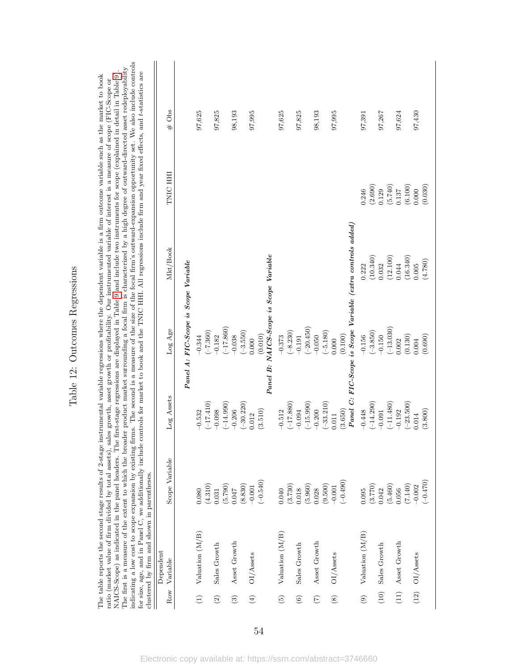<span id="page-54-0"></span>

|                 | for size, age, and in Panel C, we additionally include<br>clustered by firm and shown in parentheses. |                |             |                                                             |          | indicating a low cost to scope expansion by existing firms. The second is a measure of the size of the focal firm's outward-expansion opportunity set. We also include controls<br>The first is a measure of the extent to which the broader product market surrounding a focal firm is characterized by a high degree of outward-directed asset redeployability<br>controls for market to book and the TNIC HHI. All regressions include firm and year fixed effects, and t-statistics are<br>NAICS-Scope) as indicated in the panel headers. The first-stage regressions are displayed in Table 9 and include two instruments for scope (explained in detail in Table 9)<br>The table reports the second stage results of 2-stage instrumental variable regressions where the dependent variable is a firm outcome variable such as the market to book<br>ratio (market value of firm divided by total assets), sales growth, asset growth or profitability. Our instrumented variable of interest is a measure of scope (FIC-Scope or |          |
|-----------------|-------------------------------------------------------------------------------------------------------|----------------|-------------|-------------------------------------------------------------|----------|------------------------------------------------------------------------------------------------------------------------------------------------------------------------------------------------------------------------------------------------------------------------------------------------------------------------------------------------------------------------------------------------------------------------------------------------------------------------------------------------------------------------------------------------------------------------------------------------------------------------------------------------------------------------------------------------------------------------------------------------------------------------------------------------------------------------------------------------------------------------------------------------------------------------------------------------------------------------------------------------------------------------------------------|----------|
|                 | Dependent                                                                                             |                |             |                                                             |          |                                                                                                                                                                                                                                                                                                                                                                                                                                                                                                                                                                                                                                                                                                                                                                                                                                                                                                                                                                                                                                          |          |
| Row             | Variable                                                                                              | Scope Variable | Log Assets  | Log Age                                                     | Mkt/Book | TNIC HH                                                                                                                                                                                                                                                                                                                                                                                                                                                                                                                                                                                                                                                                                                                                                                                                                                                                                                                                                                                                                                  | Obs<br># |
|                 |                                                                                                       |                |             | Panel A: FIC-Scope is Scope Variable                        |          |                                                                                                                                                                                                                                                                                                                                                                                                                                                                                                                                                                                                                                                                                                                                                                                                                                                                                                                                                                                                                                          |          |
|                 | $V$ aluation $(M/B)$                                                                                  | 0.080          | $-0.532$    | $-0.344$                                                    |          |                                                                                                                                                                                                                                                                                                                                                                                                                                                                                                                                                                                                                                                                                                                                                                                                                                                                                                                                                                                                                                          | 97,625   |
|                 |                                                                                                       | (4.310)        | $(-17.410)$ | $(-7.360)$                                                  |          |                                                                                                                                                                                                                                                                                                                                                                                                                                                                                                                                                                                                                                                                                                                                                                                                                                                                                                                                                                                                                                          |          |
| $\widehat{c}$   | Sales Growth                                                                                          | 0.031          | $-0.098$    | $-0.182$                                                    |          |                                                                                                                                                                                                                                                                                                                                                                                                                                                                                                                                                                                                                                                                                                                                                                                                                                                                                                                                                                                                                                          | 97,825   |
|                 |                                                                                                       | (5.790)        | $(-14.990)$ | $(-17.860)$                                                 |          |                                                                                                                                                                                                                                                                                                                                                                                                                                                                                                                                                                                                                                                                                                                                                                                                                                                                                                                                                                                                                                          |          |
| $\widehat{c}$   | Asset Growth                                                                                          | 0.047          | $-0.206$    | $-0.038$                                                    |          |                                                                                                                                                                                                                                                                                                                                                                                                                                                                                                                                                                                                                                                                                                                                                                                                                                                                                                                                                                                                                                          | 98,193   |
|                 |                                                                                                       | (8.830)        | $(-30.220)$ | $(-3.550)$                                                  |          |                                                                                                                                                                                                                                                                                                                                                                                                                                                                                                                                                                                                                                                                                                                                                                                                                                                                                                                                                                                                                                          |          |
|                 | $(4)$ OI/Assets                                                                                       | $-0.001$       | 0.012       | 0.000                                                       |          |                                                                                                                                                                                                                                                                                                                                                                                                                                                                                                                                                                                                                                                                                                                                                                                                                                                                                                                                                                                                                                          | 97,995   |
|                 |                                                                                                       | $(-0.540)$     | (3.510)     | (0.010)                                                     |          |                                                                                                                                                                                                                                                                                                                                                                                                                                                                                                                                                                                                                                                                                                                                                                                                                                                                                                                                                                                                                                          |          |
|                 |                                                                                                       |                |             | Panel B: NAICS-Scope is Scope Variable                      |          |                                                                                                                                                                                                                                                                                                                                                                                                                                                                                                                                                                                                                                                                                                                                                                                                                                                                                                                                                                                                                                          |          |
| $\widehat{5}$   | Valuation (M/B)                                                                                       | 0.040          | $-0.512$    | $-0.373$                                                    |          |                                                                                                                                                                                                                                                                                                                                                                                                                                                                                                                                                                                                                                                                                                                                                                                                                                                                                                                                                                                                                                          | 97,625   |
|                 |                                                                                                       | (3.730)        | $(-17.880)$ | $(-8.230)$                                                  |          |                                                                                                                                                                                                                                                                                                                                                                                                                                                                                                                                                                                                                                                                                                                                                                                                                                                                                                                                                                                                                                          |          |
| $\odot$         | Sales Growth                                                                                          | 0.018          | $-0.094$    | $-0.191$                                                    |          |                                                                                                                                                                                                                                                                                                                                                                                                                                                                                                                                                                                                                                                                                                                                                                                                                                                                                                                                                                                                                                          | 97,825   |
|                 |                                                                                                       | (5.960)        | $(-15.990)$ | $(-20.450)$                                                 |          |                                                                                                                                                                                                                                                                                                                                                                                                                                                                                                                                                                                                                                                                                                                                                                                                                                                                                                                                                                                                                                          |          |
| $\widetilde{C}$ | Asset Growth                                                                                          | 0.028          | $-0.200$    | $-0.050$                                                    |          |                                                                                                                                                                                                                                                                                                                                                                                                                                                                                                                                                                                                                                                                                                                                                                                                                                                                                                                                                                                                                                          | 98,193   |
|                 |                                                                                                       | (9.500)        | $(-33.210)$ | $(-5.180)$                                                  |          |                                                                                                                                                                                                                                                                                                                                                                                                                                                                                                                                                                                                                                                                                                                                                                                                                                                                                                                                                                                                                                          |          |
| $\circledast$   | OI/Assets                                                                                             | $-0.001$       | 0.011       | 0.000                                                       |          |                                                                                                                                                                                                                                                                                                                                                                                                                                                                                                                                                                                                                                                                                                                                                                                                                                                                                                                                                                                                                                          | 97,995   |
|                 |                                                                                                       | $(-0.490)$     | (3.650)     | (0.100)                                                     |          |                                                                                                                                                                                                                                                                                                                                                                                                                                                                                                                                                                                                                                                                                                                                                                                                                                                                                                                                                                                                                                          |          |
|                 |                                                                                                       |                |             | Panel C: FIC-Scope is Scope Variable (extra controls added, |          |                                                                                                                                                                                                                                                                                                                                                                                                                                                                                                                                                                                                                                                                                                                                                                                                                                                                                                                                                                                                                                          |          |
| $\widehat{e}$   | Valuation (M/B)                                                                                       | 0.095          | $-0.448$    | $-0.156$                                                    | 0.222    | 0.246                                                                                                                                                                                                                                                                                                                                                                                                                                                                                                                                                                                                                                                                                                                                                                                                                                                                                                                                                                                                                                    | 97,391   |
|                 |                                                                                                       | (3.770)        | $(-14.290)$ | $(-3.850)$                                                  | (10.340) | (2.690)                                                                                                                                                                                                                                                                                                                                                                                                                                                                                                                                                                                                                                                                                                                                                                                                                                                                                                                                                                                                                                  |          |
| (10)            | Sales Growth                                                                                          | 0.042          | $-0.091$    | $-0.150$                                                    | 0.032    | 0.129                                                                                                                                                                                                                                                                                                                                                                                                                                                                                                                                                                                                                                                                                                                                                                                                                                                                                                                                                                                                                                    | 97,267   |
|                 |                                                                                                       | (5.460)        | $(-11.480)$ | $(-13.030)$                                                 | (12.100) | (5.740)                                                                                                                                                                                                                                                                                                                                                                                                                                                                                                                                                                                                                                                                                                                                                                                                                                                                                                                                                                                                                                  |          |
|                 | $(11)$ Asset Growth                                                                                   | 0.056          | $-0.192$    | 0.002                                                       | 0.044    | 0.137                                                                                                                                                                                                                                                                                                                                                                                                                                                                                                                                                                                                                                                                                                                                                                                                                                                                                                                                                                                                                                    | 97,624   |
|                 |                                                                                                       | (7.140)        | $(-23.500)$ | (0.130)                                                     | (16.340) | (6.100)                                                                                                                                                                                                                                                                                                                                                                                                                                                                                                                                                                                                                                                                                                                                                                                                                                                                                                                                                                                                                                  |          |
|                 | $(12)$ OI/Assets                                                                                      | $-0.002$       | 0.014       | 0.004                                                       | 0.005    | 0.000                                                                                                                                                                                                                                                                                                                                                                                                                                                                                                                                                                                                                                                                                                                                                                                                                                                                                                                                                                                                                                    | 97,430   |
|                 |                                                                                                       | $(-0.470)$     | (3.800)     | (0.690)                                                     | (4.780)  | (0.030)                                                                                                                                                                                                                                                                                                                                                                                                                                                                                                                                                                                                                                                                                                                                                                                                                                                                                                                                                                                                                                  |          |
|                 |                                                                                                       |                |             |                                                             |          |                                                                                                                                                                                                                                                                                                                                                                                                                                                                                                                                                                                                                                                                                                                                                                                                                                                                                                                                                                                                                                          |          |

Table 12: Outcomes Regressions Table 12: Outcomes Regressions The table reports the second stage results of 2-stage instrumental variable regressions where the dependent variable is a firm outcome variable such as the market to book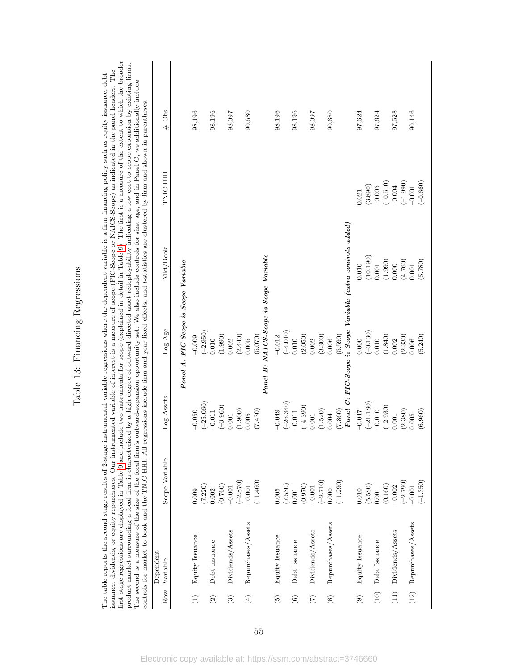<span id="page-55-0"></span>

Table 13: Financing Regressions Table 13: Financing Regressions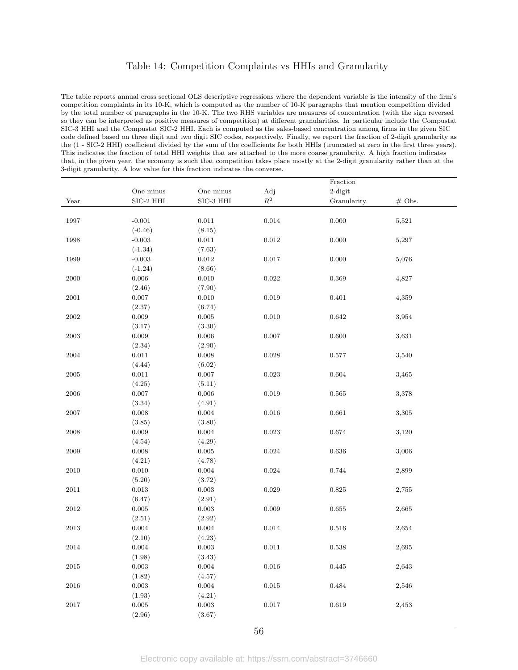### Table 14: Competition Complaints vs HHIs and Granularity

The table reports annual cross sectional OLS descriptive regressions where the dependent variable is the intensity of the firm's competition complaints in its 10-K, which is computed as the number of 10-K paragraphs that mention competition divided by the total number of paragraphs in the 10-K. The two RHS variables are measures of concentration (with the sign reversed so they can be interpreted as positive measures of competition) at different granularities. In particular include the Compustat SIC-3 HHI and the Compustat SIC-2 HHI. Each is computed as the sales-based concentration among firms in the given SIC code defined based on three digit and two digit SIC codes, respectively. Finally, we report the fraction of 2-digit granularity as the (1 - SIC-2 HHI) coefficient divided by the sum of the coefficients for both HHIs (truncated at zero in the first three years). This indicates the fraction of total HHI weights that are attached to the more coarse granularity. A high fraction indicates that, in the given year, the economy is such that competition takes place mostly at the 2-digit granularity rather than at the 3-digit granularity. A low value for this fraction indicates the converse.

|            |                             |                        |                | Fraction    |          |
|------------|-----------------------------|------------------------|----------------|-------------|----------|
|            | One minus                   | One minus              | Adj            | $2$ -digit  |          |
| Year       | $\mathrm{SIC}\text{-}2$ HHI | $\rm SIC\text{-}3$ HHI | $\mathbb{R}^2$ | Granularity | $#$ Obs. |
|            |                             |                        |                |             |          |
| 1997       | $-0.001$                    | 0.011                  | $\,0.014\,$    | 0.000       | 5,521    |
|            | $(-0.46)$                   | (8.15)                 |                |             |          |
| 1998       | $-0.003$                    | $0.011\,$              | $\rm 0.012$    | 0.000       | 5,297    |
|            | $(-1.34)$                   | (7.63)                 |                |             |          |
| 1999       | $-0.003$                    | 0.012                  | $0.017\,$      | 0.000       | 5,076    |
|            | $(-1.24)$                   | (8.66)                 |                |             |          |
| 2000       | 0.006                       | 0.010                  | 0.022          | 0.369       | 4,827    |
|            | (2.46)                      | (7.90)                 |                |             |          |
| 2001       | $0.007\,$                   | $0.010\,$              | 0.019          | 0.401       | 4,359    |
|            | (2.37)                      | (6.74)                 |                |             |          |
| $\,2002\,$ | $\,0.009\,$                 | $\,0.005\,$            | 0.010          | $\,0.642\,$ | 3,954    |
|            | (3.17)                      | (3.30)                 |                |             |          |
| 2003       | 0.009                       | 0.006                  | 0.007          | 0.600       | 3,631    |
|            | (2.34)                      | (2.90)                 |                |             |          |
| 2004       | $0.011\,$                   | $0.008\,$              | $\,0.028\,$    | $0.577\,$   | 3,540    |
|            | (4.44)                      | (6.02)                 |                |             |          |
| 2005       | 0.011                       | $0.007\,$              | 0.023          | 0.604       | 3,465    |
|            | (4.25)                      | (5.11)                 |                |             |          |
| $\,2006$   | $0.007\,$                   | $0.006\,$              | 0.019          | $\,0.565\,$ | 3,378    |
|            | (3.34)                      | (4.91)                 |                |             |          |
| 2007       | 0.008                       | 0.004                  | 0.016          | 0.661       | 3,305    |
|            | (3.85)                      | (3.80)                 |                |             |          |
| 2008       | $\,0.009\,$                 | $\,0.004\,$            | 0.023          | $\,0.674\,$ | 3,120    |
|            | (4.54)                      | (4.29)                 |                |             |          |
| $\,2009$   | $0.008\,$                   | $0.005\,$              | $\,0.024\,$    | $\,0.636\,$ | 3,006    |
|            | (4.21)                      | (4.78)                 |                |             |          |
| 2010       | 0.010                       | 0.004                  | 0.024          | 0.744       | 2,899    |
|            | (5.20)                      | (3.72)                 |                |             |          |
| $2011\,$   | $\rm 0.013$                 | $\,0.003\,$            | 0.029          | $\,0.825\,$ | 2,755    |
|            | (6.47)                      | (2.91)                 |                |             |          |
| $\,2012$   | $\,0.005\,$                 | 0.003                  | 0.009          | $\,0.655\,$ | 2,665    |
|            | (2.51)                      | (2.92)                 |                |             |          |
| 2013       | $0.004\,$                   | 0.004                  | 0.014          | $\,0.516\,$ | 2,654    |
|            | (2.10)                      | (4.23)                 |                |             |          |
| 2014       | 0.004                       | 0.003                  | 0.011          | 0.538       | 2,695    |
|            | (1.98)                      | (3.43)                 |                |             |          |
| $\,2015$   | 0.003                       | $\,0.004\,$            | $\,0.016\,$    | $0.445\,$   | 2,643    |
|            | (1.82)                      | (4.57)                 |                |             |          |
| $\,2016$   | $\,0.003\,$                 | $\,0.004\,$            | $\,0.015\,$    | $\,0.484\,$ | 2,546    |
|            | (1.93)                      | (4.21)                 |                |             |          |
| 2017       | 0.005                       | $\,0.003\,$            | $0.017\,$      | 0.619       | 2,453    |
|            | (2.96)                      | (3.67)                 |                |             |          |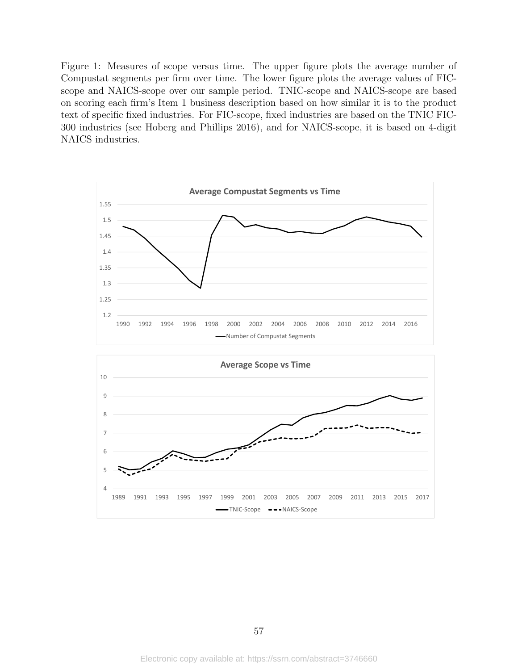Figure 1: Measures of scope versus time. The upper figure plots the average number of Compustat segments per firm over time. The lower figure plots the average values of FICscope and NAICS-scope over our sample period. TNIC-scope and NAICS-scope are based on scoring each firm's Item 1 business description based on how similar it is to the product text of specific fixed industries. For FIC-scope, fixed industries are based on the TNIC FIC-300 industries (see Hoberg and Phillips 2016), and for NAICS-scope, it is based on 4-digit NAICS industries.

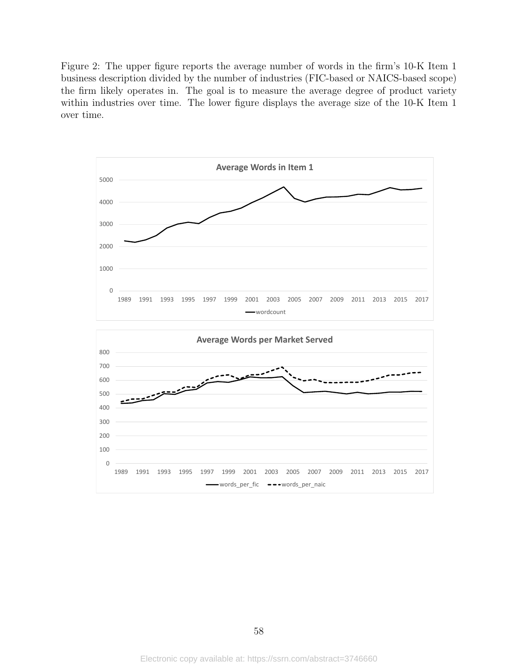Figure 2: The upper figure reports the average number of words in the firm's 10-K Item 1 business description divided by the number of industries (FIC-based or NAICS-based scope) the firm likely operates in. The goal is to measure the average degree of product variety within industries over time. The lower figure displays the average size of the 10-K Item 1 over time.

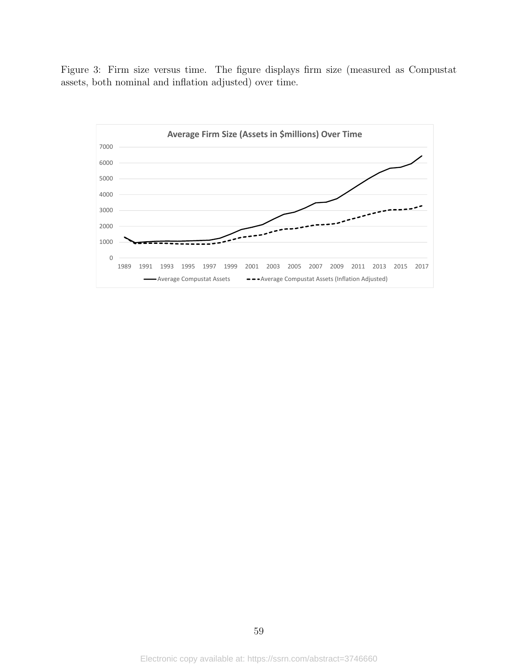Figure 3: Firm size versus time. The figure displays firm size (measured as Compustat assets, both nominal and inflation adjusted) over time.

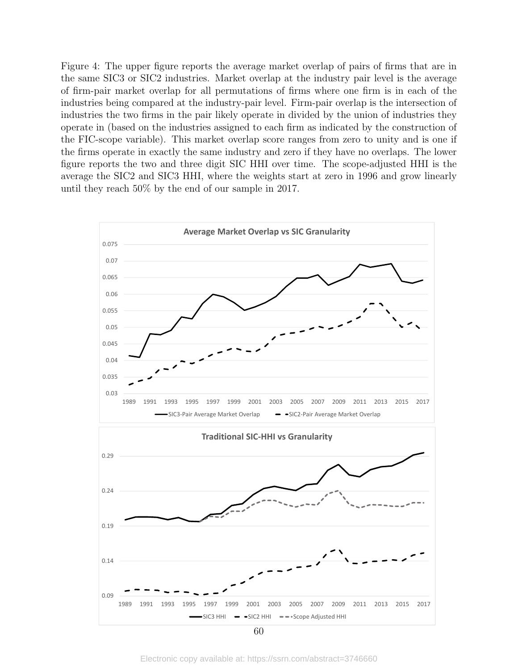Figure 4: The upper figure reports the average market overlap of pairs of firms that are in the same SIC3 or SIC2 industries. Market overlap at the industry pair level is the average of firm-pair market overlap for all permutations of firms where one firm is in each of the industries being compared at the industry-pair level. Firm-pair overlap is the intersection of industries the two firms in the pair likely operate in divided by the union of industries they operate in (based on the industries assigned to each firm as indicated by the construction of the FIC-scope variable). This market overlap score ranges from zero to unity and is one if the firms operate in exactly the same industry and zero if they have no overlaps. The lower figure reports the two and three digit SIC HHI over time. The scope-adjusted HHI is the average the SIC2 and SIC3 HHI, where the weights start at zero in 1996 and grow linearly until they reach 50% by the end of our sample in 2017.



Electronic copy available at: https://ssrn.com/abstract=3746660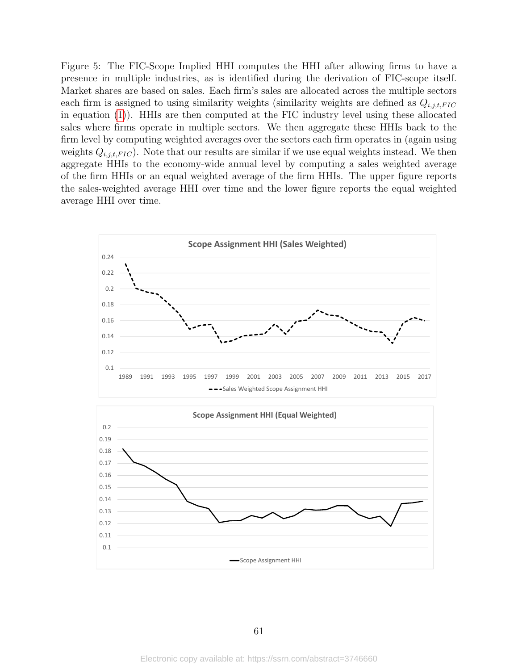<span id="page-61-0"></span>Figure 5: The FIC-Scope Implied HHI computes the HHI after allowing firms to have a presence in multiple industries, as is identified during the derivation of FIC-scope itself. Market shares are based on sales. Each firm's sales are allocated across the multiple sectors each firm is assigned to using similarity weights (similarity weights are defined as  $Q_{i,j,t,FIC}$ in equation [\(1\)](#page-9-0)). HHIs are then computed at the FIC industry level using these allocated sales where firms operate in multiple sectors. We then aggregate these HHIs back to the firm level by computing weighted averages over the sectors each firm operates in (again using weights  $Q_{i,j,t,FIC}$ ). Note that our results are similar if we use equal weights instead. We then aggregate HHIs to the economy-wide annual level by computing a sales weighted average of the firm HHIs or an equal weighted average of the firm HHIs. The upper figure reports the sales-weighted average HHI over time and the lower figure reports the equal weighted average HHI over time.



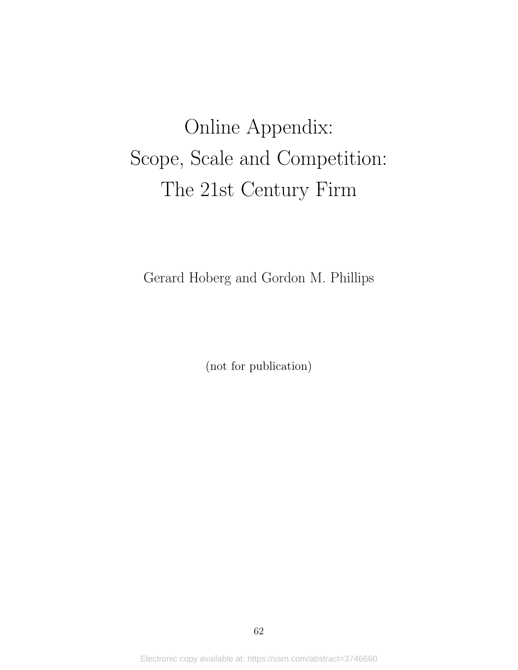# Online Appendix: Scope, Scale and Competition: The 21st Century Firm

Gerard Hoberg and Gordon M. Phillips

(not for publication)

Electronic copy available at: https://ssrn.com/abstract=3746660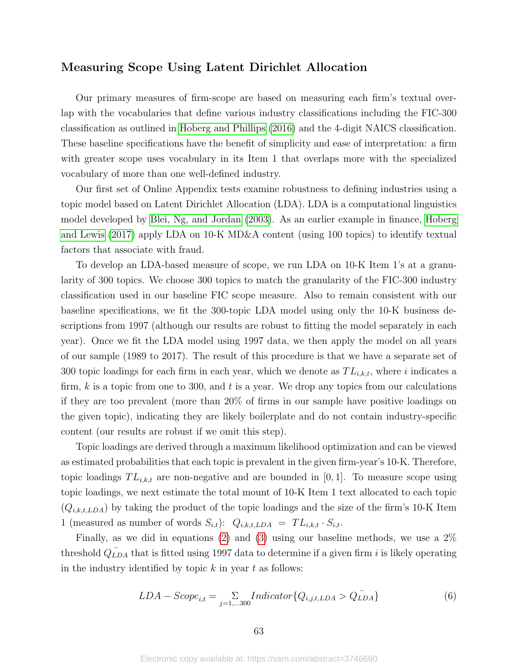### Measuring Scope Using Latent Dirichlet Allocation

Our primary measures of firm-scope are based on measuring each firm's textual overlap with the vocabularies that define various industry classifications including the FIC-300 classification as outlined in [Hoberg and Phillips](#page-40-1) [\(2016\)](#page-40-1) and the 4-digit NAICS classification. These baseline specifications have the benefit of simplicity and ease of interpretation: a firm with greater scope uses vocabulary in its Item 1 that overlaps more with the specialized vocabulary of more than one well-defined industry.

Our first set of Online Appendix tests examine robustness to defining industries using a topic model based on Latent Dirichlet Allocation (LDA). LDA is a computational linguistics model developed by [Blei, Ng, and Jordan](#page-39-1) [\(2003\)](#page-39-1). As an earlier example in finance, [Hoberg](#page-39-2) [and Lewis](#page-39-2) [\(2017\)](#page-39-2) apply LDA on 10-K MD&A content (using 100 topics) to identify textual factors that associate with fraud.

To develop an LDA-based measure of scope, we run LDA on 10-K Item 1's at a granularity of 300 topics. We choose 300 topics to match the granularity of the FIC-300 industry classification used in our baseline FIC scope measure. Also to remain consistent with our baseline specifications, we fit the 300-topic LDA model using only the 10-K business descriptions from 1997 (although our results are robust to fitting the model separately in each year). Once we fit the LDA model using 1997 data, we then apply the model on all years of our sample (1989 to 2017). The result of this procedure is that we have a separate set of 300 topic loadings for each firm in each year, which we denote as  $TL_{i,k,t}$ , where i indicates a firm,  $k$  is a topic from one to 300, and  $t$  is a year. We drop any topics from our calculations if they are too prevalent (more than 20% of firms in our sample have positive loadings on the given topic), indicating they are likely boilerplate and do not contain industry-specific content (our results are robust if we omit this step).

Topic loadings are derived through a maximum likelihood optimization and can be viewed as estimated probabilities that each topic is prevalent in the given firm-year's 10-K. Therefore, topic loadings  $TL_{i,k,t}$  are non-negative and are bounded in [0, 1]. To measure scope using topic loadings, we next estimate the total mount of 10-K Item 1 text allocated to each topic  $(Q_{i,k,t,LDA})$  by taking the product of the topic loadings and the size of the firm's 10-K Item 1 (measured as number of words  $S_{i,t}$ ):  $Q_{i,k,t, LDA} = TL_{i,k,t} \cdot S_{i,t}$ .

Finally, as we did in equations [\(2\)](#page-10-0) and [\(3\)](#page-10-1) using our baseline methods, we use a 2% threshold  $\overline{Q_{LDA}}$  that is fitted using 1997 data to determine if a given firm i is likely operating in the industry identified by topic  $k$  in year  $t$  as follows:

$$
LDA - Score_{i,t} = \sum_{j=1,...300} Indicator \{Q_{i,j,t,LDA} > Q_{LDA}^{-}\}
$$
 (6)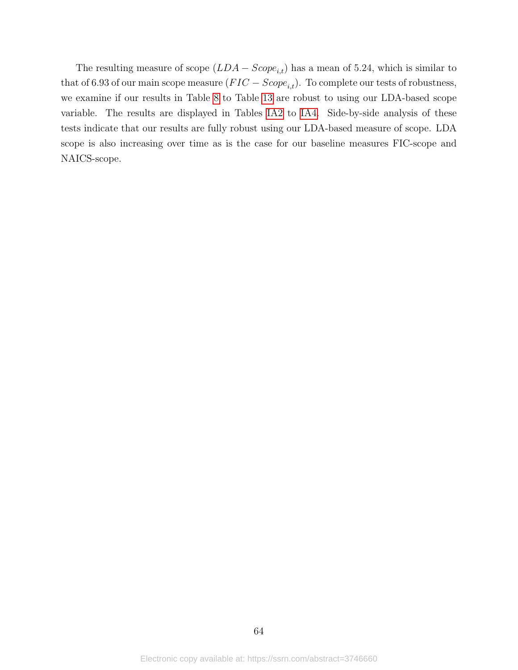The resulting measure of scope  $(LDA - Score_{i,t})$  has a mean of 5.24, which is similar to that of 6.93 of our main scope measure  $(FIC - Score_{i,t})$ . To complete our tests of robustness, we examine if our results in Table [8](#page-50-0) to Table [13](#page-55-0) are robust to using our LDA-based scope variable. The results are displayed in Tables [IA2](#page-66-0) to [IA4.](#page-68-0) Side-by-side analysis of these tests indicate that our results are fully robust using our LDA-based measure of scope. LDA scope is also increasing over time as is the case for our baseline measures FIC-scope and NAICS-scope.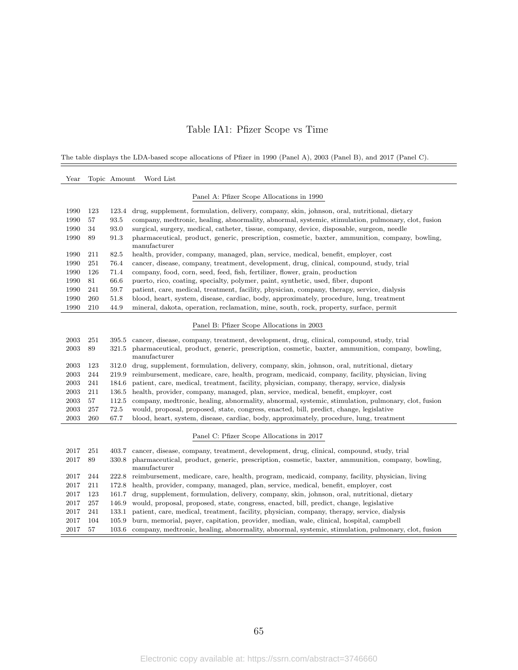### Table IA1: Pfizer Scope vs Time

The table displays the LDA-based scope allocations of Pfizer in 1990 (Panel A), 2003 (Panel B), and 2017 (Panel C).

| $\operatorname{Year}$ |     | Topic Amount | Word List                                                                                                       |
|-----------------------|-----|--------------|-----------------------------------------------------------------------------------------------------------------|
|                       |     |              | Panel A: Pfizer Scope Allocations in 1990                                                                       |
| 1990                  | 123 | 123.4        | drug, supplement, formulation, delivery, company, skin, johnson, oral, nutritional, dietary                     |
| 1990                  | 57  | 93.5         | company, medtronic, healing, abnormality, abnormal, systemic, stimulation, pulmonary, clot, fusion              |
| 1990                  | 34  | 93.0         | surgical, surgery, medical, catheter, tissue, company, device, disposable, surgeon, needle                      |
| 1990                  | 89  | 91.3         | pharmaceutical, product, generic, prescription, cosmetic, baxter, ammunition, company, bowling,<br>manufacturer |
| 1990                  | 211 | 82.5         | health, provider, company, managed, plan, service, medical, benefit, employer, cost                             |
| 1990                  | 251 | 76.4         | cancer, disease, company, treatment, development, drug, clinical, compound, study, trial                        |
| 1990                  | 126 | 71.4         | company, food, corn, seed, feed, fish, fertilizer, flower, grain, production                                    |
| 1990                  | 81  | 66.6         | puerto, rico, coating, specialty, polymer, paint, synthetic, used, fiber, dupont                                |
| 1990                  | 241 | 59.7         | patient, care, medical, treatment, facility, physician, company, therapy, service, dialysis                     |
| 1990                  | 260 | 51.8         | blood, heart, system, disease, cardiac, body, approximately, procedure, lung, treatment                         |
| 1990                  | 210 | 44.9         | mineral, dakota, operation, reclamation, mine, south, rock, property, surface, permit                           |
|                       |     |              | Panel B: Pfizer Scope Allocations in 2003                                                                       |
| 2003                  | 251 | 395.5        | cancer, disease, company, treatment, development, drug, clinical, compound, study, trial                        |
| 2003                  | 89  | 321.5        | pharmaceutical, product, generic, prescription, cosmetic, baxter, ammunition, company, bowling,<br>manufacturer |
| 2003                  | 123 | 312.0        | drug, supplement, formulation, delivery, company, skin, johnson, oral, nutritional, dietary                     |
| 2003                  | 244 | 219.9        | reimbursement, medicare, care, health, program, medicaid, company, facility, physician, living                  |
| 2003                  | 241 | 184.6        | patient, care, medical, treatment, facility, physician, company, therapy, service, dialysis                     |
| 2003                  | 211 | 136.5        | health, provider, company, managed, plan, service, medical, benefit, employer, cost                             |
| 2003                  | 57  | 112.5        | company, medtronic, healing, abnormality, abnormal, systemic, stimulation, pulmonary, clot, fusion              |
| 2003                  | 257 | 72.5         | would, proposal, proposed, state, congress, enacted, bill, predict, change, legislative                         |
| 2003                  | 260 | 67.7         | blood, heart, system, disease, cardiac, body, approximately, procedure, lung, treatment                         |
|                       |     |              | Panel C: Pfizer Scope Allocations in 2017                                                                       |
| 2017                  | 251 | 403.7        | cancer, disease, company, treatment, development, drug, clinical, compound, study, trial                        |
| 2017                  | 89  | 330.8        | pharmaceutical, product, generic, prescription, cosmetic, baxter, ammunition, company, bowling,                 |
|                       |     |              | manufacturer                                                                                                    |
| 2017                  | 244 | 222.8        | reimbursement, medicare, care, health, program, medicaid, company, facility, physician, living                  |
| 2017                  | 211 | 172.8        | health, provider, company, managed, plan, service, medical, benefit, employer, cost                             |
| 2017                  | 123 | 161.7        | drug, supplement, formulation, delivery, company, skin, johnson, oral, nutritional, dietary                     |
| 2017                  | 257 | 146.9        | would, proposal, proposed, state, congress, enacted, bill, predict, change, legislative                         |
| 2017                  | 241 | 133.1        | patient, care, medical, treatment, facility, physician, company, therapy, service, dialysis                     |
| 2017                  | 104 | 105.9        | burn, memorial, payer, capitation, provider, median, wale, clinical, hospital, campbell                         |
| 2017                  | 57  | 103.6        | company, medtronic, healing, abnormality, abnormal, systemic, stimulation, pulmonary, clot, fusion              |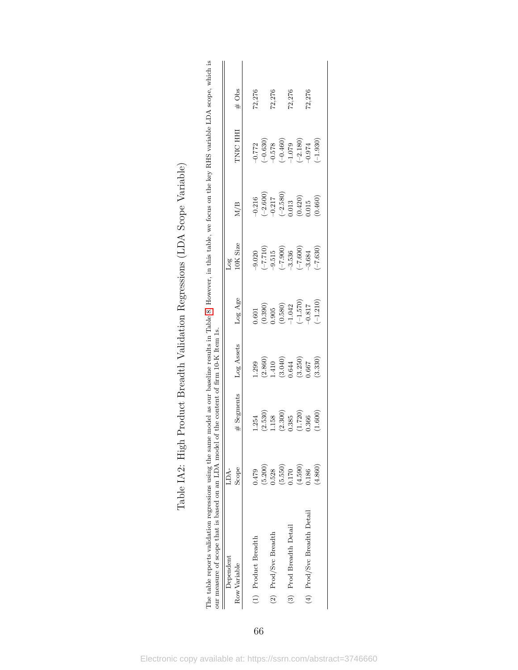<span id="page-66-0"></span>

| The table reports validation regressions using the same model as our baseline results in Table 8. However, in this table, we focus on the key RHS variable LDA scope, which<br>ur measure of scope that is based on an LDA model. |               | of the content of firm 10-K Item 1s. |                      |                                |                |                                                                                |                        | Σ.       |
|-----------------------------------------------------------------------------------------------------------------------------------------------------------------------------------------------------------------------------------|---------------|--------------------------------------|----------------------|--------------------------------|----------------|--------------------------------------------------------------------------------|------------------------|----------|
| Dependent<br>Row Variable                                                                                                                                                                                                         | Scope<br>LDA- | # Segments                           | Log Assets           | Log Age                        | 10K Size<br>56 | M/B                                                                            | TNIC HHI               | $\#$ Obs |
| (1) Product Breadth                                                                                                                                                                                                               | 0.479         | 1.254                                | 1.299                | 1.601                          | $-9.020$       | $-0.216$                                                                       | $-0.772$               | 72,276   |
|                                                                                                                                                                                                                                   | (5.200)       | (2.530)                              | (2.860)              |                                | $(017.7-)$     | $(-2.600)$                                                                     | $(-0.630)$             |          |
| (2) Prod/Svc Breadth                                                                                                                                                                                                              | 0.528         | 1.158                                | 1.410                | $\left( 0.390\right)$ $\qquad$ | $-9.515$       |                                                                                |                        | 72,276   |
|                                                                                                                                                                                                                                   | (5.550)       | (2.300)                              | $(3.040)$<br>$0.644$ | $(0.580)$<br>$-1.042$          | $(-7.900)$     | $\begin{array}{c} -0.217 \\ (-2.580) \\ 0.013 \\ (0.420) \\ 0.015 \end{array}$ | $-0.578$<br>$(-0.460)$ |          |
| (3) Prod Breadth Detail                                                                                                                                                                                                           | 0.170         | 0.385                                |                      |                                | $-3.536$       |                                                                                | $-1.079$               | 72,276   |
|                                                                                                                                                                                                                                   | (4.590)       | (1.720)                              | (3.250)              | $(-1.570)$                     | $(-7.600)$     |                                                                                | $(-2.180)$             |          |
| (4) Prod/Svc Breadth Detail                                                                                                                                                                                                       | 1.186         | 0.366                                | 1990                 | 0.817                          | $-3.684$       |                                                                                | $-0.974$               | 72,276   |
|                                                                                                                                                                                                                                   | (4.860)       | (1.600)                              | (3.330)              | $(-1.210)$                     | $-7.630$       | (0.460)                                                                        | $-1.930$               |          |
|                                                                                                                                                                                                                                   |               |                                      |                      |                                |                |                                                                                |                        |          |

| C<br>C<br>C<br>l<br>ζ<br>$\frac{1}{2}$<br>ا                                                                             |
|-------------------------------------------------------------------------------------------------------------------------|
| こうしょう こうしょう                                                                                                             |
| こくへいきょう<br>i<br>J<br>J<br>$\overline{\phantom{a}}$                                                                      |
| くうせい<br>b<br>,<br>,<br>,                                                                                                |
| .<br>.<br>.<br>.<br>ı<br>I                                                                                              |
| <br> <br> <br>ļ                                                                                                         |
| $-1.1$<br>-<br>-<br>-<br>-<br>֦֦֦֧֦֦֦֖֚֚֚֚֡֝֬֝֬֝֬֝֬֝֓֬֝<br>J                                                            |
| $\frac{1}{1}$ $\frac{1}{1}$ $\frac{1}{1}$ $\frac{1}{1}$ $\frac{1}{1}$ $\frac{1}{1}$ $\frac{1}{1}$<br>$\frac{1}{2}$<br>l |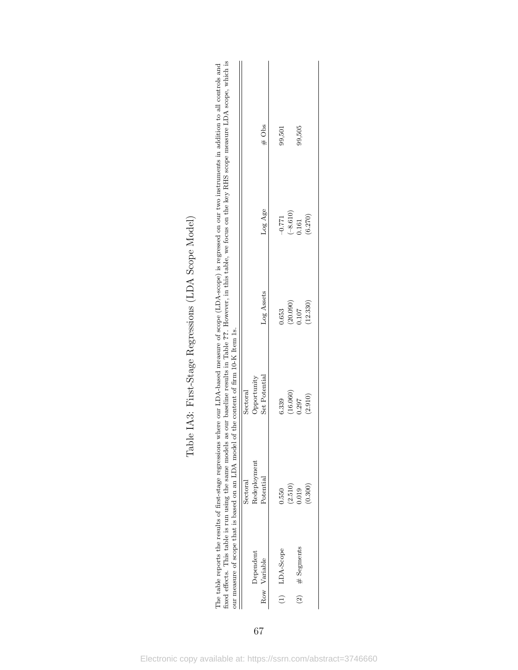|                           | ixed effects. This table is run using the same models as our baseline results in Table ??. However, in this table, we focus on the key RHS scope measure LDA scope, which is<br>The table reports the results of first-stage regressions<br>our measure of scope that is based on an LDA model | where our LDA-based measure of scope (LDA-scope) is regressed on our two instruments in addition to all controls and<br>of the content of firm 10-K Item 1s. |                                 |                                                             |          |
|---------------------------|------------------------------------------------------------------------------------------------------------------------------------------------------------------------------------------------------------------------------------------------------------------------------------------------|--------------------------------------------------------------------------------------------------------------------------------------------------------------|---------------------------------|-------------------------------------------------------------|----------|
| Dependent<br>Row Variable | Redeployment<br>Potential<br>Sectoral                                                                                                                                                                                                                                                          | Set Potential<br>Opportunity<br>Sectoral                                                                                                                     | Log Assets                      | Log Age                                                     | $\#$ Obs |
| $(1)$ LDA-Scope           | 0.550                                                                                                                                                                                                                                                                                          | (16.060)<br>5.339                                                                                                                                            | 0.653                           | $-0.771$                                                    | 99,501   |
| $(2)$ # Segments          | $(2.510)$<br>$0.019$<br>(0.300)                                                                                                                                                                                                                                                                | (2.910)<br>0.297                                                                                                                                             | $(20.090)$<br>$0.107$<br>12.330 | $\begin{array}{c} (-8.610) \\ 0.161 \end{array}$<br>(6.270) | 99,505   |

| )<br>}<br>ļ<br>J<br>j<br>؟<br>م<br>ł,<br>į<br>ζ |
|-------------------------------------------------|
| $\frac{1}{2}$                                   |
| くうくさ<br>i<br>١<br>$\mathfrak{c}$                |
| $\frac{1}{2}$<br>)<br>Ì<br>$\overline{1}$<br>ľ  |
| ì<br>$\frac{1}{1}$<br>l                         |
| .<br>E<br>I                                     |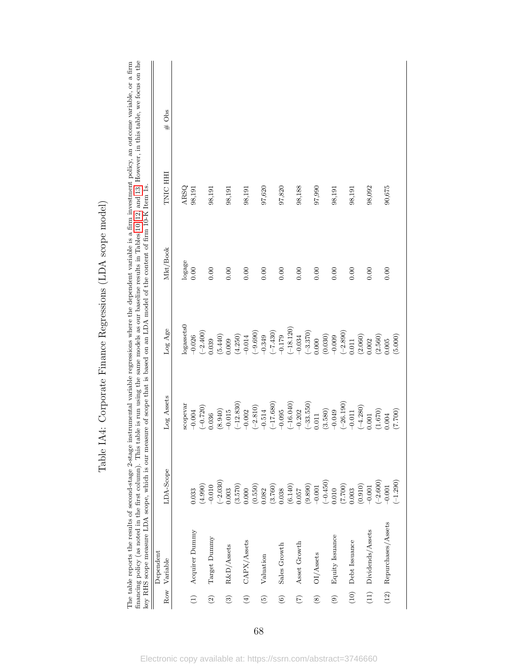<span id="page-68-0"></span>

|                      | key RHS scope measure LDA scope, which is our measure of scope that is based on an LDA model of the content of firm 10-K Item 1s |                                                                                          |                                                            |                                              |          |         | financing policy (as noted in the first column). This table is run using the same models as our baseline results in Tables 10, 12, and 13. However, in this table, we focus on the<br>The table reports the results of second-stage 2-stage instrumental variable regressions where the dependent variable is a firm investment policy, an outcome variable, or a firm |
|----------------------|----------------------------------------------------------------------------------------------------------------------------------|------------------------------------------------------------------------------------------|------------------------------------------------------------|----------------------------------------------|----------|---------|------------------------------------------------------------------------------------------------------------------------------------------------------------------------------------------------------------------------------------------------------------------------------------------------------------------------------------------------------------------------|
| Row                  | Dependent<br>Variable                                                                                                            | LDA-Scope                                                                                | Log Assets                                                 | Log Age                                      | Mkt/Book | TNIC HH | Obs<br>#                                                                                                                                                                                                                                                                                                                                                               |
|                      |                                                                                                                                  |                                                                                          | scopevar                                                   | $log$ assets $0$                             | logage   | ARSQ    |                                                                                                                                                                                                                                                                                                                                                                        |
| $\widehat{\Xi}$      | Acquirer Dummy                                                                                                                   | 0.033                                                                                    | $-0.004$                                                   | $-0.026$                                     | 0.00     | 98,191  |                                                                                                                                                                                                                                                                                                                                                                        |
| $\widehat{\Omega}$   | Target Dummy                                                                                                                     | (4.990)<br>$-0.010$                                                                      | $(-0.720)$<br>0.036                                        | $(-2.400)$<br>0.039                          | 0.00     | 98,191  |                                                                                                                                                                                                                                                                                                                                                                        |
|                      |                                                                                                                                  | $(-2.030)$                                                                               | (8.940)                                                    | (5.440)                                      |          |         |                                                                                                                                                                                                                                                                                                                                                                        |
| $\widehat{c}$        | R&D/Assets                                                                                                                       | 0.003                                                                                    | $-0.015$                                                   | 0.009                                        | 0.00     | 98,191  |                                                                                                                                                                                                                                                                                                                                                                        |
|                      |                                                                                                                                  | (3.570)                                                                                  | $(-12.830)$                                                | (4.250)                                      |          |         |                                                                                                                                                                                                                                                                                                                                                                        |
| $\bigoplus$          | $\rm{CAPX/Assets}$                                                                                                               |                                                                                          | $-0.002$                                                   | $-0.014$                                     | 0.00     | 98,191  |                                                                                                                                                                                                                                                                                                                                                                        |
|                      |                                                                                                                                  |                                                                                          | $(-2.810)$                                                 | $(-9.690)$                                   |          |         |                                                                                                                                                                                                                                                                                                                                                                        |
| $\widetilde{\Theta}$ | Valuation                                                                                                                        | $\begin{array}{c} 0.000 \\ (0.550) \\ 0.082 \end{array}$                                 | $-0.514$                                                   | $-0.349$                                     | 0.00     | 97,620  |                                                                                                                                                                                                                                                                                                                                                                        |
|                      |                                                                                                                                  |                                                                                          | $(-17.680)$                                                | $(-7.430)$                                   |          |         |                                                                                                                                                                                                                                                                                                                                                                        |
| $\odot$              | Sales Growth                                                                                                                     |                                                                                          | $-0.095$                                                   | $-0.179$                                     | 0.00     | 97,820  |                                                                                                                                                                                                                                                                                                                                                                        |
|                      |                                                                                                                                  |                                                                                          | $(-16.040)$                                                | $(-18.120)$                                  |          |         |                                                                                                                                                                                                                                                                                                                                                                        |
| $\widehat{C}$        | Asset Growth                                                                                                                     |                                                                                          | $-0.202$                                                   | $-0.034$                                     | 0.00     | 98,188  |                                                                                                                                                                                                                                                                                                                                                                        |
|                      |                                                                                                                                  | $\begin{array}{c} (3.760) \\ 0.038 \\ (6.140) \\ 0.057 \\ (9.890) \\ -0.001 \end{array}$ | $(-33.550)$                                                | $(-3.370)$                                   |          |         |                                                                                                                                                                                                                                                                                                                                                                        |
| $\circledS$          | OI/Assets                                                                                                                        |                                                                                          | 0.011                                                      | 0.000                                        | 0.00     | 97,990  |                                                                                                                                                                                                                                                                                                                                                                        |
|                      |                                                                                                                                  | $(-0.450)$                                                                               | (3.580)                                                    | (0.030)                                      |          |         |                                                                                                                                                                                                                                                                                                                                                                        |
| $\circledcirc$       | Equity Issuance                                                                                                                  | 0.010                                                                                    | $-0.049$                                                   | $-0.009$                                     | 0.00     | 98,191  |                                                                                                                                                                                                                                                                                                                                                                        |
|                      |                                                                                                                                  | $(7.700)$<br>0.003                                                                       | $(-26.190)$<br>-0.011                                      | $\begin{array}{c}(-2.890)\\0.011\end{array}$ |          |         |                                                                                                                                                                                                                                                                                                                                                                        |
| $\left(10\right)$    | Debt Issuance                                                                                                                    |                                                                                          |                                                            |                                              | 0.00     | 98,191  |                                                                                                                                                                                                                                                                                                                                                                        |
|                      |                                                                                                                                  | $(0.910)$<br>-0.001<br>(-2.600)                                                          | $\begin{array}{c}(-4.280)\\0.001\end{array}$               | (2.060)                                      |          |         |                                                                                                                                                                                                                                                                                                                                                                        |
| $(11)$               | Dividends/Assets                                                                                                                 |                                                                                          |                                                            | 0.002                                        | 0.00     | 98,092  |                                                                                                                                                                                                                                                                                                                                                                        |
|                      |                                                                                                                                  |                                                                                          |                                                            | (2.560)                                      |          |         |                                                                                                                                                                                                                                                                                                                                                                        |
|                      | (12) Repurchases/Assets                                                                                                          | $-0.001$                                                                                 | $\begin{array}{c} (1.670) \\ 0.004 \\ (7.700) \end{array}$ | 0.005                                        | 0.00     | 90,675  |                                                                                                                                                                                                                                                                                                                                                                        |
|                      |                                                                                                                                  | $(-1.290)$                                                                               |                                                            | (5.000)                                      |          |         |                                                                                                                                                                                                                                                                                                                                                                        |

Table IA4: Corporate Finance Regressions (LDA scope model) Table IA4: Corporate Finance Regressions (LDA scope model)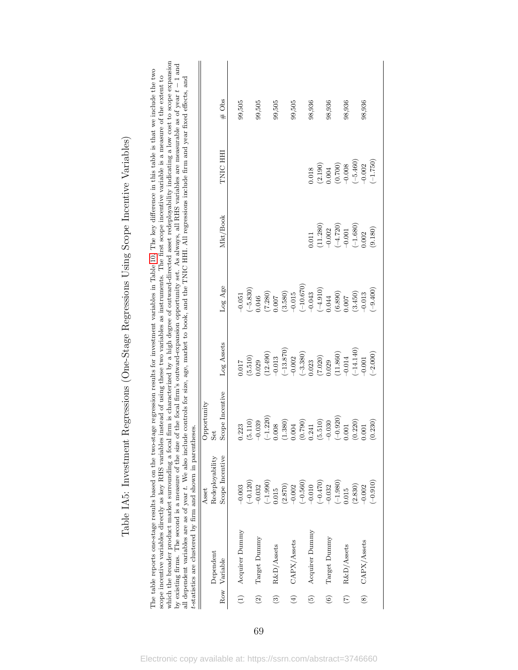|                   | all dependent variables are as of year t. We also include controls for size, age, market to book, and the TNIC HHI. All regressions include firm and year fixed effects, and<br>t-statistics are clustered by firm and shown in parentheses.<br>which the broader product market surrounding a focal<br>by existing firms. The second is a measure of the size |                          | of the focal firm's outward-expansion opportunity set. As always, all RHS variables are measurable as of year $t-1$ and |             |                                             |            |            |         |
|-------------------|----------------------------------------------------------------------------------------------------------------------------------------------------------------------------------------------------------------------------------------------------------------------------------------------------------------------------------------------------------------|--------------------------|-------------------------------------------------------------------------------------------------------------------------|-------------|---------------------------------------------|------------|------------|---------|
|                   | Dependent                                                                                                                                                                                                                                                                                                                                                      | Redeployability<br>Asset | Opportunity<br>Set                                                                                                      |             |                                             |            |            |         |
|                   | Row Variable                                                                                                                                                                                                                                                                                                                                                   | Scope Incentive          | Scope Incentive                                                                                                         | Log Assets  | Log Age                                     | Mkt/Book   | TNIC HHI   | $#$ Obs |
|                   | $(1)$ Acquirer Dummy                                                                                                                                                                                                                                                                                                                                           | $-0.003$                 | 0.223                                                                                                                   | 0.017       | $-0.051$                                    |            |            | 99,505  |
|                   |                                                                                                                                                                                                                                                                                                                                                                | $(-0.120)$               | (5.110)                                                                                                                 | (5.510)     | $(-5.830)$                                  |            |            |         |
| $\widetilde{2}$   | Target Dummy                                                                                                                                                                                                                                                                                                                                                   | $-0.032$                 | $-0.039$                                                                                                                | 0.029       | 046.                                        |            |            | 99,505  |
|                   |                                                                                                                                                                                                                                                                                                                                                                | $(-1.990)$               | $(-1.220)$                                                                                                              | (12.490)    | $(7.280)$<br>0.007                          |            |            |         |
| $\odot$           | R&D/Assets                                                                                                                                                                                                                                                                                                                                                     | 0.015                    | 0.008                                                                                                                   | $-0.013$    |                                             |            |            | 99,505  |
|                   |                                                                                                                                                                                                                                                                                                                                                                | $(2.870)$<br>-0.002      | (1.380)                                                                                                                 | $(-13.870)$ | $(3.580)$<br>$-0.015$                       |            |            |         |
| $\bigoplus$       | CAPX/Assets                                                                                                                                                                                                                                                                                                                                                    |                          | $0.004\,$                                                                                                               | $-0.002$    |                                             |            |            | 99,505  |
|                   |                                                                                                                                                                                                                                                                                                                                                                | $(-0.560)$               | (0.790)                                                                                                                 | $(-3.380)$  | $(-10.670)$                                 |            |            |         |
| $\odot$           | Acquirer Dummy                                                                                                                                                                                                                                                                                                                                                 | $-0.010$                 | 0.241                                                                                                                   | 0.023       | $-0.043$                                    | 1.011      | 0.018      | 98,936  |
|                   |                                                                                                                                                                                                                                                                                                                                                                | $(-0.470)$               | (5.510)                                                                                                                 | (7.020)     | $(-4.910)$                                  | (11.280)   | (2.190)    |         |
| $\widehat{\circ}$ | Target Dummy                                                                                                                                                                                                                                                                                                                                                   | $-0.032$                 | $-0.030$                                                                                                                | 0.029       | 0.044                                       | $-0.002$   | 0.004      | 98,936  |
|                   |                                                                                                                                                                                                                                                                                                                                                                | $(-1.980)$               | $(-0.920)$                                                                                                              | (11.860)    |                                             | $(-4.720)$ | (0.700)    |         |
| $\widetilde{C}$   | R&D/Assets                                                                                                                                                                                                                                                                                                                                                     | 0.015                    | $0.001\,$                                                                                                               | $-0.014$    | $\left( 6.890\right)$ $\left( 0.007\right)$ | $-0.001$   |            | 98,936  |
|                   |                                                                                                                                                                                                                                                                                                                                                                | (2.830)                  | (0.220)                                                                                                                 | $(-14.140)$ | (3.450)                                     | $(-1.680)$ | $(-5.460)$ |         |
| $\circledast$     | CAPX/Assets                                                                                                                                                                                                                                                                                                                                                    | $-0.002$                 | 0.001                                                                                                                   | $-0.001$    | $-0.013$                                    | 0.002      | $-0.002$   | 98,936  |
|                   |                                                                                                                                                                                                                                                                                                                                                                | $(-0.910)$               | (0.230)                                                                                                                 | $(-2.000)$  | $(-9.400)$                                  | (9.180)    | $(-1.750)$ |         |

Table IA5: Investment Regressions (One-Stage Regressions Using Scope Incentive Variables) Table IA5: Investment Regressions (One-Stage Regressions Using Scope Incentive Variables) The table reports one-stage results based on the two-stage regression results for investment variables in Table [10.](#page-52-0) The key difference in this table is that we include the two scope incentive variables directly as key RHS variables instead of using these two variables as instruments. The first scope incentive variable is a measure of the extent to which the broader product market surrounding a focal firm is characterized by a high degree of outward-directed asset redeployability indicating a low cost to scope expansion

The table reports one-stage results based on the two-stage regression results for investment variables in Table 10. The key difference in this table is that we include the two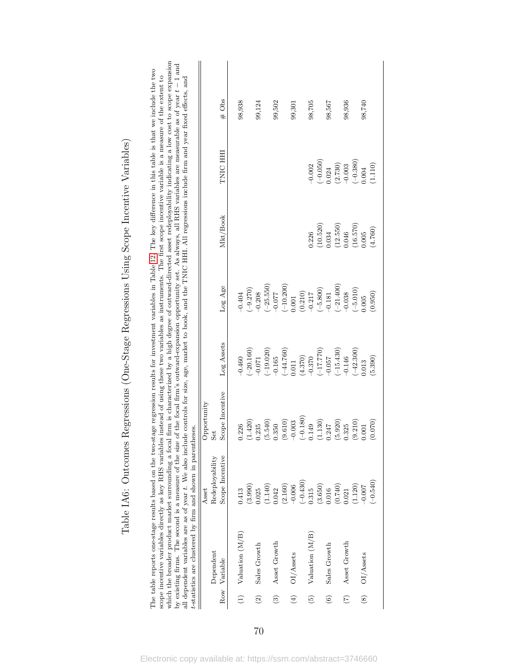|                        | which the broader product market surrounding a focal firm is characterized by a high degree of outward-directed asset redeployability indicating a low cost to scope expansion<br>scope incentive variables directly as key RHS variables instead of using these two variables as instruments. The first scope incentive variable is a measure of the extent to<br>all dependent variables are as of year t. We also include controls for size, age, market to book, and the TNIC HHI. All regressions include firm and year fixed effects, and<br>t-statistics are clustered by firm and shown in parentheses.<br>by existing firms. The second is a measure of the size |                          |                    |             |                       |                       |                     | of the focal firm's outward-expansion opportunity set. As always, all RHS variables are measurable as of year $t-1$ and |
|------------------------|---------------------------------------------------------------------------------------------------------------------------------------------------------------------------------------------------------------------------------------------------------------------------------------------------------------------------------------------------------------------------------------------------------------------------------------------------------------------------------------------------------------------------------------------------------------------------------------------------------------------------------------------------------------------------|--------------------------|--------------------|-------------|-----------------------|-----------------------|---------------------|-------------------------------------------------------------------------------------------------------------------------|
|                        | Dependent                                                                                                                                                                                                                                                                                                                                                                                                                                                                                                                                                                                                                                                                 | Redeployability<br>Asset | Opportunity<br>Set |             |                       |                       |                     |                                                                                                                         |
|                        | Row Variable                                                                                                                                                                                                                                                                                                                                                                                                                                                                                                                                                                                                                                                              | Scope Incentive          | Scope Incentive    | Log Assets  | Log Age               | Mkt/Book              | TNIC HHI            | $#$ Obs                                                                                                                 |
|                        | (Valuation (M/B))                                                                                                                                                                                                                                                                                                                                                                                                                                                                                                                                                                                                                                                         | 0.413                    | 0.226              | $-0.460$    | $-0.404$              |                       |                     | 98,938                                                                                                                  |
|                        |                                                                                                                                                                                                                                                                                                                                                                                                                                                                                                                                                                                                                                                                           |                          | (1.420)            | $(-20.160)$ | $(-9.270)$            |                       |                     |                                                                                                                         |
| $\widetilde{2}$        | Sales Growth                                                                                                                                                                                                                                                                                                                                                                                                                                                                                                                                                                                                                                                              | $(3.990)$<br>$0.025$     | 0.235              | $-0.071$    | $-0.208$              |                       |                     | 99,124                                                                                                                  |
|                        |                                                                                                                                                                                                                                                                                                                                                                                                                                                                                                                                                                                                                                                                           | (1.140)                  | (5.540)            | $(-19.020)$ | $(-25.550)$           |                       |                     |                                                                                                                         |
| $\widehat{\mathbf{c}}$ | Asset Growth                                                                                                                                                                                                                                                                                                                                                                                                                                                                                                                                                                                                                                                              | 0.042                    | 0.350              | $-0.165$    | $-0.077$              |                       |                     | 99,502                                                                                                                  |
|                        |                                                                                                                                                                                                                                                                                                                                                                                                                                                                                                                                                                                                                                                                           | $(2.160)$<br>-0.006      | (9.610)            | $(-44.760)$ | $(-10.200)$           |                       |                     |                                                                                                                         |
| $\bigoplus$            | $\rm O I/Assets$                                                                                                                                                                                                                                                                                                                                                                                                                                                                                                                                                                                                                                                          |                          | $-0.003$           | 0.011       | 0.001                 |                       |                     | 99,301                                                                                                                  |
|                        |                                                                                                                                                                                                                                                                                                                                                                                                                                                                                                                                                                                                                                                                           | $(-0.430)$               | $(-0.180)$         | (4.370)     |                       |                       |                     |                                                                                                                         |
| $\binom{5}{2}$         | Valuation (M/B)                                                                                                                                                                                                                                                                                                                                                                                                                                                                                                                                                                                                                                                           | 0.315                    | 0.149              | $-0.370$    | $(0.210)$<br>$-0.217$ | 0.226                 | $-0.002$            | 98,705                                                                                                                  |
|                        |                                                                                                                                                                                                                                                                                                                                                                                                                                                                                                                                                                                                                                                                           | (3.650)                  | (1.130)            | (017.770)   | $(-5.800)$            | (10.520)              | $(-0.050)$          |                                                                                                                         |
| $\odot$                | Sales Growth                                                                                                                                                                                                                                                                                                                                                                                                                                                                                                                                                                                                                                                              | 0.016                    | 0.247              | $-0.057$    | $-0.181$              | 0.034                 | 0.024               | 98,567                                                                                                                  |
|                        |                                                                                                                                                                                                                                                                                                                                                                                                                                                                                                                                                                                                                                                                           | (0.740)                  | (5.920)            | $(-15.430)$ | $(-21.400)$           | $(12.550)$<br>$0.046$ |                     |                                                                                                                         |
| $\widetilde{C}$        | Asset Growth                                                                                                                                                                                                                                                                                                                                                                                                                                                                                                                                                                                                                                                              | 0.21                     | 0.325              | $-0.146$    | $-0.038$              |                       | $(2.730)$<br>-0.003 | 98,936                                                                                                                  |
|                        |                                                                                                                                                                                                                                                                                                                                                                                                                                                                                                                                                                                                                                                                           | (1.120)                  | (9.210)            | $(-42.300)$ | $(-5.010)$            | $(16.570)$<br>$0.005$ | $(-0.380)$          |                                                                                                                         |
|                        | (8) OI/Assets                                                                                                                                                                                                                                                                                                                                                                                                                                                                                                                                                                                                                                                             | $-0.007$                 | $0.001\,$          | 0.013       | 0.005                 |                       | 0.004               | 98,740                                                                                                                  |
|                        |                                                                                                                                                                                                                                                                                                                                                                                                                                                                                                                                                                                                                                                                           | $(-0.540)$               | (0.070)            | (5.390)     | (0.950)               | (4.760)               | (1.110)             |                                                                                                                         |

Table IA6: Outcomes Regressions (One-Stage Regressions Using Scope Incentive Variables) Table IA6: Outcomes Regressions (One-Stage Regressions Using Scope Incentive Variables) The table reports one-stage results based on the two-stage regression results for investment variables in Table [12.](#page-54-0) The key difference in this table is that we include the two scope incentive variables directly as key RHS variables instead of using these two variables as instruments. The first scope incentive variable is a measure of the extent to which the broader product market surrounding a focal firm is characterized by a high degree of outward-directed asset redeployability indicating a low cost to scope expansion

The table reports one-stage results based on the two-stage regression results for investment variables in Table 12. The key difference in this table is that we include the two